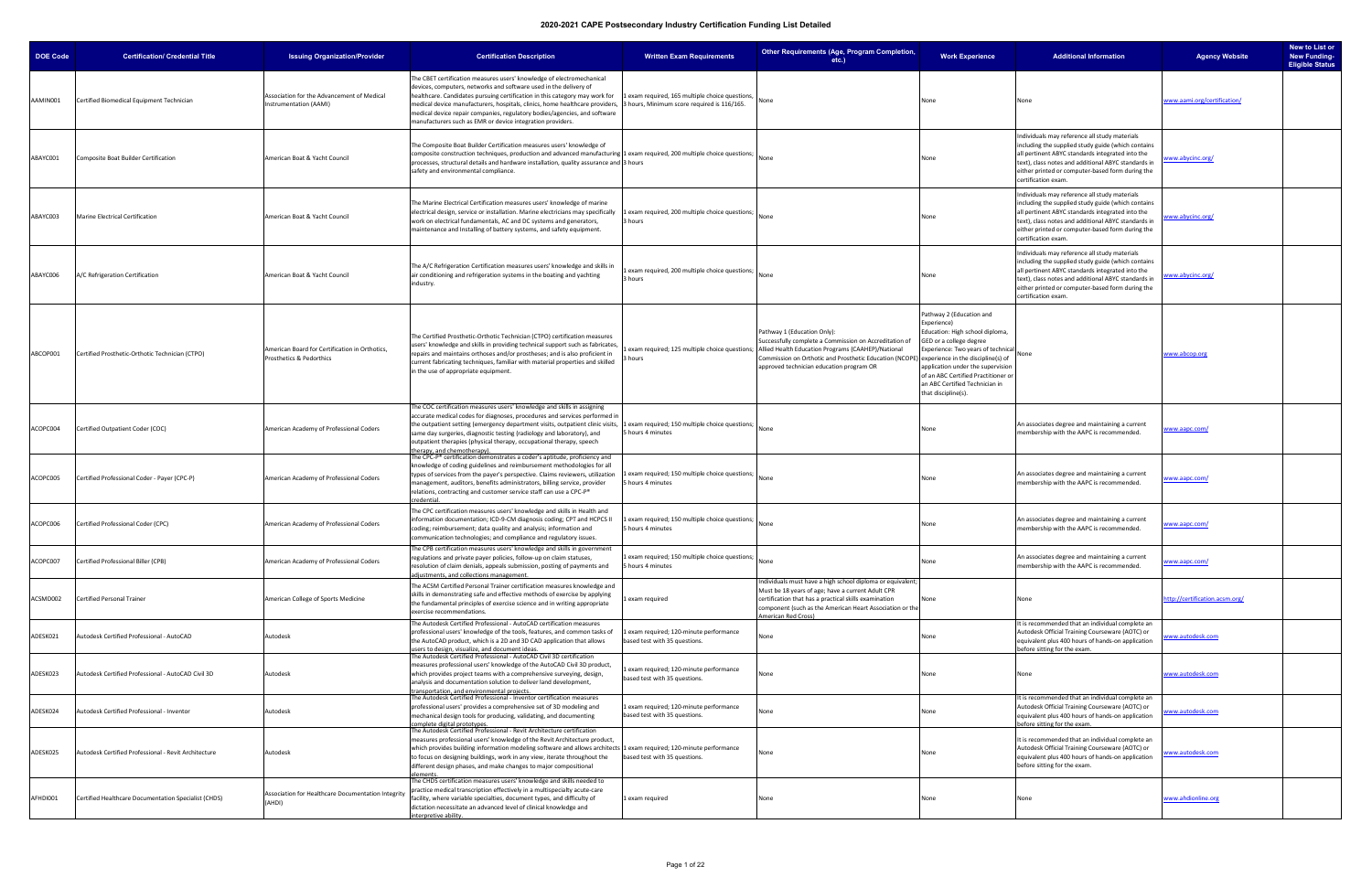| <b>DOE Code</b> | <b>Certification/ Credential Title</b>               | <b>Issuing Organization/Provider</b>                                       | <b>Certification Description</b>                                                                                                                                                                                                                                                                                                                                                                                                                     | <b>Written Exam Requirements</b>                                                               | Other Requirements (Age, Program Completion,<br>etc.                                                                                                                                                                                                                                            | <b>Work Experience</b>                                                                                                                                                                                                                                                                                                | <b>Additional Information</b>                                                                                                                                                                                                                                                             | <b>Agency Website</b>          | New to List or<br><b>New Funding-</b><br><b>Eligible Status</b> |
|-----------------|------------------------------------------------------|----------------------------------------------------------------------------|------------------------------------------------------------------------------------------------------------------------------------------------------------------------------------------------------------------------------------------------------------------------------------------------------------------------------------------------------------------------------------------------------------------------------------------------------|------------------------------------------------------------------------------------------------|-------------------------------------------------------------------------------------------------------------------------------------------------------------------------------------------------------------------------------------------------------------------------------------------------|-----------------------------------------------------------------------------------------------------------------------------------------------------------------------------------------------------------------------------------------------------------------------------------------------------------------------|-------------------------------------------------------------------------------------------------------------------------------------------------------------------------------------------------------------------------------------------------------------------------------------------|--------------------------------|-----------------------------------------------------------------|
| AAMIN001        | Certified Biomedical Equipment Technician            | Association for the Advancement of Medical<br>Instrumentation (AAMI)       | The CBET certification measures users' knowledge of electromechanical<br>devices, computers, networks and software used in the delivery of<br>healthcare. Candidates pursuing certification in this category may work for<br>medical device manufacturers, hospitals, clinics, home healthcare providers,<br>medical device repair companies, regulatory bodies/agencies, and software<br>manufacturers such as EMR or device integration providers. | 1 exam required, 165 multiple choice questions,<br>3 hours, Minimum score required is 116/165. | None                                                                                                                                                                                                                                                                                            | None                                                                                                                                                                                                                                                                                                                  | None                                                                                                                                                                                                                                                                                      | www.aami.org/certification/    |                                                                 |
| ABAYC001        | Composite Boat Builder Certification                 | American Boat & Yacht Council                                              | The Composite Boat Builder Certification measures users' knowledge of<br>composite construction techniques, production and advanced manufacturing 1 exam required, 200 multiple choice questions;<br>processes, structural details and hardware installation, quality assurance and 3 hours<br>safety and environmental compliance.                                                                                                                  |                                                                                                | None                                                                                                                                                                                                                                                                                            | None                                                                                                                                                                                                                                                                                                                  | Individuals may reference all study materials<br>including the supplied study guide (which contains<br>all pertinent ABYC standards integrated into the<br>text), class notes and additional ABYC standards in<br>either printed or computer-based form during the<br>certification exam. | www.abycinc.org/               |                                                                 |
| ABAYC003        | Marine Electrical Certification                      | American Boat & Yacht Council                                              | The Marine Electrical Certification measures users' knowledge of marine<br>electrical design, service or installation. Marine electricians may specifically<br>work on electrical fundamentals, AC and DC systems and generators,<br>maintenance and Installing of battery systems, and safety equipment.                                                                                                                                            | 1 exam required, 200 multiple choice questions;<br>3 hours                                     | None                                                                                                                                                                                                                                                                                            | None                                                                                                                                                                                                                                                                                                                  | Individuals may reference all study materials<br>including the supplied study guide (which contains<br>all pertinent ABYC standards integrated into the<br>text), class notes and additional ABYC standards in<br>either printed or computer-based form during the<br>certification exam. | www.abycinc.org/               |                                                                 |
| ABAYC006        | A/C Refrigeration Certification                      | American Boat & Yacht Council                                              | The A/C Refrigeration Certification measures users' knowledge and skills in<br>air conditioning and refrigeration systems in the boating and yachting<br>industry.                                                                                                                                                                                                                                                                                   | exam required, 200 multiple choice questions;<br>3 hours                                       | None                                                                                                                                                                                                                                                                                            | None                                                                                                                                                                                                                                                                                                                  | Individuals may reference all study materials<br>including the supplied study guide (which contains<br>all pertinent ABYC standards integrated into the<br>text), class notes and additional ABYC standards in<br>either printed or computer-based form during the<br>certification exam. | www.abycinc.org/               |                                                                 |
| ABCOP001        | Certified Prosthetic-Orthotic Technician (CTPO)      | American Board for Certification in Orthotics,<br>Prosthetics & Pedorthics | The Certified Prosthetic-Orthotic Technician (CTPO) certification measures<br>users' knowledge and skills in providing technical support such as fabricates<br>repairs and maintains orthoses and/or prostheses; and is also proficient in<br>current fabricating techniques, familiar with material properties and skilled<br>in the use of appropriate equipment.                                                                                  | 3 hours                                                                                        | Pathway 1 (Education Only):<br>Successfully complete a Commission on Accreditation of<br>exam required; 125 multiple choice questions; Allied Health Education Programs (CAAHEP)/National<br>Commission on Orthotic and Prosthetic Education (NCOPI<br>approved technician education program OR | Pathway 2 (Education and<br>Experience)<br>Education: High school diploma,<br>GED or a college degree<br>Experience: Two years of technical<br>experience in the discipline(s) of<br>application under the supervision<br>of an ABC Certified Practitioner o<br>an ABC Certified Technician in<br>that discipline(s). | None                                                                                                                                                                                                                                                                                      | www.abcop.org                  |                                                                 |
| ACOPC004        | Certified Outpatient Coder (COC)                     | American Academy of Professional Coders                                    | The COC certification measures users' knowledge and skills in assigning<br>accurate medical codes for diagnoses, procedures and services performed in<br>the outpatient setting (emergency department visits, outpatient clinic visits,<br>same day surgeries, diagnostic testing (radiology and laboratory), and<br>outpatient therapies (physical therapy, occupational therapy, speech<br>therapy, and chemotherapy).                             | 1 exam required; 150 multiple choice questions;<br>5 hours 4 minutes                           | <b>None</b>                                                                                                                                                                                                                                                                                     | None                                                                                                                                                                                                                                                                                                                  | An associates degree and maintaining a current<br>membership with the AAPC is recommended.                                                                                                                                                                                                | vww.aapc.com/                  |                                                                 |
| ACOPC005        | Certified Professional Coder - Payer (CPC-P)         | American Academy of Professional Coders                                    | The CPC-P® certification demonstrates a coder's aptitude, proficiency and<br>knowledge of coding guidelines and reimbursement methodologies for all<br>types of services from the payer's perspective. Claims reviewers, utilization<br>management, auditors, benefits administrators, billing service, provider<br>relations, contracting and customer service staff can use a CPC-P®<br>redential.                                                 | 1 exam required; 150 multiple choice questions;<br>5 hours 4 minutes                           | None                                                                                                                                                                                                                                                                                            | None                                                                                                                                                                                                                                                                                                                  | An associates degree and maintaining a current<br>membership with the AAPC is recommended.                                                                                                                                                                                                | www.aapc.com/                  |                                                                 |
| ACOPC006        | Certified Professional Coder (CPC)                   | American Academy of Professional Coders                                    | The CPC certification measures users' knowledge and skills in Health and<br>information documentation; ICD-9-CM diagnosis coding; CPT and HCPCS II<br>coding; reimbursement; data quality and analysis; information and<br>communication technologies; and compliance and regulatory issues.                                                                                                                                                         | exam required; 150 multiple choice questions;<br>5 hours 4 minutes                             | None                                                                                                                                                                                                                                                                                            | None                                                                                                                                                                                                                                                                                                                  | An associates degree and maintaining a current<br>membership with the AAPC is recommended.                                                                                                                                                                                                | vww.aapc.com/                  |                                                                 |
| ACOPC007        | Certified Professional Biller (CPB)                  | American Academy of Professional Coders                                    | The CPB certification measures users' knowledge and skills in government<br>regulations and private payer policies, follow-up on claim statuses,<br>resolution of claim denials, appeals submission, posting of payments and<br>adjustments, and collections management.                                                                                                                                                                             | 1 exam required; 150 multiple choice questions;<br>5 hours 4 minutes                           |                                                                                                                                                                                                                                                                                                 | None                                                                                                                                                                                                                                                                                                                  | An associates degree and maintaining a current<br>membership with the AAPC is recommended.                                                                                                                                                                                                | www.aapc.com/                  |                                                                 |
| ACSMD002        | <b>Certified Personal Trainer</b>                    | American College of Sports Medicine                                        | The ACSM Certified Personal Trainer certification measures knowledge and<br>skills in demonstrating safe and effective methods of exercise by applying<br>the fundamental principles of exercise science and in writing appropriate<br>exercise recommendations.                                                                                                                                                                                     | exam required                                                                                  | Individuals must have a high school diploma or equivalent;<br>Must be 18 years of age; have a current Adult CPR<br>certification that has a practical skills examination<br>component (such as the American Heart Association or the<br>American Red Cross)                                     | None                                                                                                                                                                                                                                                                                                                  | None                                                                                                                                                                                                                                                                                      | http://certification.acsm.org/ |                                                                 |
| ADESK021        | Autodesk Certified Professional - AutoCAD            | Autodesk                                                                   | The Autodesk Certified Professional - AutoCAD certification measures<br>professional users' knowledge of the tools, features, and common tasks of<br>the AutoCAD product, which is a 2D and 3D CAD application that allows                                                                                                                                                                                                                           | exam required; 120-minute performance<br>based test with 35 questions.                         | None                                                                                                                                                                                                                                                                                            | None                                                                                                                                                                                                                                                                                                                  | It is recommended that an individual complete an<br>Autodesk Official Training Courseware (AOTC) or<br>equivalent plus 400 hours of hands-on application<br>before sitting for the exam.                                                                                                  | ww.autodesk.com                |                                                                 |
| ADESK023        | Autodesk Certified Professional - AutoCAD Civil 3D   | Autodesk                                                                   | users to design, visualize, and document ideas.<br>The Autodesk Certified Professional - AutoCAD Civil 3D certification<br>measures professional users' knowledge of the AutoCAD Civil 3D product,<br>which provides project teams with a comprehensive surveying, design,<br>analysis and documentation solution to deliver land development,<br>transportation, and environmental projects.                                                        | exam required; 120-minute performance<br>based test with 35 questions.                         | None                                                                                                                                                                                                                                                                                            | None                                                                                                                                                                                                                                                                                                                  | None                                                                                                                                                                                                                                                                                      | www.autodesk.com               |                                                                 |
| ADESK024        | Autodesk Certified Professional - Inventor           | Autodesk                                                                   | The Autodesk Certified Professional - Inventor certification measures<br>professional users' provides a comprehensive set of 3D modeling and<br>mechanical design tools for producing, validating, and documenting<br>complete digital prototypes.                                                                                                                                                                                                   | 1 exam required; 120-minute performance<br>based test with 35 questions.                       | lone                                                                                                                                                                                                                                                                                            | None                                                                                                                                                                                                                                                                                                                  | It is recommended that an individual complete an<br>Autodesk Official Training Courseware (AOTC) or<br>equivalent plus 400 hours of hands-on application<br>before sitting for the exam.                                                                                                  | ww.autodesk.com                |                                                                 |
| ADESK025        | Autodesk Certified Professional - Revit Architecture | Autodesk                                                                   | The Autodesk Certified Professional - Revit Architecture certification<br>measures professional users' knowledge of the Revit Architecture product,<br>which provides building information modeling software and allows architec<br>to focus on designing buildings, work in any view, iterate throughout the<br>different design phases, and make changes to major compositional                                                                    | 1 exam required; 120-minute performance<br>based test with 35 questions.                       | Vone                                                                                                                                                                                                                                                                                            | None                                                                                                                                                                                                                                                                                                                  | It is recommended that an individual complete an<br>Autodesk Official Training Courseware (AOTC) or<br>equivalent plus 400 hours of hands-on application<br>before sitting for the exam.                                                                                                  | www.autodesk.com               |                                                                 |
| AFHDI001        | Certified Healthcare Documentation Specialist (CHDS) | Association for Healthcare Documentation Integrity<br>(AHDI)               | The CHDS certification measures users' knowledge and skills needed to<br>practice medical transcription effectively in a multispecialty acute-care<br>facility, where variable specialties, document types, and difficulty of<br>dictation necessitate an advanced level of clinical knowledge and<br>interpretive ability.                                                                                                                          | 1 exam required                                                                                | None                                                                                                                                                                                                                                                                                            | None                                                                                                                                                                                                                                                                                                                  | None                                                                                                                                                                                                                                                                                      | www.ahdionline.org             |                                                                 |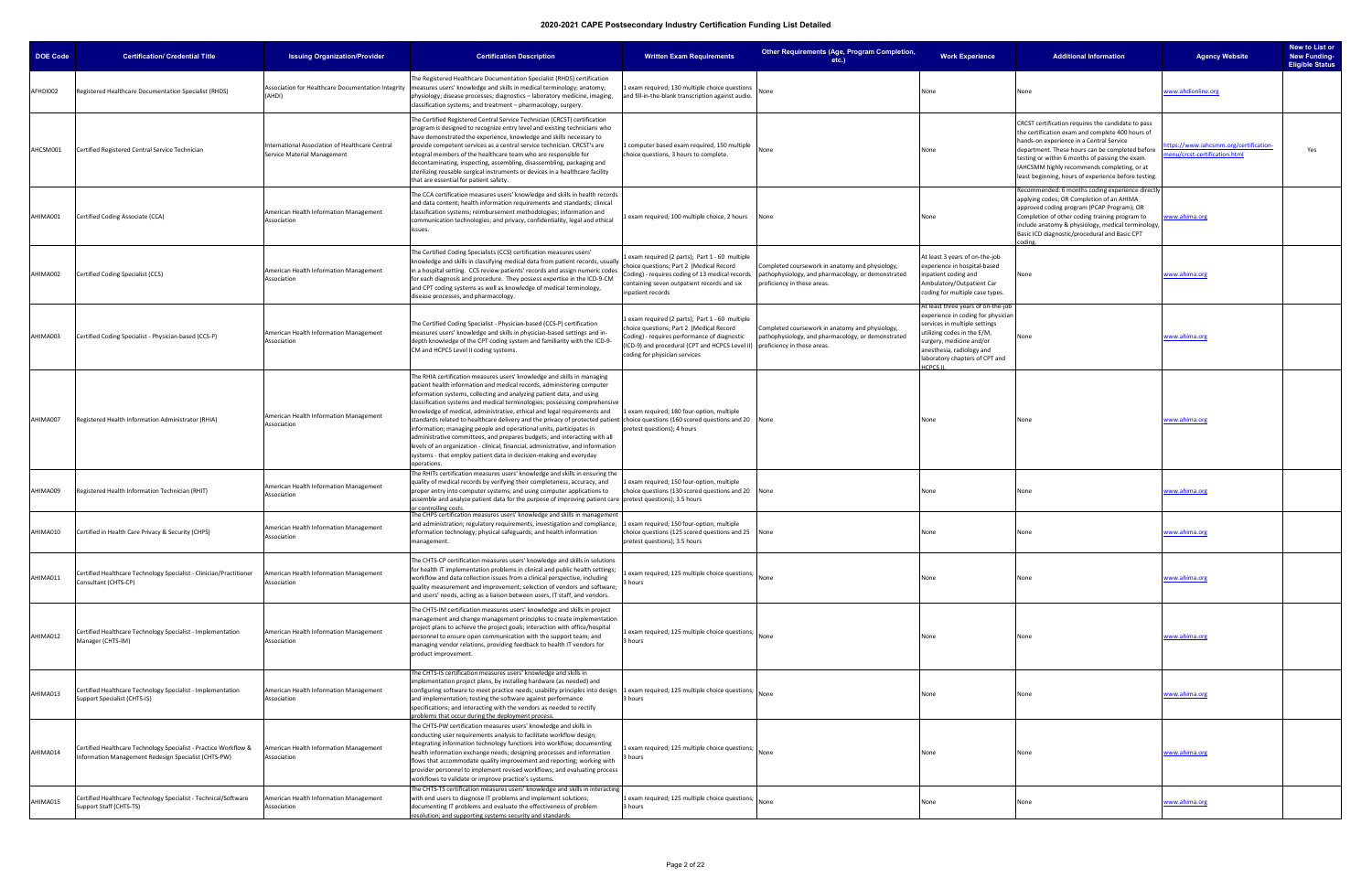| <b>DOE Code</b> | <b>Certification/ Credential Title</b>                                                                                   | <b>Issuing Organization/Provider</b>                                           | <b>Certification Description</b>                                                                                                                                                                                                                                                                                                                                                                                                                                                                                                                                                                                                                                                                                                                                                                                                                      | <b>Written Exam Requirements</b>                                                                                                                                                                                                                            | Other Requirements (Age, Program Completion,<br>etc.)                                                                                | <b>Work Experience</b>                                                                                                                                                                                                                           | <b>Additional Information</b>                                                                                                                                                                                                                                                                                                                                   | <b>Agency Website</b>                                                | New to List or<br><b>New Funding-</b><br><b>Eligible Status</b> |
|-----------------|--------------------------------------------------------------------------------------------------------------------------|--------------------------------------------------------------------------------|-------------------------------------------------------------------------------------------------------------------------------------------------------------------------------------------------------------------------------------------------------------------------------------------------------------------------------------------------------------------------------------------------------------------------------------------------------------------------------------------------------------------------------------------------------------------------------------------------------------------------------------------------------------------------------------------------------------------------------------------------------------------------------------------------------------------------------------------------------|-------------------------------------------------------------------------------------------------------------------------------------------------------------------------------------------------------------------------------------------------------------|--------------------------------------------------------------------------------------------------------------------------------------|--------------------------------------------------------------------------------------------------------------------------------------------------------------------------------------------------------------------------------------------------|-----------------------------------------------------------------------------------------------------------------------------------------------------------------------------------------------------------------------------------------------------------------------------------------------------------------------------------------------------------------|----------------------------------------------------------------------|-----------------------------------------------------------------|
| AFHDI002        | Registered Healthcare Documentation Specialist (RHDS)                                                                    | Association for Healthcare Documentation Integrity<br>(AHDI)                   | The Registered Healthcare Documentation Specialist (RHDS) certification<br>measures users' knowledge and skills in medical terminology; anatomy;<br>physiology; disease processes; diagnostics - laboratory medicine, imaging<br>:lassification systems; and treatment – pharmacology, surgery.                                                                                                                                                                                                                                                                                                                                                                                                                                                                                                                                                       | 1 exam required; 130 multiple choice question<br>and fill-in-the-blank transcription against audio.                                                                                                                                                         |                                                                                                                                      | None                                                                                                                                                                                                                                             | None                                                                                                                                                                                                                                                                                                                                                            | www.ahdionline.org                                                   |                                                                 |
| AHCSM001        | Certified Registered Central Service Technician                                                                          | International Association of Healthcare Central<br>Service Material Management | The Certified Registered Central Service Technician (CRCST) certification<br>orogram is designed to recognize entry level and existing technicians who<br>have demonstrated the experience, knowledge and skills necessary to<br>provide competent services as a central service technician. CRCST's are<br>integral members of the healthcare team who are responsible for<br>decontaminating, inspecting, assembling, disassembling, packaging and<br>sterilizing reusable surgical instruments or devices in a healthcare facility<br>that are essential for patient safety.                                                                                                                                                                                                                                                                       | 1 computer based exam required, 150 multiple<br>choice questions, 3 hours to complete.                                                                                                                                                                      | None                                                                                                                                 | None                                                                                                                                                                                                                                             | CRCST certification requires the candidate to pass<br>the certification exam and complete 400 hours of<br>hands-on experience in a Central Service<br>department. These hours can be completed before<br>testing or within 6 months of passing the exam.<br>IAHCSMM highly recommends completing, or at<br>least beginning, hours of experience before testing. | tps://www.iahcsmm.org/certification-<br>enu/crcst-certification.html | Yes                                                             |
| AHIMA001        | Certified Coding Associate (CCA)                                                                                         | American Health Information Management<br>Association                          | The CCA certification measures users' knowledge and skills in health records<br>and data content; health information requirements and standards; clinical<br>classification systems; reimbursement methodologies; information and<br>communication technologies; and privacy, confidentiality, legal and ethical<br>issues.                                                                                                                                                                                                                                                                                                                                                                                                                                                                                                                           | Lexam required; 100 multiple choice, 2 hours                                                                                                                                                                                                                | None                                                                                                                                 | None                                                                                                                                                                                                                                             | Recommended: 6 months coding experience directly<br>applying codes; OR Completion of an AHIMA<br>approved coding program (PCAP Program); OR<br>Completion of other coding training program to<br>include anatomy & physiology, medical terminology,<br>Basic ICD diagnostic/procedural and Basic CPT                                                            | www.ahima.org                                                        |                                                                 |
| AHIMA002        | Certified Coding Specialist (CCS)                                                                                        | American Health Information Management<br>Association                          | The Certified Coding Specialists (CCS) certification measures users'<br>knowledge and skills in classifying medical data from patient records, usually<br>in a hospital setting. CCS review patients' records and assign numeric codes<br>for each diagnosis and procedure. They possess expertise in the ICD-9-CM<br>and CPT coding systems as well as knowledge of medical terminology,<br>disease processes, and pharmacology.                                                                                                                                                                                                                                                                                                                                                                                                                     | 1 exam required (2 parts); Part 1 - 60 multiple<br>choice questions; Part 2 (Medical Record<br>Coding) - requires coding of 13 medical records<br>containing seven outpatient records and six<br>inpatient records                                          | Completed coursework in anatomy and physiology,<br>pathophysiology, and pharmacology, or demonstrated<br>proficiency in these areas. | At least 3 years of on-the-job<br>experience in hospital-based<br>inpatient coding and<br>Ambulatory/Outpatient Car<br>coding for multiple case types.                                                                                           | None                                                                                                                                                                                                                                                                                                                                                            | www.ahima.org                                                        |                                                                 |
| AHIMA003        | Certified Coding Specialist - Physician-based (CCS-P)                                                                    | American Health Information Management<br>Association                          | The Certified Coding Specialist - Physician-based (CCS-P) certification<br>measures users' knowledge and skills in physician-based settings and in-<br>depth knowledge of the CPT coding system and familiarity with the ICD-9-<br>CM and HCPCS Level II coding systems.                                                                                                                                                                                                                                                                                                                                                                                                                                                                                                                                                                              | 1 exam required (2 parts); Part 1 - 60 multiple<br>choice questions; Part 2 (Medical Record<br>Coding) - requires performance of diagnostic<br>(ICD-9) and procedural (CPT and HCPCS Level II) proficiency in these areas.<br>coding for physician services | Completed coursework in anatomy and physiology,<br>pathophysiology, and pharmacology, or demonstrated                                | At least three years of on-the-job<br>experience in coding for physicial<br>services in multiple settings<br>utilizing codes in the E/M,<br>surgery, medicine and/or<br>anesthesia, radiology and<br>laboratory chapters of CPT and<br>HCPCS II. | None                                                                                                                                                                                                                                                                                                                                                            | www.ahima.org                                                        |                                                                 |
| AHIMA007        | Registered Health Information Administrator (RHIA)                                                                       | American Health Information Management<br>Association                          | The RHIA certification measures users' knowledge and skills in managing<br>patient health information and medical records, administering computer<br>information systems, collecting and analyzing patient data, and using<br>classification systems and medical terminologies; possessing comprehensive<br>knowledge of medical, administrative, ethical and legal requirements and<br>standards related to healthcare delivery and the privacy of protected patient choice questions (160 scored questions and 20 None<br>information; managing people and operational units, participates in<br>administrative committees, and prepares budgets; and interacting with all<br>levels of an organization - clinical, financial, administrative, and information<br>systems - that employ patient data in decision-making and everyday<br>operations. | 1 exam required; 180 four-option, multiple<br>pretest questions); 4 hours                                                                                                                                                                                   |                                                                                                                                      | None                                                                                                                                                                                                                                             | None                                                                                                                                                                                                                                                                                                                                                            | www.ahima.org                                                        |                                                                 |
| AHIMA009        | Registered Health Information Technician (RHIT)                                                                          | American Health Information Management<br>Association                          | The RHITs certification measures users' knowledge and skills in ensuring the<br>quality of medical records by verifying their completeness, accuracy, and<br>proper entry into computer systems; and using computer applications to<br>assemble and analyze patient data for the purpose of improving patient care  pretest questions); 3.5 hours<br>or controlling cost                                                                                                                                                                                                                                                                                                                                                                                                                                                                              | Lexam required; 150 four-option, multiple<br>choice questions (130 scored questions and 20 None                                                                                                                                                             |                                                                                                                                      | None                                                                                                                                                                                                                                             | None                                                                                                                                                                                                                                                                                                                                                            | <u>vww.ahima.org</u>                                                 |                                                                 |
| AHIMA010        | Certified in Health Care Privacy & Security (CHPS)                                                                       | American Health Information Management<br>Association                          | The CHPS certification measures users' knowledge and skills in management<br>and administration; regulatory requirements, investigation and compliance;<br>information technology; physical safeguards; and health information<br>management.                                                                                                                                                                                                                                                                                                                                                                                                                                                                                                                                                                                                         | L exam required; 150 four-option, multiple<br>choice questions (125 scored questions and 25 None<br>pretest questions); 3.5 hours                                                                                                                           |                                                                                                                                      | None                                                                                                                                                                                                                                             | None                                                                                                                                                                                                                                                                                                                                                            | www.ahima.org                                                        |                                                                 |
| AHIMA011        | Certified Healthcare Technology Specialist - Clinician/Practitioner<br>Consultant (CHTS-CP)                              | American Health Information Management<br>Association                          | The CHTS-CP certification measures users' knowledge and skills in solutions<br>for health IT implementation problems in clinical and public health settings;<br>workflow and data collection issues from a clinical perspective, including<br>quality measurement and improvement; selection of vendors and software;<br>and users' needs, acting as a liaison between users, IT staff, and vendors.                                                                                                                                                                                                                                                                                                                                                                                                                                                  | exam required; 125 multiple choice questions;<br>3 hours                                                                                                                                                                                                    |                                                                                                                                      | None                                                                                                                                                                                                                                             | None                                                                                                                                                                                                                                                                                                                                                            | <u>www.ahima.org</u>                                                 |                                                                 |
| AHIMA012        | Certified Healthcare Technology Specialist - Implementation<br>Manager (CHTS-IM)                                         | American Health Information Management<br>Association                          | The CHTS-IM certification measures users' knowledge and skills in project<br>management and change management principles to create implementation<br>project plans to achieve the project goals; interaction with office/hospital<br>personnel to ensure open communication with the support team; and<br>managing vendor relations, providing feedback to health IT vendors for<br>product improvement.                                                                                                                                                                                                                                                                                                                                                                                                                                              | 1 exam required; 125 multiple choice questions;<br>3 hours                                                                                                                                                                                                  |                                                                                                                                      | None                                                                                                                                                                                                                                             | None                                                                                                                                                                                                                                                                                                                                                            | www.ahima.org                                                        |                                                                 |
| AHIMA013        | Certified Healthcare Technology Specialist - Implementation<br>Support Specialist (CHTS-IS)                              | American Health Information Management<br>Association                          | The CHTS-IS certification measures users' knowledge and skills in<br>implementation project plans, by installing hardware (as needed) and<br>configuring software to meet practice needs; usability principles into design<br>and implementation; testing the software against performance<br>specifications; and interacting with the vendors as needed to rectify<br>roblems that occur during the deployment process.                                                                                                                                                                                                                                                                                                                                                                                                                              | 1 exam required; 125 multiple choice questions;<br>3 hours                                                                                                                                                                                                  | None                                                                                                                                 | None                                                                                                                                                                                                                                             | None                                                                                                                                                                                                                                                                                                                                                            | <u>www.ahima.org</u>                                                 |                                                                 |
| AHIMA014        | Certified Healthcare Technology Specialist - Practice Workflow &<br>Information Management Redesign Specialist (CHTS-PW) | American Health Information Management<br>Association                          | The CHTS-PW certification measures users' knowledge and skills in<br>conducting user requirements analysis to facilitate workflow design;<br>integrating information technology functions into workflow; documenting<br>health information exchange needs; designing processes and information<br>flows that accommodate quality improvement and reporting; working with<br>provider personnel to implement revised workflows; and evaluating process<br>workflows to validate or improve practice's systems.                                                                                                                                                                                                                                                                                                                                         | exam required; 125 multiple choice questions;<br>3 hours                                                                                                                                                                                                    |                                                                                                                                      | None                                                                                                                                                                                                                                             | None                                                                                                                                                                                                                                                                                                                                                            | <u>www.ahima.org</u>                                                 |                                                                 |
| AHIMA015        | Certified Healthcare Technology Specialist - Technical/Software<br>Support Staff (CHTS-TS)                               | American Health Information Management<br>Association                          | The CHTS-TS certification measures users' knowledge and skills in interacting<br>with end users to diagnose IT problems and implement solutions;<br>documenting IT problems and evaluate the effectiveness of problem<br>resolution; and supporting systems security and standards.                                                                                                                                                                                                                                                                                                                                                                                                                                                                                                                                                                   | 1 exam required; 125 multiple choice questions;<br>3 hours                                                                                                                                                                                                  |                                                                                                                                      | None                                                                                                                                                                                                                                             | None                                                                                                                                                                                                                                                                                                                                                            | www.ahima.org                                                        |                                                                 |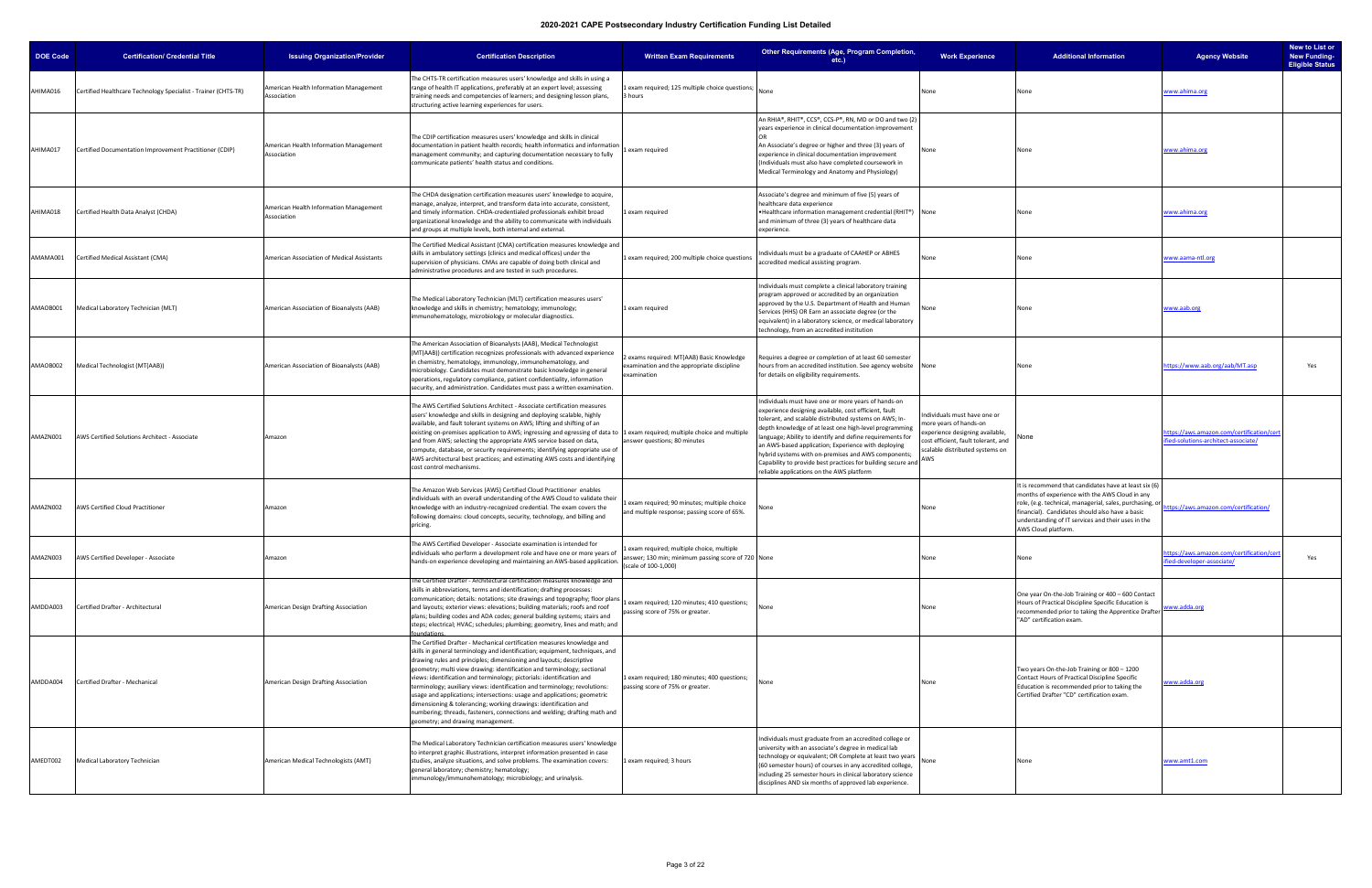| <b>DOE Code</b> | <b>Certification/ Credential Title</b>                         | <b>Issuing Organization/Provider</b>                  | <b>Certification Description</b>                                                                                                                                                                                                                                                                                                                                                                                                                                                                                                                                                                                                                                                                                                   | <b>Written Exam Requirements</b>                                                                                         | Other Requirements (Age, Program Completion,<br>etc.                                                                                                                                                                                                                                                                                                                                                                                                                                                                     | <b>Work Experience</b>                                                                                                                                                    | <b>Additional Information</b>                                                                                                                                                                                                                                                                       | New to List or<br><b>New Funding-</b><br><b>Agency Website</b><br><b>Eligible Status</b> |
|-----------------|----------------------------------------------------------------|-------------------------------------------------------|------------------------------------------------------------------------------------------------------------------------------------------------------------------------------------------------------------------------------------------------------------------------------------------------------------------------------------------------------------------------------------------------------------------------------------------------------------------------------------------------------------------------------------------------------------------------------------------------------------------------------------------------------------------------------------------------------------------------------------|--------------------------------------------------------------------------------------------------------------------------|--------------------------------------------------------------------------------------------------------------------------------------------------------------------------------------------------------------------------------------------------------------------------------------------------------------------------------------------------------------------------------------------------------------------------------------------------------------------------------------------------------------------------|---------------------------------------------------------------------------------------------------------------------------------------------------------------------------|-----------------------------------------------------------------------------------------------------------------------------------------------------------------------------------------------------------------------------------------------------------------------------------------------------|------------------------------------------------------------------------------------------|
| AHIMA016        | Certified Healthcare Technology Specialist - Trainer (CHTS-TR) | American Health Information Management<br>Association | The CHTS-TR certification measures users' knowledge and skills in using a<br>range of health IT applications, preferably at an expert level; assessing<br>training needs and competencies of learners; and designing lesson plans,<br>structuring active learning experiences for users.                                                                                                                                                                                                                                                                                                                                                                                                                                           | 1 exam required; 125 multiple choice questions;<br>3 hours                                                               | None                                                                                                                                                                                                                                                                                                                                                                                                                                                                                                                     | None                                                                                                                                                                      |                                                                                                                                                                                                                                                                                                     | <u>vww.ahima.org</u>                                                                     |
| AHIMA017        | Certified Documentation Improvement Practitioner (CDIP)        | American Health Information Management<br>Association | The CDIP certification measures users' knowledge and skills in clinical<br>documentation in patient health records; health informatics and information<br>management community; and capturing documentation necessary to fully<br>communicate patients' health status and conditions.                                                                                                                                                                                                                                                                                                                                                                                                                                              | 1 exam required                                                                                                          | An RHIA®, RHIT®, CCS®, CCS-P®, RN, MD or DO and two (2)<br>years experience in clinical documentation improvement<br>An Associate's degree or higher and three (3) years of<br>experience in clinical documentation improvement<br>(Individuals must also have completed coursework in<br>Medical Terminology and Anatomy and Physiology)                                                                                                                                                                                | None                                                                                                                                                                      | None                                                                                                                                                                                                                                                                                                | www.ahima.org                                                                            |
| AHIMA018        | Certified Health Data Analyst (CHDA)                           | American Health Information Management<br>Association | The CHDA designation certification measures users' knowledge to acquire,<br>manage, analyze, interpret, and transform data into accurate, consistent,<br>and timely information. CHDA-credentialed professionals exhibit broad<br>organizational knowledge and the ability to communicate with individuals<br>and groups at multiple levels, both internal and external.                                                                                                                                                                                                                                                                                                                                                           | 1 exam required                                                                                                          | Associate's degree and minimum of five (5) years of<br>healthcare data experience<br>• Healthcare information management credential (RHIT®) None<br>and minimum of three (3) years of healthcare data<br>experience.                                                                                                                                                                                                                                                                                                     |                                                                                                                                                                           |                                                                                                                                                                                                                                                                                                     | www.ahima.org                                                                            |
| AMAMA001        | Certified Medical Assistant (CMA)                              | American Association of Medical Assistants            | The Certified Medical Assistant (CMA) certification measures knowledge and<br>skills in ambulatory settings (clinics and medical offices) under the<br>supervision of physicians. CMAs are capable of doing both clinical and<br>administrative procedures and are tested in such procedures.                                                                                                                                                                                                                                                                                                                                                                                                                                      | 1 exam required; 200 multiple choice questions                                                                           | Individuals must be a graduate of CAAHEP or ABHES<br>accredited medical assisting program.                                                                                                                                                                                                                                                                                                                                                                                                                               | None                                                                                                                                                                      | None                                                                                                                                                                                                                                                                                                | www.aama-ntl.org                                                                         |
| AMAOB001        | Medical Laboratory Technician (MLT)                            | American Association of Bioanalysts (AAB)             | The Medical Laboratory Technician (MLT) certification measures users'<br>knowledge and skills in chemistry; hematology; immunology;<br>immunohematology, microbiology or molecular diagnostics.                                                                                                                                                                                                                                                                                                                                                                                                                                                                                                                                    | 1 exam required                                                                                                          | Individuals must complete a clinical laboratory training<br>program approved or accredited by an organization<br>approved by the U.S. Department of Health and Human<br>Services (HHS) OR Earn an associate degree (or the<br>equivalent) in a laboratory science, or medical laboratory<br>technology, from an accredited institution                                                                                                                                                                                   | None                                                                                                                                                                      | None                                                                                                                                                                                                                                                                                                | www.aab.org                                                                              |
| AMAOB002        | Medical Technologist (MT(AAB))                                 | American Association of Bioanalysts (AAB)             | The American Association of Bioanalysts (AAB), Medical Technologist<br>(MT(AAB)) certification recognizes professionals with advanced experience<br>in chemistry, hematology, immunology, immunohematology, and<br>microbiology. Candidates must demonstrate basic knowledge in general<br>operations, regulatory compliance, patient confidentiality, information<br>security, and administration. Candidates must pass a written examination                                                                                                                                                                                                                                                                                     | 2 exams required: MT(AAB) Basic Knowledge<br>examination and the appropriate discipline<br>examination                   | Requires a degree or completion of at least 60 semester<br>hours from an accredited institution. See agency website None<br>for details on eligibility requirements.                                                                                                                                                                                                                                                                                                                                                     |                                                                                                                                                                           | None                                                                                                                                                                                                                                                                                                | https://www.aab.org/aab/MT.asp<br>Yes                                                    |
| AMAZN001        | AWS Certified Solutions Architect - Associate                  | Amazon                                                | The AWS Certified Solutions Architect - Associate certification measures<br>users' knowledge and skills in designing and deploying scalable, highly<br>available, and fault tolerant systems on AWS; lifting and shifting of an<br>existing on-premises application to AWS; ingressing and egressing of data to 1 exam required; multiple choice and multiple<br>and from AWS; selecting the appropriate AWS service based on data,<br>compute, database, or security requirements; identifying appropriate use of<br>AWS architectural best practices; and estimating AWS costs and identifying<br>cost control mechanisms.                                                                                                       | answer questions; 80 minutes                                                                                             | Individuals must have one or more years of hands-on<br>experience designing available, cost efficient, fault<br>tolerant, and scalable distributed systems on AWS; In-<br>depth knowledge of at least one high-level programming<br>language; Ability to identify and define requirements for<br>an AWS-based application; Experience with deploying<br>hybrid systems with on-premises and AWS components;<br>Capability to provide best practices for building secure and<br>reliable applications on the AWS platform | ndividuals must have one or<br>more years of hands-on<br>experience designing available,<br>cost efficient, fault tolerant, and<br>scalable distributed systems on<br>AWS | None                                                                                                                                                                                                                                                                                                | nttps://aws.amazon.com/certification/cer<br>ified-solutions-architect-associate/         |
| AMAZN002        | <b>AWS Certified Cloud Practitioner</b>                        | Amazon                                                | The Amazon Web Services (AWS) Certified Cloud Practitioner enables<br>individuals with an overall understanding of the AWS Cloud to validate their<br>knowledge with an industry-recognized credential. The exam covers the<br>following domains: cloud concepts, security, technology, and billing and<br>pricing.                                                                                                                                                                                                                                                                                                                                                                                                                | exam required; 90 minutes; multiple choice<br>and multiple response; passing score of 65%.                               | lone                                                                                                                                                                                                                                                                                                                                                                                                                                                                                                                     | None                                                                                                                                                                      | It is recommend that candidates have at least six (6)<br>months of experience with the AWS Cloud in any<br>role, (e.g. technical, managerial, sales, purchasing, or<br>financial). Candidates should also have a basic<br>understanding of IT services and their uses in the<br>AWS Cloud platform. | ttps://aws.amazon.com/certification/                                                     |
| AMAZN003        | AWS Certified Developer - Associate                            | Amazon                                                | The AWS Certified Developer - Associate examination is intended for<br>individuals who perform a development role and have one or more years of<br>hands-on experience developing and maintaining an AWS-based application.                                                                                                                                                                                                                                                                                                                                                                                                                                                                                                        | 1 exam required; multiple choice, multiple<br>answer; 130 min; minimum passing score of 720 None<br>(scale of 100-1,000) |                                                                                                                                                                                                                                                                                                                                                                                                                                                                                                                          | None                                                                                                                                                                      | None                                                                                                                                                                                                                                                                                                | ttps://aws.amazon.com/certification/ce<br>Yes<br>ied-developer-associate/                |
| AMDDA003        | Certified Drafter - Architectural                              | American Design Drafting Association                  | The Certified Drafter - Architectural certification measures knowledge and<br>skills in abbreviations, terms and identification; drafting processes:<br>communication; details: notations; site drawings and topography; floor plans<br>and layouts; exterior views: elevations; building materials; roofs and roof<br>plans; building codes and ADA codes; general building systems; stairs and<br>steps; electrical; HVAC; schedules; plumbing; geometry, lines and math; and                                                                                                                                                                                                                                                    | exam required; 120 minutes; 410 questions;<br>passing score of 75% or greater.                                           | None                                                                                                                                                                                                                                                                                                                                                                                                                                                                                                                     | None                                                                                                                                                                      | One year On-the-Job Training or 400 - 600 Contact<br>Hours of Practical Discipline Specific Education is<br>recommended prior to taking the Apprentice Drafter<br>"AD" certification exam.                                                                                                          | www.adda.org                                                                             |
| AMDDA004        | Certified Drafter - Mechanical                                 | American Design Drafting Association                  | The Certified Drafter - Mechanical certification measures knowledge and<br>skills in general terminology and identification; equipment, techniques, and<br>drawing rules and principles; dimensioning and layouts; descriptive<br>geometry; multi view drawing: identification and terminology; sectional<br>views: identification and terminology; pictorials: identification and<br>terminology; auxiliary views: identification and terminology; revolutions:<br>usage and applications; intersections: usage and applications; geometric<br>dimensioning & tolerancing; working drawings: identification and<br>numbering; threads, fasteners, connections and welding; drafting math and<br>geometry; and drawing management. | 1 exam required; 180 minutes; 400 questions;<br>passing score of 75% or greater.                                         | None                                                                                                                                                                                                                                                                                                                                                                                                                                                                                                                     | None                                                                                                                                                                      | Two years On-the-Job Training or 800 - 1200<br>Contact Hours of Practical Discipline Specific<br>Education is recommended prior to taking the<br>Certified Drafter "CD" certification exam.                                                                                                         | <u>www.adda.org</u>                                                                      |
| AMEDT002        | Medical Laboratory Technician                                  | American Medical Technologists (AMT)                  | The Medical Laboratory Technician certification measures users' knowledge<br>to interpret graphic illustrations, interpret information presented in case<br>studies, analyze situations, and solve problems. The examination covers:<br>general laboratory; chemistry; hematology;<br>immunology/immunohematology; microbiology; and urinalysis.                                                                                                                                                                                                                                                                                                                                                                                   | 1 exam required; 3 hours                                                                                                 | Individuals must graduate from an accredited college or<br>university with an associate's degree in medical lab<br>technology or equivalent; OR Complete at least two years<br>(60 semester hours) of courses in any accredited college,<br>including 25 semester hours in clinical laboratory science<br>disciplines AND six months of approved lab experience.                                                                                                                                                         | None                                                                                                                                                                      |                                                                                                                                                                                                                                                                                                     | www.amt1.com                                                                             |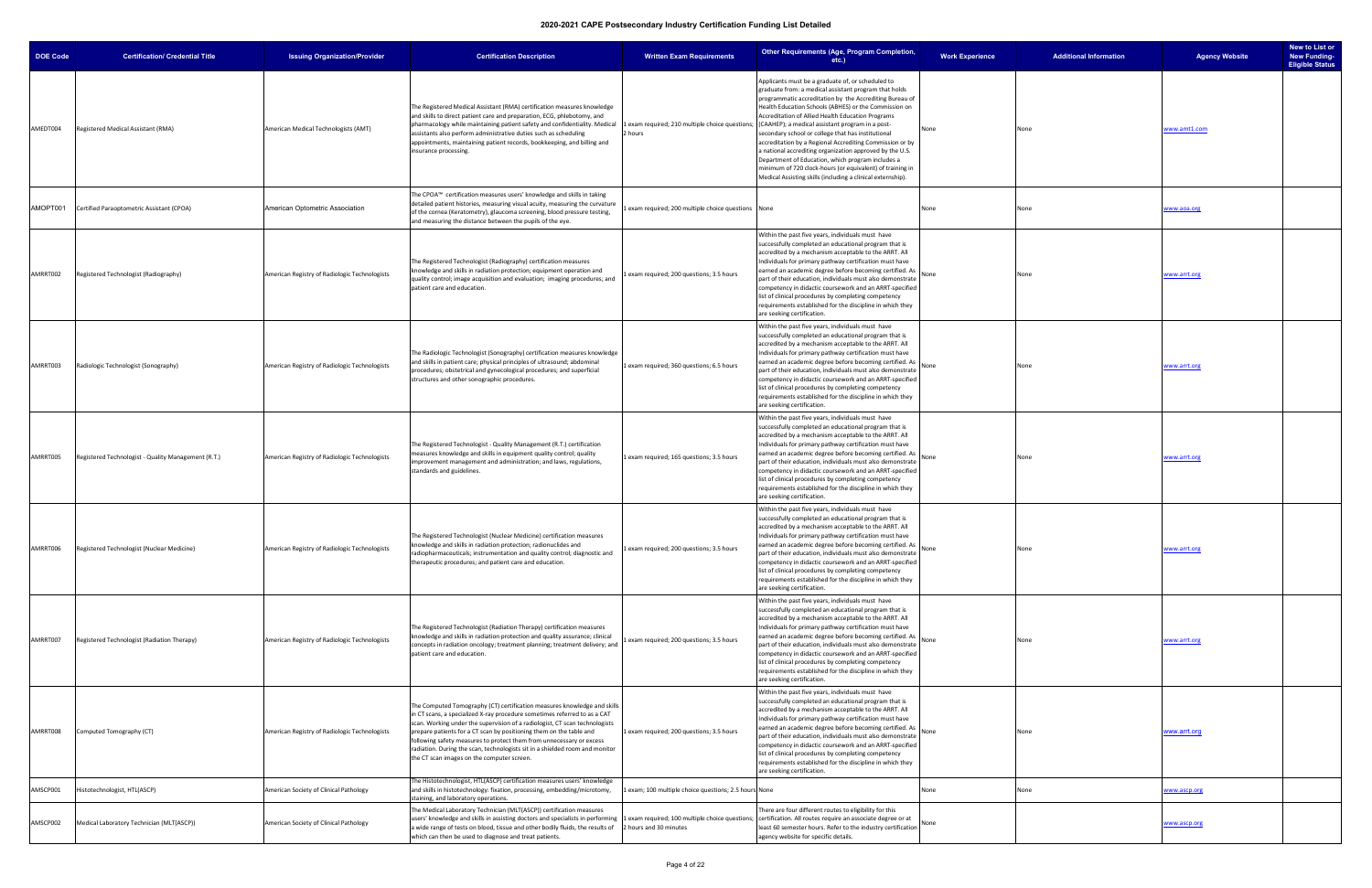| <b>DOE Code</b> | <b>Certification/ Credential Title</b>              | <b>Issuing Organization/Provider</b>          | <b>Certification Description</b>                                                                                                                                                                                                                                                                                                                                                                                                                                                                                  | <b>Written Exam Requirements</b>                      | <b>Other Requirements (Age, Program Completion,</b><br>$etc.$ )                                                                                                                                                                                                                                                                                                                                                                                                                                                                                                                                                                                                                                                                                        | <b>Work Experience</b> | <b>Additional Information</b> | <b>Agency Website</b> | New to List or<br><b>New Funding-</b><br><b>Eligible Status</b> |
|-----------------|-----------------------------------------------------|-----------------------------------------------|-------------------------------------------------------------------------------------------------------------------------------------------------------------------------------------------------------------------------------------------------------------------------------------------------------------------------------------------------------------------------------------------------------------------------------------------------------------------------------------------------------------------|-------------------------------------------------------|--------------------------------------------------------------------------------------------------------------------------------------------------------------------------------------------------------------------------------------------------------------------------------------------------------------------------------------------------------------------------------------------------------------------------------------------------------------------------------------------------------------------------------------------------------------------------------------------------------------------------------------------------------------------------------------------------------------------------------------------------------|------------------------|-------------------------------|-----------------------|-----------------------------------------------------------------|
| AMEDT004        | Registered Medical Assistant (RMA)                  | American Medical Technologists (AMT)          | The Registered Medical Assistant (RMA) certification measures knowledge<br>and skills to direct patient care and preparation, ECG, phlebotomy, and<br>pharmacology while maintaining patient safety and confidentiality. Medical<br>assistants also perform administrative duties such as scheduling<br>appointments, maintaining patient records, bookkeeping, and billing and<br>insurance processing.                                                                                                          | 2 hours                                               | Applicants must be a graduate of, or scheduled to<br>graduate from: a medical assistant program that holds<br>programmatic accreditation by the Accrediting Bureau of<br>Health Education Schools (ABHES) or the Commission on<br>Accreditation of Allied Health Education Programs<br>1 exam required; 210 multiple choice questions; (CAAHEP); a medical assistant program in a post-<br>secondary school or college that has institutional<br>accreditation by a Regional Accrediting Commission or by<br>a national accrediting organization approved by the U.S.<br>Department of Education, which program includes a<br>minimum of 720 clock-hours (or equivalent) of training in<br>Medical Assisting skills (including a clinical externship). | None                   | None                          | www.amt1.com          |                                                                 |
| AMOPT001        | Certified Paraoptometric Assistant (CPOA)           | American Optometric Association               | The CPOA™ certification measures users' knowledge and skills in taking<br>detailed patient histories, measuring visual acuity, measuring the curvature<br>of the cornea (Keratometry), glaucoma screening, blood pressure testing,<br>and measuring the distance between the pupils of the eye.                                                                                                                                                                                                                   | exam required; 200 multiple choice questions None     |                                                                                                                                                                                                                                                                                                                                                                                                                                                                                                                                                                                                                                                                                                                                                        | None                   | None                          | www.aoa.org           |                                                                 |
| AMRRT002        | Registered Technologist (Radiography)               | American Registry of Radiologic Technologists | The Registered Technologist (Radiography) certification measures<br>knowledge and skills in radiation protection; equipment operation and<br>quality control; image acquisition and evaluation; imaging procedures; and<br>patient care and education.                                                                                                                                                                                                                                                            | exam required; 200 questions; 3.5 hours               | Within the past five years, individuals must have<br>successfully completed an educational program that is<br>accredited by a mechanism acceptable to the ARRT. All<br>Individuals for primary pathway certification must have<br>earned an academic degree before becoming certified. As<br>part of their education, individuals must also demonstrate<br>competency in didactic coursework and an ARRT-specified<br>list of clinical procedures by completing competency<br>requirements established for the discipline in which they<br>are seeking certification.                                                                                                                                                                                  | None                   | None                          | www.arrt.org          |                                                                 |
| AMRRT003        | Radiologic Technologist (Sonography)                | American Registry of Radiologic Technologists | The Radiologic Technologist (Sonography) certification measures knowledge<br>and skills in patient care; physical principles of ultrasound; abdominal<br>procedures; obstetrical and gynecological procedures; and superficial<br>structures and other sonographic procedures.                                                                                                                                                                                                                                    | 1 exam required; 360 questions; 6.5 hours             | Within the past five years, individuals must have<br>successfully completed an educational program that is<br>accredited by a mechanism acceptable to the ARRT. All<br>Individuals for primary pathway certification must have<br>earned an academic degree before becoming certified. As<br>part of their education, individuals must also demonstrate<br>competency in didactic coursework and an ARRT-specified<br>list of clinical procedures by completing competency<br>requirements established for the discipline in which they<br>are seeking certification.                                                                                                                                                                                  | None                   | None                          | www.arrt.org          |                                                                 |
| AMRRT005        | Registered Technologist - Quality Management (R.T.) | American Registry of Radiologic Technologists | The Registered Technologist - Quality Management (R.T.) certification<br>measures knowledge and skills in equipment quality control; quality<br>improvement management and administration; and laws, regulations,<br>standards and guidelines.                                                                                                                                                                                                                                                                    | 1 exam required; 165 questions; 3.5 hours             | Within the past five years, individuals must have<br>successfully completed an educational program that is<br>accredited by a mechanism acceptable to the ARRT. All<br>Individuals for primary pathway certification must have<br>earned an academic degree before becoming certified. As<br>part of their education, individuals must also demonstrate<br>competency in didactic coursework and an ARRT-specified<br>list of clinical procedures by completing competency<br>requirements established for the discipline in which they<br>are seeking certification.                                                                                                                                                                                  | None                   | None                          | www.arrt.org          |                                                                 |
| AMRRT006        | Registered Technologist (Nuclear Medicine)          | American Registry of Radiologic Technologists | The Registered Technologist (Nuclear Medicine) certification measures<br>knowledge and skills in radiation protection; radionuclides and<br>radiopharmaceuticals; instrumentation and quality control; diagnostic and<br>therapeutic procedures; and patient care and education.                                                                                                                                                                                                                                  | exam required; 200 questions; 3.5 hours               | Within the past five years, individuals must have<br>successfully completed an educational program that is<br>accredited by a mechanism acceptable to the ARRT. All<br>Individuals for primary pathway certification must have<br>earned an academic degree before becoming certified. As<br>part of their education, individuals must also demonstrate<br>competency in didactic coursework and an ARRT-specified<br>list of clinical procedures by completing competency<br>requirements established for the discipline in which they<br>are seeking certification.                                                                                                                                                                                  | None                   | None                          | www.arrt.org          |                                                                 |
| AMRRT007        | Registered Technologist (Radiation Therapy)         | American Registry of Radiologic Technologists | The Registered Technologist (Radiation Therapy) certification measures<br>knowledge and skills in radiation protection and quality assurance; clinical<br>concepts in radiation oncology; treatment planning; treatment delivery; and<br>patient care and education.                                                                                                                                                                                                                                              | exam required; 200 questions; 3.5 hours               | Within the past five years, individuals must have<br>successfully completed an educational program that is<br>accredited by a mechanism acceptable to the ARRT. All<br>Individuals for primary pathway certification must have<br>earned an academic degree before becoming certified. As<br>part of their education, individuals must also demonstrate<br>competency in didactic coursework and an ARRT-specified<br>list of clinical procedures by completing competency<br>requirements established for the discipline in which they<br>are seeking certification.                                                                                                                                                                                  | None                   | None                          | www.arrt.org          |                                                                 |
| AMRRT008        | Computed Tomography (CT)                            | American Registry of Radiologic Technologists | The Computed Tomography (CT) certification measures knowledge and skills<br>in CT scans, a specialized X-ray procedure sometimes referred to as a CAT<br>scan. Working under the supervision of a radiologist, CT scan technologists<br>prepare patients for a CT scan by positioning them on the table and<br>following safety measures to protect them from unnecessary or excess<br>radiation. During the scan, technologists sit in a shielded room and monitor<br>the CT scan images on the computer screen. | 1 exam required; 200 questions; 3.5 hours             | Within the past five years, individuals must have<br>successfully completed an educational program that is<br>accredited by a mechanism acceptable to the ARRT. All<br>Individuals for primary pathway certification must have<br>earned an academic degree before becoming certified. As<br>part of their education, individuals must also demonstrate<br>competency in didactic coursework and an ARRT-specified<br>list of clinical procedures by completing competency<br>requirements established for the discipline in which they<br>are seeking certification.                                                                                                                                                                                  | None                   | None                          | www.arrt.org          |                                                                 |
| AMSCP001        | Histotechnologist, HTL(ASCP)                        | American Society of Clinical Pathology        | The Histotechnologist, HTL(ASCP) certification measures users' knowledge<br>and skills in histotechnology: fixation, processing, embedding/microtomy,<br>staining, and laboratory operations.                                                                                                                                                                                                                                                                                                                     | 1 exam; 100 multiple choice questions; 2.5 hours None |                                                                                                                                                                                                                                                                                                                                                                                                                                                                                                                                                                                                                                                                                                                                                        | None                   | None                          | www.ascp.org          |                                                                 |
| AMSCP002        | Medical Laboratory Technician (MLT(ASCP))           | American Society of Clinical Pathology        | The Medical Laboratory Technician (MLT(ASCP)) certification measures<br>users' knowledge and skills in assisting doctors and specialists in performing 1 exam required; 100 multiple choice questions;<br>a wide range of tests on blood, tissue and other bodily fluids, the results of 2 hours and 30 minutes<br>which can then be used to diagnose and treat patients.                                                                                                                                         |                                                       | here are four different routes to eligibility for this<br>certification. All routes require an associate degree or at<br>least 60 semester hours. Refer to the industry certification None<br>agency website for specific details.                                                                                                                                                                                                                                                                                                                                                                                                                                                                                                                     |                        |                               | www.ascp.org          |                                                                 |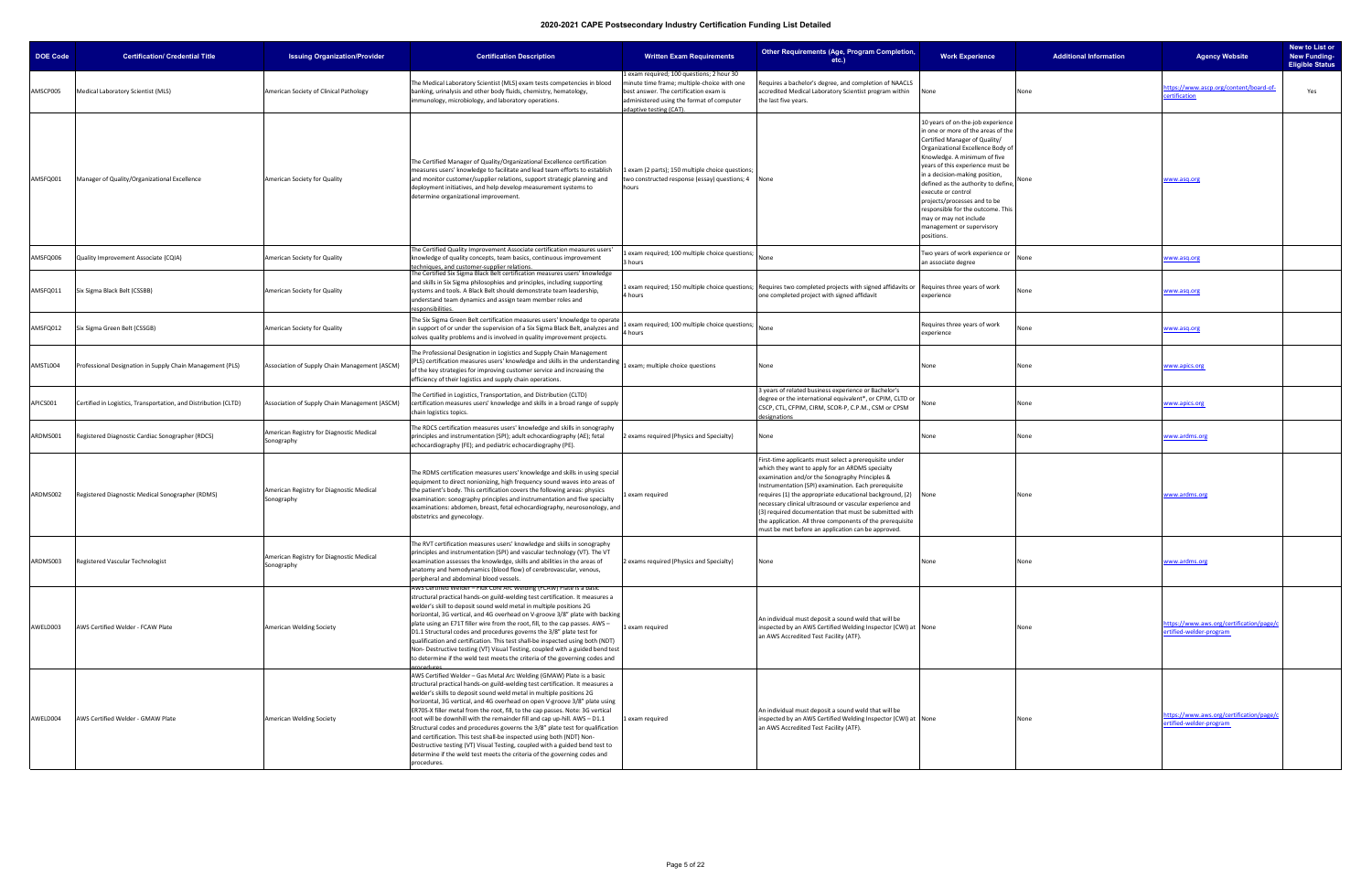| <b>DOE Code</b> | <b>Certification/ Credential Title</b>                          | <b>Issuing Organization/Provider</b>                   | <b>Certification Description</b>                                                                                                                                                                                                                                                                                                                                                                                                                                                                                                                                                                                                                                                                                                                                                                               | <b>Written Exam Requirements</b>                                                                                                                                                                         | Other Requirements (Age, Program Completion,<br>$etc.$ )                                                                                                                                                                                                                                                                                                                                                                                                                                                                 | <b>Work Experience</b>                                                                                                                                                                                                                                                                                                                                                                                                                                    | <b>Additional Information</b> | <b>Agency Website</b>                                               | New to List or<br><b>New Funding-</b><br><b>Eligible Status</b> |
|-----------------|-----------------------------------------------------------------|--------------------------------------------------------|----------------------------------------------------------------------------------------------------------------------------------------------------------------------------------------------------------------------------------------------------------------------------------------------------------------------------------------------------------------------------------------------------------------------------------------------------------------------------------------------------------------------------------------------------------------------------------------------------------------------------------------------------------------------------------------------------------------------------------------------------------------------------------------------------------------|----------------------------------------------------------------------------------------------------------------------------------------------------------------------------------------------------------|--------------------------------------------------------------------------------------------------------------------------------------------------------------------------------------------------------------------------------------------------------------------------------------------------------------------------------------------------------------------------------------------------------------------------------------------------------------------------------------------------------------------------|-----------------------------------------------------------------------------------------------------------------------------------------------------------------------------------------------------------------------------------------------------------------------------------------------------------------------------------------------------------------------------------------------------------------------------------------------------------|-------------------------------|---------------------------------------------------------------------|-----------------------------------------------------------------|
| AMSCP005        | Medical Laboratory Scientist (MLS)                              | American Society of Clinical Pathology                 | The Medical Laboratory Scientist (MLS) exam tests competencies in blood<br>banking, urinalysis and other body fluids, chemistry, hematology,<br>immunology, microbiology, and laboratory operations.                                                                                                                                                                                                                                                                                                                                                                                                                                                                                                                                                                                                           | exam required; 100 questions; 2 hour 30<br>minute time frame; multiple-choice with one<br>best answer. The certification exam is<br>administered using the format of computer<br>adaptive testing (CAT). | Requires a bachelor's degree, and completion of NAACLS<br>accredited Medical Laboratory Scientist program within<br>the last five years.                                                                                                                                                                                                                                                                                                                                                                                 | None                                                                                                                                                                                                                                                                                                                                                                                                                                                      | None                          | ttps://www.ascp.org/content/board-of-<br><b>certification</b>       | Yes                                                             |
| AMSFQ001        | Manager of Quality/Organizational Excellence                    | American Society for Quality                           | The Certified Manager of Quality/Organizational Excellence certification<br>measures users' knowledge to facilitate and lead team efforts to establish<br>and monitor customer/supplier relations, support strategic planning and<br>deployment initiatives, and help develop measurement systems to<br>determine organizational improvement.                                                                                                                                                                                                                                                                                                                                                                                                                                                                  | exam (2 parts); 150 multiple choice questions;<br>two constructed response (essay) questions; 4 None<br>hours                                                                                            |                                                                                                                                                                                                                                                                                                                                                                                                                                                                                                                          | 10 years of on-the-job experience<br>in one or more of the areas of the<br>Certified Manager of Quality/<br>Organizational Excellence Body o<br>Knowledge. A minimum of five<br>years of this experience must be<br>in a decision-making position,<br>defined as the authority to define,<br>execute or control<br>projects/processes and to be<br>responsible for the outcome. Thi:<br>may or may not include<br>management or supervisory<br>positions. |                               | www.asq.org                                                         |                                                                 |
| AMSFQ006        | Quality Improvement Associate (CQIA)                            | American Society for Quality                           | The Certified Quality Improvement Associate certification measures users'<br>knowledge of quality concepts, team basics, continuous improvement<br>techniques, and customer-supplier relations                                                                                                                                                                                                                                                                                                                                                                                                                                                                                                                                                                                                                 | exam required; 100 multiple choice questions;<br>3 hours                                                                                                                                                 | None                                                                                                                                                                                                                                                                                                                                                                                                                                                                                                                     | Two years of work experience or<br>an associate degree                                                                                                                                                                                                                                                                                                                                                                                                    | None                          | www.asq.org                                                         |                                                                 |
| AMSFQ011        | Six Sigma Black Belt (CSSBB)                                    | American Society for Quality                           | The Certified Six Sigma Black Belt certification measures users' knowledge<br>and skills in Six Sigma philosophies and principles, including supporting<br>systems and tools. A Black Belt should demonstrate team leadership,<br>understand team dynamics and assign team member roles and<br>esponsibilities                                                                                                                                                                                                                                                                                                                                                                                                                                                                                                 | 4 hours                                                                                                                                                                                                  | Lexam required; 150 multiple choice questions; Requires two completed projects with signed affidavits or<br>one completed project with signed affidavit                                                                                                                                                                                                                                                                                                                                                                  | Requires three years of work<br>experience                                                                                                                                                                                                                                                                                                                                                                                                                |                               | www.asq.org                                                         |                                                                 |
| AMSFQ012        | Six Sigma Green Belt (CSSGB)                                    | American Society for Quality                           | The Six Sigma Green Belt certification measures users' knowledge to operate<br>in support of or under the supervision of a Six Sigma Black Belt, analyzes and<br>solves quality problems and is involved in quality improvement projects.                                                                                                                                                                                                                                                                                                                                                                                                                                                                                                                                                                      | exam required; 100 multiple choice questions;<br>4 hours                                                                                                                                                 | None                                                                                                                                                                                                                                                                                                                                                                                                                                                                                                                     | Requires three years of work<br>experience                                                                                                                                                                                                                                                                                                                                                                                                                | None                          | www.asq.org                                                         |                                                                 |
| AMSTL004        | Professional Designation in Supply Chain Management (PLS)       | Association of Supply Chain Management (ASCM)          | The Professional Designation in Logistics and Supply Chain Management<br>(PLS) certification measures users' knowledge and skills in the understanding<br>of the key strategies for improving customer service and increasing the<br>efficiency of their logistics and supply chain operations.                                                                                                                                                                                                                                                                                                                                                                                                                                                                                                                | exam; multiple choice questions                                                                                                                                                                          | None                                                                                                                                                                                                                                                                                                                                                                                                                                                                                                                     | None                                                                                                                                                                                                                                                                                                                                                                                                                                                      | None                          | www.apics.org                                                       |                                                                 |
| APICS001        | Certified in Logistics, Transportation, and Distribution (CLTD) | Association of Supply Chain Management (ASCM)          | The Certified in Logistics, Transportation, and Distribution (CLTD)<br>certification measures users' knowledge and skills in a broad range of supply<br>chain logistics topics.                                                                                                                                                                                                                                                                                                                                                                                                                                                                                                                                                                                                                                |                                                                                                                                                                                                          | years of related business experience or Bachelor's<br>degree or the international equivalent*, or CPIM, CLTD or<br>CSCP, CTL, CFPIM, CIRM, SCOR-P, C.P.M., CSM or CPSM<br>designations                                                                                                                                                                                                                                                                                                                                   | None                                                                                                                                                                                                                                                                                                                                                                                                                                                      | None                          | www.apics.org                                                       |                                                                 |
| ARDMS001        | Registered Diagnostic Cardiac Sonographer (RDCS)                | American Registry for Diagnostic Medical<br>Sonography | The RDCS certification measures users' knowledge and skills in sonography<br>principles and instrumentation (SPI); adult echocardiography (AE); fetal<br>echocardiography (FE); and pediatric echocardiography (PE).                                                                                                                                                                                                                                                                                                                                                                                                                                                                                                                                                                                           | 2 exams required (Physics and Specialty)                                                                                                                                                                 | None                                                                                                                                                                                                                                                                                                                                                                                                                                                                                                                     | None                                                                                                                                                                                                                                                                                                                                                                                                                                                      | None                          | www.ardms.org                                                       |                                                                 |
| ARDMS002        | Registered Diagnostic Medical Sonographer (RDMS)                | American Registry for Diagnostic Medical<br>Sonography | The RDMS certification measures users' knowledge and skills in using special<br>equipment to direct nonionizing, high frequency sound waves into areas of<br>the patient's body. This certification covers the following areas: physics<br>examination: sonography principles and instrumentation and five specialty<br>examinations: abdomen, breast, fetal echocardiography, neurosonology, and<br>obstetrics and gynecology.                                                                                                                                                                                                                                                                                                                                                                                | exam required                                                                                                                                                                                            | First-time applicants must select a prerequisite under<br>which they want to apply for an ARDMS specialty<br>examination and/or the Sonography Principles &<br>Instrumentation (SPI) examination. Each prerequisite<br>requires (1) the appropriate educational background, (2)<br>necessary clinical ultrasound or vascular experience and<br>(3) required documentation that must be submitted with<br>the application. All three components of the prerequisite<br>must be met before an application can be approved. | None                                                                                                                                                                                                                                                                                                                                                                                                                                                      | None                          | <u>www.ardms.org</u>                                                |                                                                 |
| ARDMS003        | Registered Vascular Technologist                                | American Registry for Diagnostic Medical<br>Sonography | The RVT certification measures users' knowledge and skills in sonography<br>principles and instrumentation (SPI) and vascular technology (VT). The VT<br>examination assesses the knowledge, skills and abilities in the areas of<br>anatomy and hemodynamics (blood flow) of cerebrovascular, venous,<br>peripheral and abdominal blood vessels.                                                                                                                                                                                                                                                                                                                                                                                                                                                              | 2 exams required (Physics and Specialty)                                                                                                                                                                 | None                                                                                                                                                                                                                                                                                                                                                                                                                                                                                                                     | None                                                                                                                                                                                                                                                                                                                                                                                                                                                      | None                          | www.ardms.org                                                       |                                                                 |
| AWELD003        | AWS Certified Welder - FCAW Plate                               | American Welding Society                               | AWS Certified Welder – Flux Core Arc Welding (FCAW) Plate is a basic<br>structural practical hands-on guild-welding test certification. It measures a<br>welder's skill to deposit sound weld metal in multiple positions 2G<br>horizontal, 3G vertical, and 4G overhead on V-groove 3/8" plate with backing<br>plate using an E71T filler wire from the root, fill, to the cap passes. AWS -<br>D1.1 Structural codes and procedures governs the 3/8" plate test for<br>qualification and certification. This test shall-be inspected using both (NDT)<br>Non-Destructive testing (VT) Visual Testing, coupled with a guided bend test<br>to determine if the weld test meets the criteria of the governing codes and                                                                                         | 1 exam required                                                                                                                                                                                          | An individual must deposit a sound weld that will be<br>inspected by an AWS Certified Welding Inspector (CWI) at None<br>an AWS Accredited Test Facility (ATF).                                                                                                                                                                                                                                                                                                                                                          |                                                                                                                                                                                                                                                                                                                                                                                                                                                           | None                          | ttps://www.aws.org/certification/page/<br>ertified-welder-program   |                                                                 |
| AWELD004        | AWS Certified Welder - GMAW Plate                               | American Welding Society                               | AWS Certified Welder - Gas Metal Arc Welding (GMAW) Plate is a basic<br>structural practical hands-on guild-welding test certification. It measures a<br>welder's skills to deposit sound weld metal in multiple positions 2G<br>horizontal, 3G vertical, and 4G overhead on open V-groove 3/8" plate using<br>ER70S-X filler metal from the root, fill, to the cap passes. Note: 3G vertical<br>root will be downhill with the remainder fill and cap up-hill. AWS - D1.1<br>Structural codes and procedures governs the 3/8" plate test for qualification<br>and certification. This test shall-be inspected using both (NDT) Non-<br>Destructive testing (VT) Visual Testing, coupled with a guided bend test to<br>determine if the weld test meets the criteria of the governing codes and<br>procedures. | 1 exam required                                                                                                                                                                                          | An individual must deposit a sound weld that will be<br>inspected by an AWS Certified Welding Inspector (CWI) at None<br>an AWS Accredited Test Facility (ATF).                                                                                                                                                                                                                                                                                                                                                          |                                                                                                                                                                                                                                                                                                                                                                                                                                                           | None                          | nttps://www.aws.org/certification/page/i<br>ertified-welder-program |                                                                 |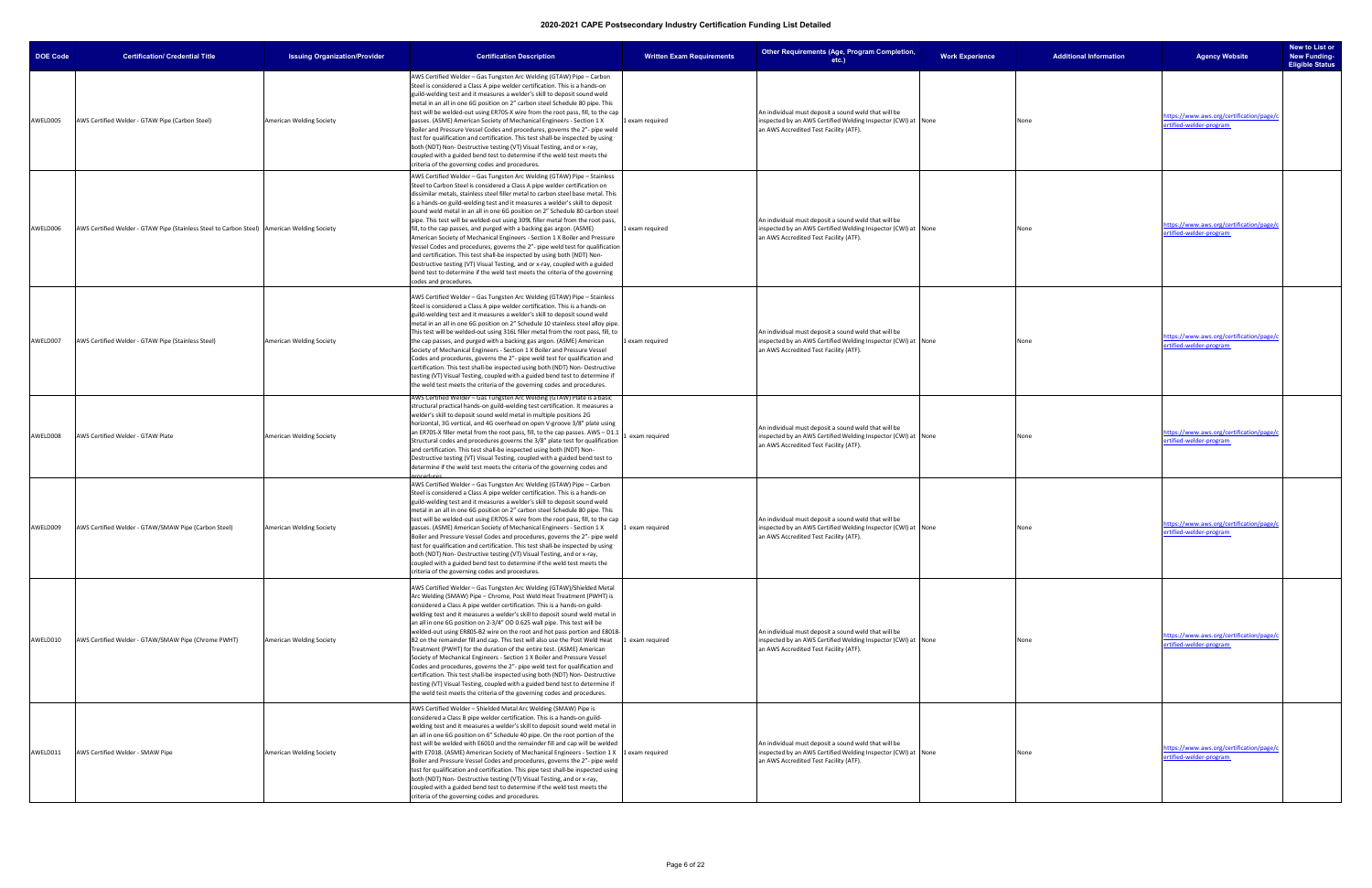| <b>DOE Code</b> | <b>Certification/ Credential Title</b>                                                      | <b>Issuing Organization/Provider</b> | <b>Certification Description</b>                                                                                                                                                                                                                                                                                                                                                                                                                                                                                                                                                                                                                                                                                                                                                                                                                                                                                                                                                                                                     | <b>Written Exam Requirements</b> | Other Requirements (Age, Program Completion,<br>$etc.$ )                                                                                                        | <b>Work Experience</b> | <b>Additional Information</b> | <b>Agency Website</b>                                               | New to List or<br><b>New Funding-</b><br><b>Eligible Status</b> |
|-----------------|---------------------------------------------------------------------------------------------|--------------------------------------|--------------------------------------------------------------------------------------------------------------------------------------------------------------------------------------------------------------------------------------------------------------------------------------------------------------------------------------------------------------------------------------------------------------------------------------------------------------------------------------------------------------------------------------------------------------------------------------------------------------------------------------------------------------------------------------------------------------------------------------------------------------------------------------------------------------------------------------------------------------------------------------------------------------------------------------------------------------------------------------------------------------------------------------|----------------------------------|-----------------------------------------------------------------------------------------------------------------------------------------------------------------|------------------------|-------------------------------|---------------------------------------------------------------------|-----------------------------------------------------------------|
| AWELD005        | AWS Certified Welder - GTAW Pipe (Carbon Steel)                                             | American Welding Society             | AWS Certified Welder - Gas Tungsten Arc Welding (GTAW) Pipe - Carbon<br>Steel is considered a Class A pipe welder certification. This is a hands-on<br>guild-welding test and it measures a welder's skill to deposit sound weld<br>metal in an all in one 6G position on 2" carbon steel Schedule 80 pipe. This<br>test will be welded-out using ER70S-X wire from the root pass, fill, to the cap<br>passes. (ASME) American Society of Mechanical Engineers - Section 1 X<br>Boiler and Pressure Vessel Codes and procedures, governs the 2"- pipe weld<br>test for qualification and certification. This test shall-be inspected by using<br>both (NDT) Non-Destructive testing (VT) Visual Testing, and or x-ray,<br>coupled with a guided bend test to determine if the weld test meets the<br>criteria of the governing codes and procedures.                                                                                                                                                                                 | 1 exam required                  | An individual must deposit a sound weld that will be<br>inspected by an AWS Certified Welding Inspector (CWI) at None<br>an AWS Accredited Test Facility (ATF). |                        | None                          | https://www.aws.org/certification/page/d<br>ertified-welder-program |                                                                 |
| AWELD006        | AWS Certified Welder - GTAW Pipe (Stainless Steel to Carbon Steel) American Welding Society |                                      | AWS Certified Welder - Gas Tungsten Arc Welding (GTAW) Pipe - Stainless<br>Steel to Carbon Steel is considered a Class A pipe welder certification on<br>dissimilar metals, stainless steel filler metal to carbon steel base metal. This<br>is a hands-on guild-welding test and it measures a welder's skill to deposit<br>sound weld metal in an all in one 6G position on 2" Schedule 80 carbon steel<br>pipe. This test will be welded-out using 309L filler metal from the root pass,<br>fill, to the cap passes, and purged with a backing gas argon. (ASME)<br>American Society of Mechanical Engineers - Section 1 X Boiler and Pressure<br>Vessel Codes and procedures, governs the 2"- pipe weld test for qualification<br>and certification. This test shall-be inspected by using both (NDT) Non-<br>Destructive testing (VT) Visual Testing, and or x-ray, coupled with a guided<br>bend test to determine if the weld test meets the criteria of the governing<br>codes and procedures.                               | 1 exam required                  | An individual must deposit a sound weld that will be<br>inspected by an AWS Certified Welding Inspector (CWI) at None<br>an AWS Accredited Test Facility (ATF). |                        | None                          | https://www.aws.org/certification/page/c<br>ertified-welder-program |                                                                 |
| AWELD007        | AWS Certified Welder - GTAW Pipe (Stainless Steel)                                          | <b>American Welding Society</b>      | AWS Certified Welder - Gas Tungsten Arc Welding (GTAW) Pipe - Stainless<br>Steel is considered a Class A pipe welder certification. This is a hands-on<br>guild-welding test and it measures a welder's skill to deposit sound weld<br>metal in an all in one 6G position on 2" Schedule 10 stainless steel alloy pipe.<br>This test will be welded-out using 316L filler metal from the root pass, fill, to<br>the cap passes, and purged with a backing gas argon. (ASME) American<br>Society of Mechanical Engineers - Section 1 X Boiler and Pressure Vessel<br>Codes and procedures, governs the 2"- pipe weld test for qualification and<br>certification. This test shall-be inspected using both (NDT) Non- Destructive<br>testing (VT) Visual Testing, coupled with a guided bend test to determine if<br>the weld test meets the criteria of the governing codes and procedures.                                                                                                                                           | 1 exam required                  | An individual must deposit a sound weld that will be<br>inspected by an AWS Certified Welding Inspector (CWI) at None<br>an AWS Accredited Test Facility (ATF). |                        | None                          | https://www.aws.org/certification/page/d<br>ertified-welder-program |                                                                 |
| AWELD008        | AWS Certified Welder - GTAW Plate                                                           | American Welding Society             | AWS Certified Welder – Gas Tungsten Arc Welding (GTAW) Plate is a basic<br>structural practical hands-on guild-welding test certification. It measures a<br>welder's skill to deposit sound weld metal in multiple positions 2G<br>horizontal, 3G vertical, and 4G overhead on open V-groove 3/8" plate using<br>an ER70S-X filler metal from the root pass, fill, to the cap passes. AWS - D1.1<br>Structural codes and procedures governs the 3/8" plate test for qualification<br>and certification. This test shall-be inspected using both (NDT) Non-<br>Destructive testing (VT) Visual Testing, coupled with a guided bend test to<br>determine if the weld test meets the criteria of the governing codes and                                                                                                                                                                                                                                                                                                                | exam required                    | An individual must deposit a sound weld that will be<br>inspected by an AWS Certified Welding Inspector (CWI) at None<br>an AWS Accredited Test Facility (ATF). |                        | None                          | https://www.aws.org/certification/page/c<br>ertified-welder-program |                                                                 |
| AWELD009        | AWS Certified Welder - GTAW/SMAW Pipe (Carbon Steel)                                        | American Welding Society             | AWS Certified Welder - Gas Tungsten Arc Welding (GTAW) Pipe - Carbon<br>Steel is considered a Class A pipe welder certification. This is a hands-on<br>guild-welding test and it measures a welder's skill to deposit sound weld<br>metal in an all in one 6G position on 2" carbon steel Schedule 80 pipe. This<br>test will be welded-out using ER70S-X wire from the root pass, fill, to the cap<br>passes. (ASME) American Society of Mechanical Engineers - Section 1 X<br>Boiler and Pressure Vessel Codes and procedures, governs the 2"- pipe weld<br>test for qualification and certification. This test shall-be inspected by using<br>both (NDT) Non-Destructive testing (VT) Visual Testing, and or x-ray,<br>coupled with a guided bend test to determine if the weld test meets the<br>criteria of the governing codes and procedures.                                                                                                                                                                                 | 1 exam required                  | An individual must deposit a sound weld that will be<br>inspected by an AWS Certified Welding Inspector (CWI) at None<br>an AWS Accredited Test Facility (ATF). |                        | None                          | https://www.aws.org/certification/page/c<br>ertified-welder-program |                                                                 |
| AWELD010        | AWS Certified Welder - GTAW/SMAW Pipe (Chrome PWHT)                                         | American Welding Society             | AWS Certified Welder - Gas Tungsten Arc Welding (GTAW)/Shielded Metal<br>Arc Welding (SMAW) Pipe - Chrome, Post Weld Heat Treatment (PWHT) is<br>considered a Class A pipe welder certification. This is a hands-on guild-<br>welding test and it measures a welder's skill to deposit sound weld metal in<br>an all in one 6G position on 2-3/4" OD 0.625 wall pipe. This test will be<br>welded-out using ER80S-B2 wire on the root and hot pass portion and E8018-<br>B2 on the remainder fill and cap. This test will also use the Post Weld Heat<br>Treatment (PWHT) for the duration of the entire test. (ASME) American<br>Society of Mechanical Engineers - Section 1 X Boiler and Pressure Vessel<br>Codes and procedures, governs the 2"- pipe weld test for qualification and<br>certification. This test shall-be inspected using both (NDT) Non- Destructive<br>testing (VT) Visual Testing, coupled with a guided bend test to determine if<br>the weld test meets the criteria of the governing codes and procedures. | 1 exam required                  | An individual must deposit a sound weld that will be<br>inspected by an AWS Certified Welding Inspector (CWI) at None<br>an AWS Accredited Test Facility (ATF). |                        | None                          | https://www.aws.org/certification/page/c<br>ertified-welder-program |                                                                 |
| AWELD011        | AWS Certified Welder - SMAW Pipe                                                            | American Welding Society             | AWS Certified Welder - Shielded Metal Arc Welding (SMAW) Pipe is<br>considered a Class B pipe welder certification. This is a hands-on guild-<br>welding test and it measures a welder's skill to deposit sound weld metal in<br>an all in one 6G position on 6" Schedule 40 pipe. On the root portion of the<br>test will be welded with E6010 and the remainder fill and cap will be welded<br>with E7018. (ASME) American Society of Mechanical Engineers - Section 1 X   1 exam required<br>Boiler and Pressure Vessel Codes and procedures, governs the 2"- pipe weld<br>test for qualification and certification. This pipe test shall-be inspected using<br>both (NDT) Non- Destructive testing (VT) Visual Testing, and or x-ray,<br>coupled with a guided bend test to determine if the weld test meets the<br>criteria of the governing codes and procedures.                                                                                                                                                              |                                  | An individual must deposit a sound weld that will be<br>inspected by an AWS Certified Welding Inspector (CWI) at None<br>an AWS Accredited Test Facility (ATF). |                        | None                          | https://www.aws.org/certification/page/c<br>ertified-welder-program |                                                                 |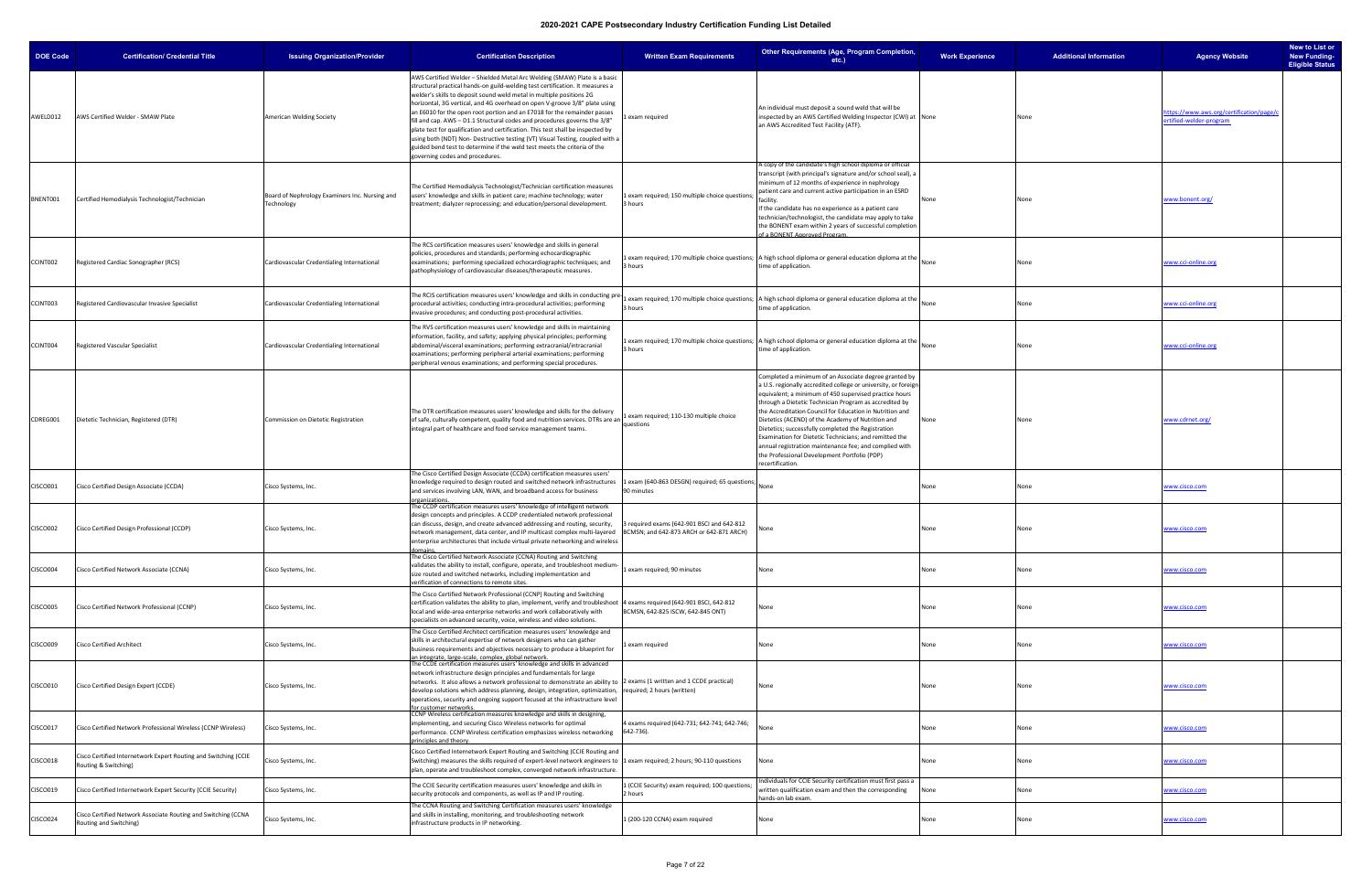| <b>DOE Code</b> | <b>Certification/ Credential Title</b>                                                  | <b>Issuing Organization/Provider</b>                         | <b>Certification Description</b>                                                                                                                                                                                                                                                                                                                                                                                                                                                                                                                                                                                                                                                                                                                             | <b>Written Exam Requirements</b>                             | Other Requirements (Age, Program Completion,<br>etc.)                                                                                                                                                                                                                                                                                                                                                                                                                                                                                                                                                    | <b>Work Experience</b> | <b>Additional Information</b> | <b>Agency Website</b>                                              | New to List or<br><b>New Funding-</b><br><b>Eligible Status</b> |
|-----------------|-----------------------------------------------------------------------------------------|--------------------------------------------------------------|--------------------------------------------------------------------------------------------------------------------------------------------------------------------------------------------------------------------------------------------------------------------------------------------------------------------------------------------------------------------------------------------------------------------------------------------------------------------------------------------------------------------------------------------------------------------------------------------------------------------------------------------------------------------------------------------------------------------------------------------------------------|--------------------------------------------------------------|----------------------------------------------------------------------------------------------------------------------------------------------------------------------------------------------------------------------------------------------------------------------------------------------------------------------------------------------------------------------------------------------------------------------------------------------------------------------------------------------------------------------------------------------------------------------------------------------------------|------------------------|-------------------------------|--------------------------------------------------------------------|-----------------------------------------------------------------|
| AWELD012        | AWS Certified Welder - SMAW Plate                                                       | American Welding Society                                     | AWS Certified Welder - Shielded Metal Arc Welding (SMAW) Plate is a basic<br>structural practical hands-on guild-welding test certification. It measures a<br>welder's skills to deposit sound weld metal in multiple positions 2G<br>horizontal, 3G vertical, and 4G overhead on open V-groove 3/8" plate using<br>an E6010 for the open root portion and an E7018 for the remainder passes<br>fill and cap. AWS - D1.1 Structural codes and procedures governs the 3/8"<br>plate test for qualification and certification. This test shall be inspected by<br>using both (NDT) Non- Destructive testing (VT) Visual Testing, coupled with a<br>guided bend test to determine if the weld test meets the criteria of the<br>governing codes and procedures. | exam required                                                | An individual must deposit a sound weld that will be<br>inspected by an AWS Certified Welding Inspector (CWI) at None<br>an AWS Accredited Test Facility (ATF).                                                                                                                                                                                                                                                                                                                                                                                                                                          |                        |                               | ttps://www.aws.org/certification/page/d<br>ertified-welder-program |                                                                 |
| BNENT001        | Certified Hemodialysis Technologist/Technician                                          | Board of Nephrology Examiners Inc. Nursing and<br>Technology | The Certified Hemodialysis Technologist/Technician certification measures<br>users' knowledge and skills in patient care; machine technology; water<br>treatment; dialyzer reprocessing; and education/personal development.                                                                                                                                                                                                                                                                                                                                                                                                                                                                                                                                 | 1 exam required; 150 multiple choice questions;<br>3 hours   | copy of the candidate's high school diploma or official<br>transcript (with principal's signature and/or school seal), a<br>minimum of 12 months of experience in nephrology<br>patient care and current active participation in an ESRD<br>facility.<br>If the candidate has no experience as a patient care<br>technician/technologist, the candidate may apply to take<br>the BONENT exam within 2 years of successful completion<br>f a BONENT Approved Program.                                                                                                                                     | None                   |                               | www.bonent.org/                                                    |                                                                 |
| CCINT002        | Registered Cardiac Sonographer (RCS)                                                    | Cardiovascular Credentialing International                   | The RCS certification measures users' knowledge and skills in general<br>policies, procedures and standards; performing echocardiographic<br>examinations; performing specialized echocardiographic techniques; and<br>pathophysiology of cardiovascular diseases/therapeutic measures.                                                                                                                                                                                                                                                                                                                                                                                                                                                                      | 3 hours                                                      | Lexam required; 170 multiple choice questions;   A high school diploma or general education diploma at the<br>time of application.                                                                                                                                                                                                                                                                                                                                                                                                                                                                       | None                   | None                          | www.cci-online.org                                                 |                                                                 |
| CCINT003        | Registered Cardiovascular Invasive Specialist                                           | Cardiovascular Credentialing International                   | The RCIS certification measures users' knowledge and skills in conducting pr<br>procedural activities; conducting intra-procedural activities; performing<br>invasive procedures; and conducting post-procedural activities.                                                                                                                                                                                                                                                                                                                                                                                                                                                                                                                                 | 3 hours                                                      | exam required; 170 multiple choice questions;   A high school diploma or general education diploma at the<br>time of application.                                                                                                                                                                                                                                                                                                                                                                                                                                                                        |                        |                               | www.cci-online.org                                                 |                                                                 |
| CCINT004        | Registered Vascular Specialist                                                          | Cardiovascular Credentialing International                   | The RVS certification measures users' knowledge and skills in maintaining<br>information, facility, and safety; applying physical principles; performing<br>abdominal/visceral examinations; performing extracranial/intracranial<br>examinations; performing peripheral arterial examinations; performing<br>peripheral venous examinations; and performing special procedures.                                                                                                                                                                                                                                                                                                                                                                             | 3 hours                                                      | 1 exam required; 170 multiple choice questions; A high school diploma or general education diploma at the None<br>time of application.                                                                                                                                                                                                                                                                                                                                                                                                                                                                   |                        | None                          | www.cci-online.org                                                 |                                                                 |
| CDREG001        | Dietetic Technician, Registered (DTR)                                                   | Commission on Dietetic Registration                          | The DTR certification measures users' knowledge and skills for the delivery<br>of safe, culturally competent, quality food and nutrition services. DTRs are an<br>integral part of healthcare and food service management teams.                                                                                                                                                                                                                                                                                                                                                                                                                                                                                                                             | 1 exam required; 110-130 multiple choice<br>questions        | Completed a minimum of an Associate degree granted by<br>U.S. regionally accredited college or university, or foreign<br>equivalent; a minimum of 450 supervised practice hours<br>through a Dietetic Technician Program as accredited by<br>the Accreditation Council for Education in Nutrition and<br>Dietetics (ACEND) of the Academy of Nutrition and<br>Dietetics; successfully completed the Registration<br>Examination for Dietetic Technicians; and remitted the<br>annual registration maintenance fee; and complied with<br>the Professional Development Portfolio (PDP)<br>recertification. | None                   |                               | www.cdrnet.org/                                                    |                                                                 |
| CISCO001        | Cisco Certified Design Associate (CCDA)                                                 | Cisco Systems, Inc.                                          | The Cisco Certified Design Associate (CCDA) certification measures users'<br>knowledge required to design routed and switched network infrastructures<br>and services involving LAN, WAN, and broadband access for business<br>organizations.                                                                                                                                                                                                                                                                                                                                                                                                                                                                                                                | 1 exam (640-863 DESGN) required; 65 questions;<br>90 minutes |                                                                                                                                                                                                                                                                                                                                                                                                                                                                                                                                                                                                          | None                   | None                          | www.cisco.com                                                      |                                                                 |
| <b>CISCO002</b> | Cisco Certified Design Professional (CCDP)                                              | Cisco Systems, Inc.                                          | The CCDP certification measures users' knowledge of intelligent network<br>design concepts and principles. A CCDP credentialed network professional<br>can discuss, design, and create advanced addressing and routing, security,<br>network management, data center, and IP multicast complex multi-layered  BCMSN; and 642-873 ARCH or 642-871 ARCH)<br>nterprise architectures that include virtual private networking and wireless<br>omains                                                                                                                                                                                                                                                                                                             | 3 required exams (642-901 BSCI and 642-812                   | lone                                                                                                                                                                                                                                                                                                                                                                                                                                                                                                                                                                                                     | None                   |                               | www.cisco.com                                                      |                                                                 |
| CISCO004        | Cisco Certified Network Associate (CCNA)                                                | Cisco Systems, Inc.                                          | The Cisco Certified Network Associate (CCNA) Routing and Switching<br>validates the ability to install, configure, operate, and troubleshoot medium<br>size routed and switched networks, including implementation and<br>verification of connections to remote sites.                                                                                                                                                                                                                                                                                                                                                                                                                                                                                       | 1 exam required; 90 minutes                                  | None                                                                                                                                                                                                                                                                                                                                                                                                                                                                                                                                                                                                     | None                   | None                          | www.cisco.com                                                      |                                                                 |
| <b>CISCO005</b> | Cisco Certified Network Professional (CCNP)                                             | Cisco Systems, Inc.                                          | The Cisco Certified Network Professional (CCNP) Routing and Switching<br>certification validates the ability to plan, implement, verify and troubleshoot  4 exams required (642-901 BSCI, 642-812<br>local and wide-area enterprise networks and work collaboratively with<br>specialists on advanced security, voice, wireless and video solutions.                                                                                                                                                                                                                                                                                                                                                                                                         | BCMSN, 642-825 ISCW, 642-845 ONT)                            | vone                                                                                                                                                                                                                                                                                                                                                                                                                                                                                                                                                                                                     | None                   | None                          | www.cisco.com                                                      |                                                                 |
| <b>CISCO009</b> | <b>Cisco Certified Architect</b>                                                        | Cisco Systems, Inc.                                          | The Cisco Certified Architect certification measures users' knowledge and<br>skills in architectural expertise of network designers who can gather<br>business requirements and objectives necessary to produce a blueprint for<br>an integrate, large-scale, complex, global network.                                                                                                                                                                                                                                                                                                                                                                                                                                                                       | exam required                                                | None                                                                                                                                                                                                                                                                                                                                                                                                                                                                                                                                                                                                     | None                   | None                          | www.cisco.com                                                      |                                                                 |
| <b>CISCO010</b> | Cisco Certified Design Expert (CCDE)                                                    | Cisco Systems, Inc.                                          | The CCDE certification measures users' knowledge and skills in advanced<br>network infrastructure design principles and fundamentals for large<br>networks. It also allows a network professional to demonstrate an ability to 2 exams (1 written and 1 CCDE practical)<br>develop solutions which address planning, design, integration, optimization, required; 2 hours (written)<br>operations, security and ongoing support focused at the infrastructure level<br>or customer networks.                                                                                                                                                                                                                                                                 |                                                              | None                                                                                                                                                                                                                                                                                                                                                                                                                                                                                                                                                                                                     | None                   | None                          | www.cisco.com                                                      |                                                                 |
| CISCO017        | Cisco Certified Network Professional Wireless (CCNP Wireless)                           | Cisco Systems, Inc.                                          | CCNP Wireless certification measures knowledge and skills in designing,<br>implementing, and securing Cisco Wireless networks for optimal<br>performance. CCNP Wireless certification emphasizes wireless networking<br>principles and theory.                                                                                                                                                                                                                                                                                                                                                                                                                                                                                                               | 4 exams required (642-731; 642-741; 642-746;<br>642-736).    | None                                                                                                                                                                                                                                                                                                                                                                                                                                                                                                                                                                                                     | None                   | None                          | www.cisco.com                                                      |                                                                 |
| CISCO018        | Cisco Certified Internetwork Expert Routing and Switching (CCIE<br>Routing & Switching) | Cisco Systems, Inc.                                          | Cisco Certified Internetwork Expert Routing and Switching (CCIE Routing and<br>Switching) measures the skills required of expert-level network engineers to 1 exam required; 2 hours; 90-110 questions<br>plan, operate and troubleshoot complex, converged network infrastructure                                                                                                                                                                                                                                                                                                                                                                                                                                                                           |                                                              | None                                                                                                                                                                                                                                                                                                                                                                                                                                                                                                                                                                                                     | None                   | None                          | www.cisco.com                                                      |                                                                 |
| CISCO019        | Cisco Certified Internetwork Expert Security (CCIE Security)                            | Cisco Systems, Inc.                                          | The CCIE Security certification measures users' knowledge and skills in<br>security protocols and components, as well as IP and IP routing.                                                                                                                                                                                                                                                                                                                                                                                                                                                                                                                                                                                                                  | 1 (CCIE Security) exam required; 100 questions;<br>2 hours   | Individuals for CCIE Security certification must first pass a<br>written qualification exam and then the corresponding<br>ands-on lab exam.                                                                                                                                                                                                                                                                                                                                                                                                                                                              | None                   | None                          | www.cisco.com                                                      |                                                                 |
| <b>CISCO024</b> | Cisco Certified Network Associate Routing and Switching (CCNA<br>Routing and Switching) | Cisco Systems, Inc.                                          | The CCNA Routing and Switching Certification measures users' knowledge<br>and skills in installing, monitoring, and troubleshooting network<br>infrastructure products in IP networking.                                                                                                                                                                                                                                                                                                                                                                                                                                                                                                                                                                     | 1 (200-120 CCNA) exam required                               | None                                                                                                                                                                                                                                                                                                                                                                                                                                                                                                                                                                                                     | None                   |                               | www.cisco.com                                                      |                                                                 |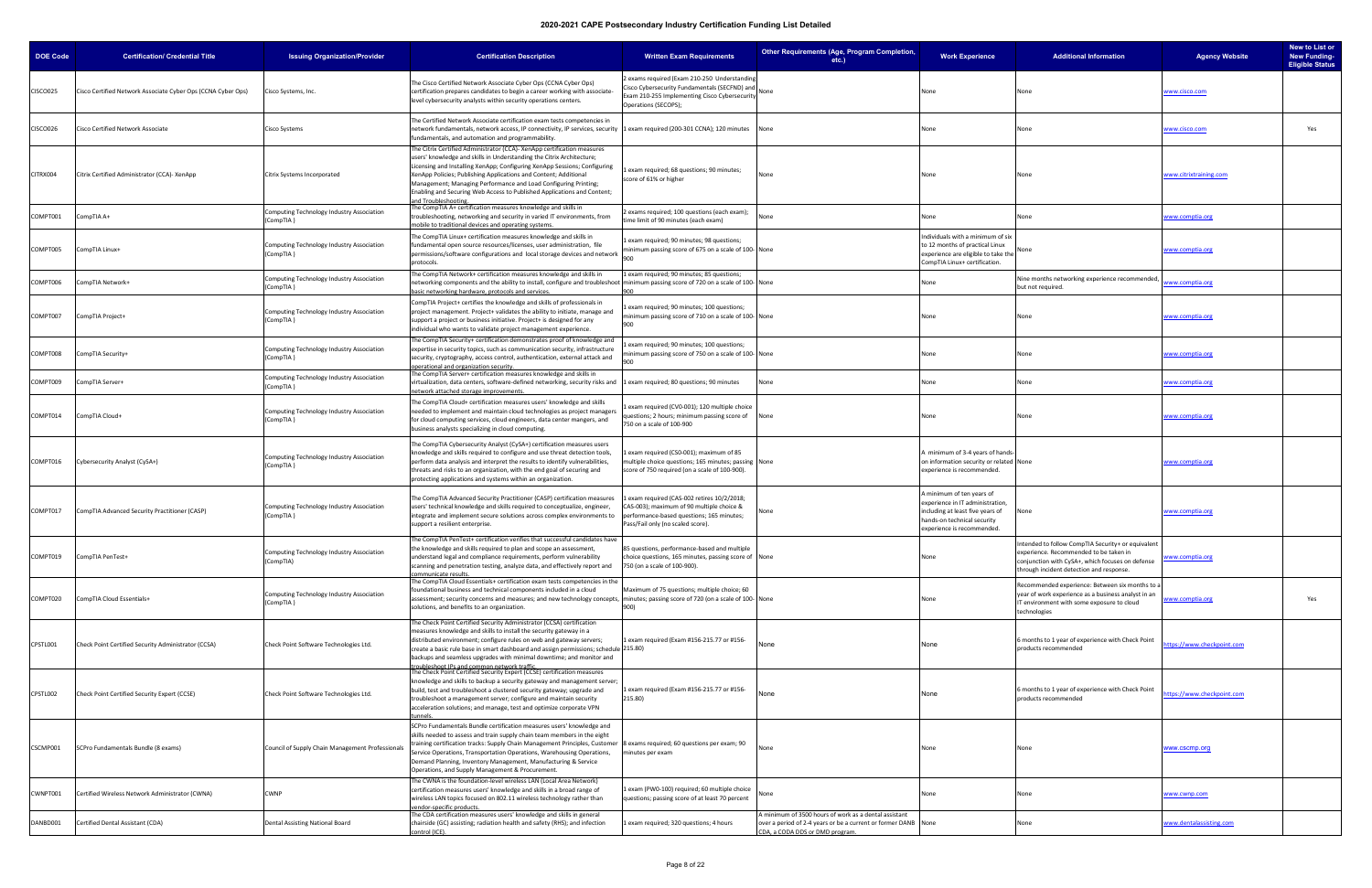| <b>DOE Code</b> | <b>Certification/ Credential Title</b>                       | <b>Issuing Organization/Provider</b>                   | <b>Certification Description</b>                                                                                                                                                                                                                                                                                                                                                                                                                                             | <b>Written Exam Requirements</b>                                                                                                                                         | Other Requirements (Age, Program Completion,<br>etc.)                                                                                                      | <b>Work Experience</b>                                                                                                                                         | <b>Additional Information</b>                                                                                                                                                               | <b>Agency Website</b>     | New to List or<br><b>New Funding-</b><br><b>Eligible Status</b> |
|-----------------|--------------------------------------------------------------|--------------------------------------------------------|------------------------------------------------------------------------------------------------------------------------------------------------------------------------------------------------------------------------------------------------------------------------------------------------------------------------------------------------------------------------------------------------------------------------------------------------------------------------------|--------------------------------------------------------------------------------------------------------------------------------------------------------------------------|------------------------------------------------------------------------------------------------------------------------------------------------------------|----------------------------------------------------------------------------------------------------------------------------------------------------------------|---------------------------------------------------------------------------------------------------------------------------------------------------------------------------------------------|---------------------------|-----------------------------------------------------------------|
| <b>CISCO025</b> | Cisco Certified Network Associate Cyber Ops (CCNA Cyber Ops) | Cisco Systems, Inc.                                    | The Cisco Certified Network Associate Cyber Ops (CCNA Cyber Ops)<br>certification prepares candidates to begin a career working with associate-<br>level cybersecurity analysts within security operations centers.                                                                                                                                                                                                                                                          | 2 exams required (Exam 210-250 Understanding<br>Cisco Cybersecurity Fundamentals (SECFND) and<br>Exam 210-255 Implementing Cisco Cybersecurity<br>Operations (SECOPS);   |                                                                                                                                                            | vone                                                                                                                                                           |                                                                                                                                                                                             | www.cisco.com             |                                                                 |
| <b>CISCO026</b> | Cisco Certified Network Associate                            | Cisco Systems                                          | The Certified Network Associate certification exam tests competencies in<br>network fundamentals, network access, IP connectivity, IP services, security 1 exam required (200-301 CCNA); 120 minutes None<br>fundamentals, and automation and programmability.                                                                                                                                                                                                               |                                                                                                                                                                          |                                                                                                                                                            | None                                                                                                                                                           |                                                                                                                                                                                             | www.cisco.com             | Yes                                                             |
| CITRX004        | Citrix Certified Administrator (CCA)- XenApp                 | Citrix Systems Incorporated                            | The Citrix Certified Administrator (CCA)- XenApp certification measures<br>users' knowledge and skills in Understanding the Citrix Architecture;<br>Licensing and Installing XenApp; Configuring XenApp Sessions; Configuring<br>XenApp Policies; Publishing Applications and Content; Additional<br>Management; Managing Performance and Load Configuring Printing;<br>Enabling and Securing Web Access to Published Applications and Content;<br>nd Troubleshooting        | exam required; 68 questions; 90 minutes;<br>score of 61% or higher                                                                                                       | vone                                                                                                                                                       | None                                                                                                                                                           | None                                                                                                                                                                                        | www.citrixtraining.com    |                                                                 |
| COMPT001        | CompTIA A+                                                   | Computing Technology Industry Association<br>(CompTIA) | The CompTIA A+ certification measures knowledge and skills in<br>troubleshooting, networking and security in varied IT environments, from<br>nobile to traditional devices and operating systems                                                                                                                                                                                                                                                                             | 2 exams required; 100 questions (each exam);<br>time limit of 90 minutes (each exam)                                                                                     | vone                                                                                                                                                       | None                                                                                                                                                           | None                                                                                                                                                                                        | www.comptia.org           |                                                                 |
| COMPT005        | CompTIA Linux+                                               | Computing Technology Industry Association<br>(CompTIA) | The CompTIA Linux+ certification measures knowledge and skills in<br>fundamental open source resources/licenses, user administration, file<br>permissions/software configurations and local storage devices and network<br>protocols.                                                                                                                                                                                                                                        | exam required; 90 minutes; 98 questions;<br>minimum passing score of 675 on a scale of 100-None                                                                          |                                                                                                                                                            | Individuals with a minimum of six<br>to 12 months of practical Linux<br>experience are eligible to take the<br>CompTIA Linux+ certification.                   |                                                                                                                                                                                             | www.comptia.org           |                                                                 |
| COMPT006        | CompTIA Network+                                             | Computing Technology Industry Association<br>(CompTIA) | The CompTIA Network+ certification measures knowledge and skills in<br>networking components and the ability to install, configure and troubleshoot minimum passing score of 720 on a scale of 100- None<br>pasic networking hardware, protocols and services.                                                                                                                                                                                                               | 1 exam required; 90 minutes; 85 questions;                                                                                                                               |                                                                                                                                                            | None                                                                                                                                                           | Nine months networking experience recommended,<br>but not required.                                                                                                                         | www.comptia.org           |                                                                 |
| COMPT007        | CompTIA Project+                                             | Computing Technology Industry Association<br>(CompTIA) | CompTIA Project+ certifies the knowledge and skills of professionals in<br>project management. Project+ validates the ability to initiate, manage and<br>support a project or business initiative. Project+ is designed for any<br>individual who wants to validate project management experience.                                                                                                                                                                           | exam required; 90 minutes; 100 questions;<br>minimum passing score of 710 on a scale of 100-None<br>900                                                                  |                                                                                                                                                            | None                                                                                                                                                           | None                                                                                                                                                                                        | www.comptia.org           |                                                                 |
| COMPT008        | CompTIA Security+                                            | Computing Technology Industry Association<br>(CompTIA) | The CompTIA Security+ certification demonstrates proof of knowledge and<br>expertise in security topics, such as communication security, infrastructure<br>security, cryptography, access control, authentication, external attack and<br>operational and organization security.                                                                                                                                                                                             | exam required; 90 minutes; 100 questions;<br>minimum passing score of 750 on a scale of 100-None<br>900                                                                  |                                                                                                                                                            | None                                                                                                                                                           | None                                                                                                                                                                                        | www.comptia.org           |                                                                 |
| COMPT009        | CompTIA Server+                                              | Computing Technology Industry Association<br>(CompTIA) | The CompTIA Server+ certification measures knowledge and skills in<br>virtualization, data centers, software-defined networking, security risks and 1 exam required; 80 questions; 90 minutes<br>network attached storage improvements.                                                                                                                                                                                                                                      |                                                                                                                                                                          | None                                                                                                                                                       | None                                                                                                                                                           |                                                                                                                                                                                             | www.comptia.org           |                                                                 |
| COMPT014        | CompTIA Cloud+                                               | Computing Technology Industry Association<br>(CompTIA) | The CompTIA Cloud+ certification measures users' knowledge and skills<br>needed to implement and maintain cloud technologies as project manager.<br>for cloud computing services, cloud engineers, data center mangers, and<br>business analysts specializing in cloud computing.                                                                                                                                                                                            | 1 exam required (CV0-001); 120 multiple choice<br>questions; 2 hours; minimum passing score of<br>750 on a scale of 100-900                                              | None                                                                                                                                                       | None                                                                                                                                                           | None                                                                                                                                                                                        | www.comptia.org           |                                                                 |
| COMPT016        | Cybersecurity Analyst (CySA+)                                | Computing Technology Industry Association<br>(CompTIA) | The CompTIA Cybersecurity Analyst (CySA+) certification measures users<br>knowledge and skills required to configure and use threat detection tools,<br>perform data analysis and interpret the results to identify vulnerabilities,<br>threats and risks to an organization, with the end goal of securing and<br>protecting applications and systems within an organization.                                                                                               | exam required (CS0-001); maximum of 85<br>multiple choice questions; 165 minutes; passing None<br>score of 750 required (on a scale of 100-900).                         |                                                                                                                                                            | A minimum of 3-4 years of hands<br>on information security or related None<br>experience is recommended.                                                       |                                                                                                                                                                                             | www.comptia.org           |                                                                 |
| COMPT017        | CompTIA Advanced Security Practitioner (CASP)                | Computing Technology Industry Association<br>(CompTIA) | The CompTIA Advanced Security Practitioner (CASP) certification measures<br>users' technical knowledge and skills required to conceptualize, engineer,<br>integrate and implement secure solutions across complex environments to<br>support a resilient enterprise.                                                                                                                                                                                                         | exam required (CAS-002 retires 10/2/2018;<br>CAS-003); maximum of 90 multiple choice &<br>performance-based questions; 165 minutes;<br>Pass/Fail only (no scaled score). | lone                                                                                                                                                       | A minimum of ten years of<br>experience in IT administration,<br>including at least five years of<br>hands-on technical security<br>experience is recommended. | None                                                                                                                                                                                        | www.comptia.org           |                                                                 |
| COMPT019        | CompTIA PenTest+                                             | Computing Technology Industry Association<br>(CompTIA) | The CompTIA PenTest+ certification verifies that successful candidates have<br>the knowledge and skills required to plan and scope an assessment,<br>understand legal and compliance requirements, perform vulnerability<br>scanning and penetration testing, analyze data, and effectively report and<br>ommunicate results                                                                                                                                                 | 85 questions, performance-based and multiple<br>choice questions, 165 minutes, passing score of None<br>750 (on a scale of 100-900).                                     |                                                                                                                                                            | None                                                                                                                                                           | ntended to follow CompTIA Security+ or equivalent<br>experience. Recommended to be taken in<br>conjunction with CySA+, which focuses on defense<br>through incident detection and response. | <u>/ww.comptia.org</u>    |                                                                 |
| COMPT020        | CompTIA Cloud Essentials+                                    | Computing Technology Industry Association<br>(CompTIA) | The CompTIA Cloud Essentials+ certification exam tests competencies in the<br>foundational business and technical components included in a cloud<br>assessment; security concerns and measures; and new technology concepts, minutes; passing score of 720 (on a scale of 100- None<br>solutions, and benefits to an organization.                                                                                                                                           | Maximum of 75 questions; multiple choice; 60<br>900)                                                                                                                     |                                                                                                                                                            | None                                                                                                                                                           | Recommended experience: Between six months to a<br>year of work experience as a business analyst in an<br>T environment with some exposure to cloud<br>technologies                         | www.comptia.org           | Yes                                                             |
| CPSTL001        | Check Point Certified Security Administrator (CCSA)          | Check Point Software Technologies Ltd.                 | The Check Point Certified Security Administrator (CCSA) certification<br>measures knowledge and skills to install the security gateway in a<br>distributed environment; configure rules on web and gateway servers;<br>create a basic rule base in smart dashboard and assign permissions; schedule 215.80)<br>backups and seamless upgrades with minimal downtime; and monitor and<br>oubleshoot IPs and common network traffic                                             | 1 exam required (Exam #156-215.77 or #156-                                                                                                                               | None                                                                                                                                                       | None                                                                                                                                                           | months to 1 year of experience with Check Point<br>products recommended                                                                                                                     | ttps://www.checkpoint.com |                                                                 |
| CPSTL002        | Check Point Certified Security Expert (CCSE)                 | Check Point Software Technologies Ltd.                 | The Check Point Certified Security Expert (CCSE) certification measures<br>knowledge and skills to backup a security gateway and management server;<br>build, test and troubleshoot a clustered security gateway; upgrade and<br>troubleshoot a management server; configure and maintain security<br>acceleration solutions; and manage, test and optimize corporate VPN                                                                                                    | 1 exam required (Exam #156-215.77 or #156-<br>215.80)                                                                                                                    | None                                                                                                                                                       | None                                                                                                                                                           | months to 1 year of experience with Check Point<br>products recommended                                                                                                                     | ttps://www.checkpoint.com |                                                                 |
| CSCMP001        | SCPro Fundamentals Bundle (8 exams)                          | Council of Supply Chain Management Professionals       | SCPro Fundamentals Bundle certification measures users' knowledge and<br>skills needed to assess and train supply chain team members in the eight<br>training certification tracks: Supply Chain Management Principles, Customer 8 exams required; 60 questions per exam; 90<br>Service Operations, Transportation Operations, Warehousing Operations,<br>Demand Planning, Inventory Management, Manufacturing & Service<br>Operations, and Supply Management & Procurement. | minutes per exam                                                                                                                                                         | None                                                                                                                                                       | None                                                                                                                                                           | None                                                                                                                                                                                        | www.cscmp.org             |                                                                 |
| CWNPT001        | Certified Wireless Network Administrator (CWNA)              | <b>CWNP</b>                                            | The CWNA is the foundation-level wireless LAN (Local Area Network)<br>certification measures users' knowledge and skills in a broad range of<br>wireless LAN topics focused on 802.11 wireless technology rather than<br>endor-specific products                                                                                                                                                                                                                             | 1 exam (PW0-100) required; 60 multiple choice<br>questions; passing score of at least 70 percent                                                                         | Ione                                                                                                                                                       | None                                                                                                                                                           | None                                                                                                                                                                                        | www.cwnp.com              |                                                                 |
| DANBD001        | Certified Dental Assistant (CDA)                             | Dental Assisting National Board                        | The CDA certification measures users' knowledge and skills in general<br>chairside (GC) assisting; radiation health and safety (RHS); and infection<br>control (ICE).                                                                                                                                                                                                                                                                                                        | 1 exam required; 320 questions; 4 hours                                                                                                                                  | A minimum of 3500 hours of work as a dental assistant<br>over a period of 2-4 years or be a current or former DANB None<br>CDA, a CODA DDS or DMD program. |                                                                                                                                                                |                                                                                                                                                                                             | www.dentalassisting.com   |                                                                 |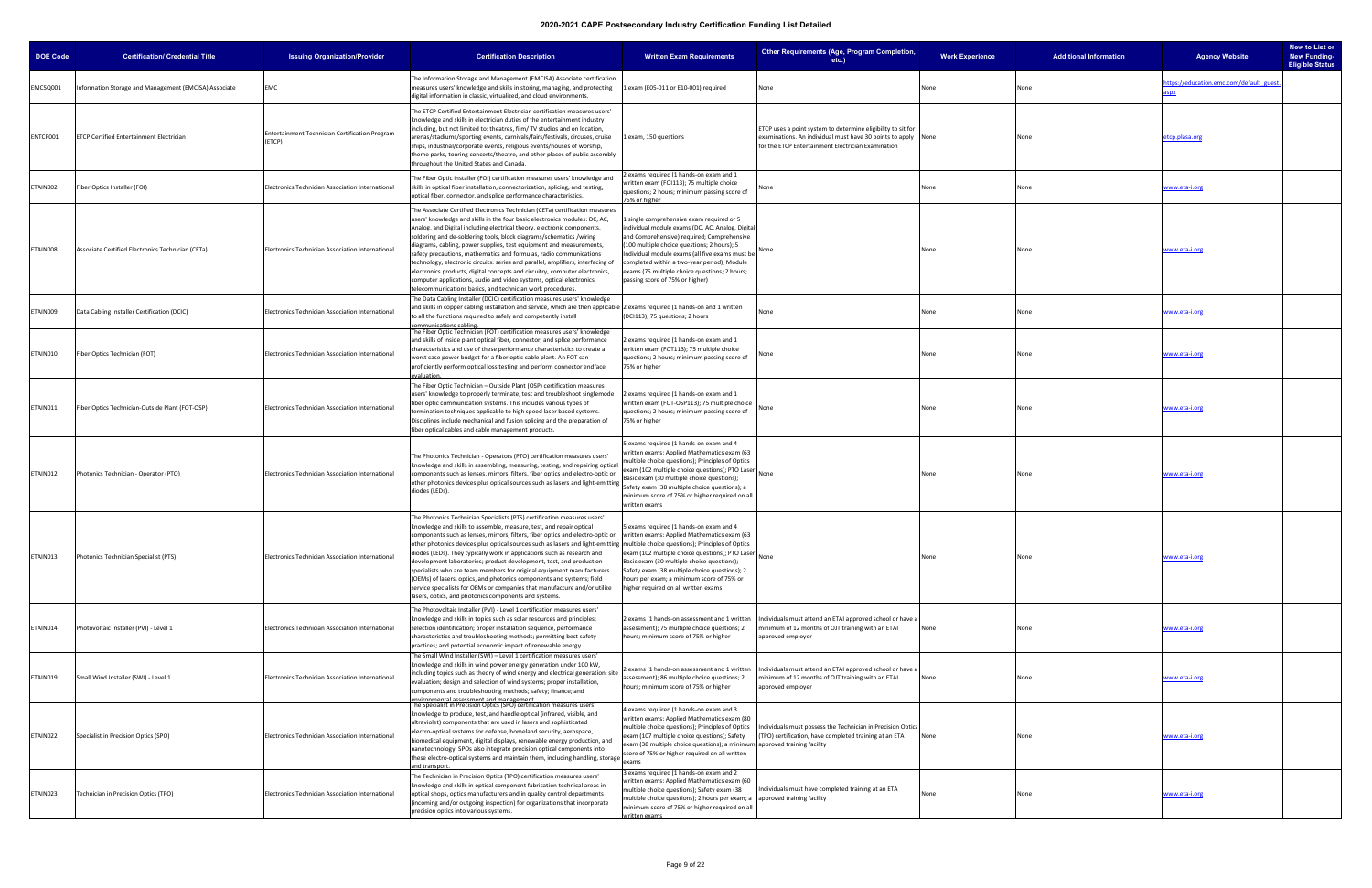| <b>DOE Code</b> | <b>Certification/ Credential Title</b>                | <b>Issuing Organization/Provider</b>                     | <b>Certification Description</b>                                                                                                                                                                                                                                                                                                                                                                                                                                                                                                                                                                                                                                                                                                                                                                                                                           | <b>Written Exam Requirements</b>                                                                                                                                                                                                                                                                                                                                                 | Other Requirements (Age, Program Completion,<br>etc.)                                                                                                                               | <b>Work Experience</b> | <b>Additional Information</b> | <b>Agency Website</b>                  | New to List or<br><b>New Funding-</b><br><b>Eligible Status</b> |
|-----------------|-------------------------------------------------------|----------------------------------------------------------|------------------------------------------------------------------------------------------------------------------------------------------------------------------------------------------------------------------------------------------------------------------------------------------------------------------------------------------------------------------------------------------------------------------------------------------------------------------------------------------------------------------------------------------------------------------------------------------------------------------------------------------------------------------------------------------------------------------------------------------------------------------------------------------------------------------------------------------------------------|----------------------------------------------------------------------------------------------------------------------------------------------------------------------------------------------------------------------------------------------------------------------------------------------------------------------------------------------------------------------------------|-------------------------------------------------------------------------------------------------------------------------------------------------------------------------------------|------------------------|-------------------------------|----------------------------------------|-----------------------------------------------------------------|
| MCSQ001         | Information Storage and Management (EMCISA) Associate | EMC                                                      | The Information Storage and Management (EMCISA) Associate certification<br>measures users' knowledge and skills in storing, managing, and protecting<br>digital information in classic, virtualized, and cloud environments.                                                                                                                                                                                                                                                                                                                                                                                                                                                                                                                                                                                                                               | 1 exam (E05-011 or E10-001) required                                                                                                                                                                                                                                                                                                                                             | None                                                                                                                                                                                | None                   | lone                          | ttps://education.emc.com/default_guest |                                                                 |
| NTCP001         | <b>ETCP Certified Entertainment Electrician</b>       | Entertainment Technician Certification Program<br>(ETCP) | The ETCP Certified Entertainment Electrician certification measures users'<br>knowledge and skills in electrician duties of the entertainment industry<br>including, but not limited to: theatres, film/ TV studios and on location,<br>arenas/stadiums/sporting events, carnivals/fairs/festivals, circuses, cruise<br>ships, industrial/corporate events, religious events/houses of worship,<br>theme parks, touring concerts/theatre, and other places of public assembly<br>hroughout the United States and Canada.                                                                                                                                                                                                                                                                                                                                   | 1 exam, 150 questions                                                                                                                                                                                                                                                                                                                                                            | ETCP uses a point system to determine eligibility to sit for<br>examinations. An individual must have 30 points to apply None<br>for the ETCP Entertainment Electrician Examination |                        | None                          | etcp.plasa.org                         |                                                                 |
| ETAIN002        | Fiber Optics Installer (FOI)                          | Electronics Technician Association International         | The Fiber Optic Installer (FOI) certification measures users' knowledge and<br>skills in optical fiber installation, connectorization, splicing, and testing,<br>optical fiber, connector, and splice performance characteristics.                                                                                                                                                                                                                                                                                                                                                                                                                                                                                                                                                                                                                         | 2 exams required (1 hands-on exam and 1<br>written exam (FOI113); 75 multiple choice<br>questions; 2 hours; minimum passing score of<br>75% or higher                                                                                                                                                                                                                            | one                                                                                                                                                                                 | None                   | None                          | www.eta-i.org                          |                                                                 |
| ETAIN008        | Associate Certified Electronics Technician (CETa)     | Electronics Technician Association International         | The Associate Certified Electronics Technician (CETa) certification measures<br>users' knowledge and skills in the four basic electronics modules: DC, AC,<br>Analog, and Digital including electrical theory, electronic components,<br>soldering and de-soldering tools, block diagrams/schematics /wiring<br>diagrams, cabling, power supplies, test equipment and measurements,<br>safety precautions, mathematics and formulas, radio communications<br>technology, electronic circuits: series and parallel, amplifiers, interfacing of<br>electronics products, digital concepts and circuitry, computer electronics,<br>computer applications, audio and video systems, optical electronics,<br>telecommunications basics, and technician work procedures.                                                                                         | 1 single comprehensive exam required or 5<br>individual module exams (DC, AC, Analog, Digital<br>and Comprehensive) required; Comprehensive<br>(100 multiple choice questions; 2 hours); 5<br>Individual module exams (all five exams must be<br>completed within a two-year period); Module<br>exams (75 multiple choice questions; 2 hours;<br>passing score of 75% or higher) |                                                                                                                                                                                     | None                   | None                          | www.eta-i.org                          |                                                                 |
| ETAIN009        | Data Cabling Installer Certification (DCIC)           | Electronics Technician Association International         | The Data Cabling Installer (DCIC) certification measures users' knowledge<br>and skills in copper cabling installation and service, which are then applicable  2 exams required (1 hands-on and 1 written<br>to all the functions required to safely and competently install<br>ommunications cabling                                                                                                                                                                                                                                                                                                                                                                                                                                                                                                                                                      | (DCI113); 75 questions; 2 hours                                                                                                                                                                                                                                                                                                                                                  | one                                                                                                                                                                                 | None                   | None                          | www.eta-i.org                          |                                                                 |
| ETAIN010        | Fiber Optics Technician (FOT)                         | Electronics Technician Association International         | The Fiber Optic Technician (FOT) certification measures users' knowledge<br>and skills of inside plant optical fiber, connector, and splice performance<br>characteristics and use of these performance characteristics to create a<br>worst case power budget for a fiber optic cable plant. An FOT can<br>proficiently perform optical loss testing and perform connector endface<br>aluation                                                                                                                                                                                                                                                                                                                                                                                                                                                            | 2 exams required (1 hands-on exam and 1<br>written exam (FOT113); 75 multiple choice<br>questions; 2 hours; minimum passing score of<br>75% or higher                                                                                                                                                                                                                            |                                                                                                                                                                                     | None                   |                               | vww.eta-i.org                          |                                                                 |
| ETAIN011        | Fiber Optics Technician-Outside Plant (FOT-OSP)       | Electronics Technician Association International         | The Fiber Optic Technician - Outside Plant (OSP) certification measures<br>users' knowledge to properly terminate, test and troubleshoot singlemode<br>fiber optic communication systems. This includes various types of<br>ermination techniques applicable to high speed laser based systems.<br>Disciplines include mechanical and fusion splicing and the preparation of<br>fiber optical cables and cable management products.                                                                                                                                                                                                                                                                                                                                                                                                                        | 2 exams required (1 hands-on exam and 1<br>written exam (FOT-OSP113); 75 multiple choice<br>questions; 2 hours; minimum passing score of<br>75% or higher                                                                                                                                                                                                                        |                                                                                                                                                                                     | None                   |                               | www.eta-i.org                          |                                                                 |
| ETAIN012        | Photonics Technician - Operator (PTO)                 | Electronics Technician Association International         | The Photonics Technician - Operators (PTO) certification measures users'<br>knowledge and skills in assembling, measuring, testing, and repairing optica<br>components such as lenses, mirrors, filters, fiber optics and electro-optic or<br>other photonics devices plus optical sources such as lasers and light-emitting<br>diodes (LEDs).                                                                                                                                                                                                                                                                                                                                                                                                                                                                                                             | i exams required (1 hands-on exam and 4<br>written exams: Applied Mathematics exam (63<br>multiple choice questions); Principles of Optics<br>exam (102 multiple choice questions); PTO Laser<br>Basic exam (30 multiple choice questions);<br>Safety exam (38 multiple choice questions); a<br>minimum score of 75% or higher required on all<br>written exams                  |                                                                                                                                                                                     | None                   |                               | www.eta-i.org                          |                                                                 |
| ETAIN013        | Photonics Technician Specialist (PTS)                 | Electronics Technician Association International         | The Photonics Technician Specialists (PTS) certification measures users'<br>knowledge and skills to assemble, measure, test, and repair optical<br>components such as lenses, mirrors, filters, fiber optics and electro-optic or vritten exams: Applied Mathematics exam (63<br>other photonics devices plus optical sources such as lasers and light-emitting  multiple choice questions); Principles of Optics<br>diodes (LEDs). They typically work in applications such as research and<br>development laboratories; product development, test, and production<br>specialists who are team members for original equipment manufacturers<br>(OEMs) of lasers, optics, and photonics components and systems; field<br>service specialists for OEMs or companies that manufacture and/or utilize<br>asers, optics, and photonics components and systems. | 5 exams required (1 hands-on exam and 4<br>exam (102 multiple choice questions); PTO Laser<br>Basic exam (30 multiple choice questions);<br>Safety exam (38 multiple choice questions); 2<br>hours per exam; a minimum score of 75% or<br>higher required on all written exams                                                                                                   |                                                                                                                                                                                     | None                   |                               | www.eta-i.org                          |                                                                 |
| ETAIN014        | Photovoltaic Installer (PVI) - Level 1                | Electronics Technician Association International         | The Photovoltaic Installer (PVI) - Level 1 certification measures users'<br>mowledge and skills in topics such as solar resources and principles;<br>selection identification; proper installation sequence, performance<br>characteristics and troubleshooting methods; permitting best safety<br>practices; and potential economic impact of renewable energy.                                                                                                                                                                                                                                                                                                                                                                                                                                                                                           | 2 exams (1 hands-on assessment and 1 written<br>assessment); 75 multiple choice questions; 2<br>hours; minimum score of 75% or higher                                                                                                                                                                                                                                            | Individuals must attend an ETAI approved school or have a<br>ninimum of 12 months of OJT training with an ETAI<br>approved employer                                                 | None                   | None                          | www.eta-i.org                          |                                                                 |
| ETAIN019        | Small Wind Installer (SWI) - Level 1                  | Electronics Technician Association International         | The Small Wind Installer (SWI) – Level 1 certification measures users'<br>knowledge and skills in wind power energy generation under 100 kW,<br>including topics such as theory of wind energy and electrical generation; site<br>evaluation; design and selection of wind systems; proper installation,<br>components and troubleshooting methods; safety; finance; and<br>environmental assessment and management.<br>The Specialist in Precision Optics (SPO) certification measures users'                                                                                                                                                                                                                                                                                                                                                             | assessment); 86 multiple choice questions; 2<br>hours; minimum score of 75% or higher                                                                                                                                                                                                                                                                                            | 2 exams (1 hands-on assessment and 1 written   Individuals must attend an ETAI approved school or have a<br>minimum of 12 months of OJT training with an ETAI<br>approved employer  | None                   |                               | www.eta-i.org                          |                                                                 |
| ETAIN022        | Specialist in Precision Optics (SPO)                  | Electronics Technician Association International         | knowledge to produce, test, and handle optical (infrared, visible, and<br>ultraviolet) components that are used in lasers and sophisticated<br>electro-optical systems for defense, homeland security, aerospace,<br>biomedical equipment, digital displays, renewable energy production, and<br>nanotechnology. SPOs also integrate precision optical components into<br>these electro-optical systems and maintain them, including handling, storage exams<br>nd transport                                                                                                                                                                                                                                                                                                                                                                               | 4 exams required (1 hands-on exam and 3<br>written exams: Applied Mathematics exam (80<br>multiple choice questions); Principles of Optics<br>exam (107 multiple choice questions); Safety<br>exam (38 multiple choice questions); a minimum approved training facility<br>score of 75% or higher required on all written                                                        | Individuals must possess the Technician in Precision Optics<br>(TPO) certification, have completed training at an ETA                                                               | None                   |                               | www.eta-i.org                          |                                                                 |
| ETAIN023        | Technician in Precision Optics (TPO)                  | Electronics Technician Association International         | The Technician in Precision Optics (TPO) certification measures users'<br>knowledge and skills in optical component fabrication technical areas in<br>optical shops, optics manufacturers and in quality control departments<br>(incoming and/or outgoing inspection) for organizations that incorporate<br>precision optics into various systems.                                                                                                                                                                                                                                                                                                                                                                                                                                                                                                         | 3 exams required (1 hands-on exam and 2<br>written exams: Applied Mathematics exam (60<br>multiple choice questions); Safety exam (38<br>multiple choice questions); 2 hours per exam; a<br>minimum score of 75% or higher required on all<br>written exams                                                                                                                      | ndividuals must have completed training at an ETA<br>approved training facility                                                                                                     | None                   |                               | www.eta-i.org                          |                                                                 |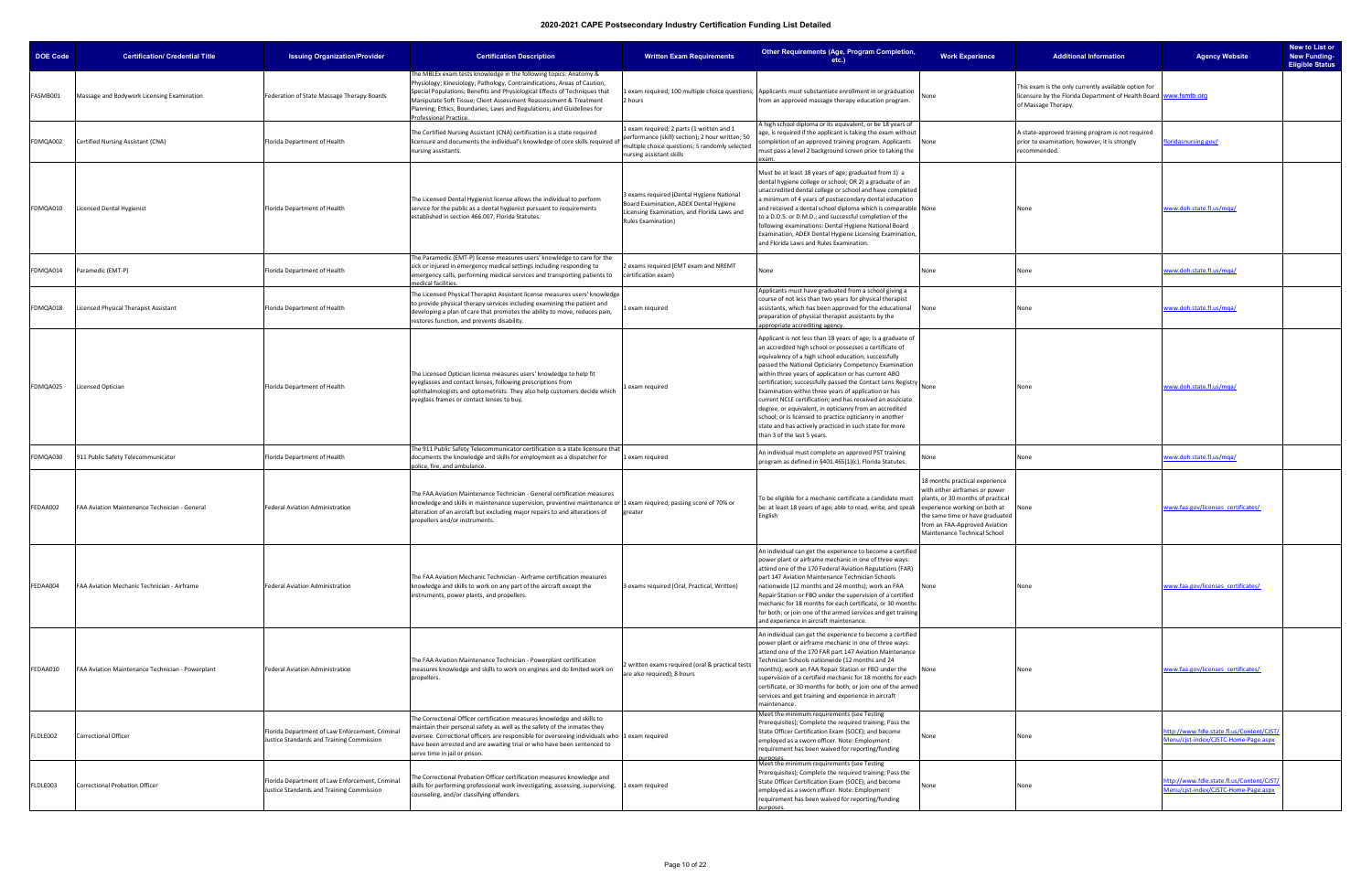| DOE Code | <b>Certification/ Credential Title</b>           | <b>Issuing Organization/Provider</b>                                                         | <b>Certification Description</b>                                                                                                                                                                                                                                                                                                                                                                      | <b>Written Exam Requirements</b>                                                                                                                                          | Other Requirements (Age, Program Completion,<br>$etc.$ )                                                                                                                                                                                                                                                                                                                                                                                                                                                                                                                                                                                                                                                    | <b>Work Experience</b>                                                                                                                                                                                    | <b>Additional Information</b>                                                                                                                    | <b>Agency Website</b>                                                            | New to List or<br><b>New Funding-</b><br><b>Eligible Status</b> |
|----------|--------------------------------------------------|----------------------------------------------------------------------------------------------|-------------------------------------------------------------------------------------------------------------------------------------------------------------------------------------------------------------------------------------------------------------------------------------------------------------------------------------------------------------------------------------------------------|---------------------------------------------------------------------------------------------------------------------------------------------------------------------------|-------------------------------------------------------------------------------------------------------------------------------------------------------------------------------------------------------------------------------------------------------------------------------------------------------------------------------------------------------------------------------------------------------------------------------------------------------------------------------------------------------------------------------------------------------------------------------------------------------------------------------------------------------------------------------------------------------------|-----------------------------------------------------------------------------------------------------------------------------------------------------------------------------------------------------------|--------------------------------------------------------------------------------------------------------------------------------------------------|----------------------------------------------------------------------------------|-----------------------------------------------------------------|
| FASMB001 | Massage and Bodywork Licensing Examination       | Federation of State Massage Therapy Boards                                                   | The MBLEx exam tests knowledge in the following topics: Anatomy &<br>Physiology; Kinesiology; Pathology, Contraindications, Areas of Caution,<br>Special Populations; Benefits and Physiological Effects of Techniques that<br>Manipulate Soft Tissue; Client Assessment Reassessment & Treatment<br>Planning; Ethics, Boundaries, Laws and Regulations; and Guidelines for<br>Professional Practice. | 2 hours                                                                                                                                                                   | 1 exam required; 100 multiple choice questions; Applicants must substantiate enrollment in or graduation<br>from an approved massage therapy education program.                                                                                                                                                                                                                                                                                                                                                                                                                                                                                                                                             | None                                                                                                                                                                                                      | This exam is the only currently available option for<br>licensure by the Florida Department of Health Board www.fsmtb.org<br>of Massage Therapy. |                                                                                  |                                                                 |
| FDMQA002 | Certified Nursing Assistant (CNA)                | Florida Department of Health                                                                 | The Certified Nursing Assistant (CNA) certification is a state required<br>licensure and documents the individual's knowledge of core skills required of<br>nursing assistants.                                                                                                                                                                                                                       | exam required; 2 parts (1 written and 1<br>performance (skill) section); 2 hour written; 50<br>multiple choice questions; 5 randomly selected<br>nursing assistant skills | high school diploma or its equivalent, or be 18 years of<br>age, is required if the applicant is taking the exam without<br>ompletion of an approved training program. Applicants<br>iust pass a level 2 background screen prior to taking the                                                                                                                                                                                                                                                                                                                                                                                                                                                              | None                                                                                                                                                                                                      | A state-approved training program is not required<br>prior to examination; however, it is strongly<br>recommended.                               | loridasnursing.gov/                                                              |                                                                 |
| FDMQA010 | <b>Licensed Dental Hygienist</b>                 | Florida Department of Health                                                                 | The Licensed Dental Hygienist license allows the individual to perform<br>service for the public as a dental hygienist pursuant to requirements<br>established in section 466.007, Florida Statutes.                                                                                                                                                                                                  | 3 exams required (Dental Hygiene National<br>Board Examination, ADEX Dental Hygiene<br>Licensing Examination, and Florida Laws and<br><b>Rules Examination)</b>           | Must be at least 18 years of age; graduated from 1) a<br>dental hygiene college or school; OR 2) a graduate of an<br>unaccredited dental college or school and have completed<br>minimum of 4 years of postsecondary dental education<br>and received a dental school diploma which is comparable None<br>to a D.D.S. or D.M.D.; and successful completion of the<br>following examinations: Dental Hygiene National Board<br>Examination, ADEX Dental Hygiene Licensing Examination,<br>and Florida Laws and Rules Examination.                                                                                                                                                                            |                                                                                                                                                                                                           | None                                                                                                                                             | www.doh.state.fl.us/mqa/                                                         |                                                                 |
| FDMQA014 | Paramedic (EMT-P)                                | Florida Department of Health                                                                 | The Paramedic (EMT-P) license measures users' knowledge to care for the<br>sick or injured in emergency medical settings including responding to<br>emergency calls, performing medical services and transporting patients to<br>nedical facilities.                                                                                                                                                  | 2 exams required (EMT exam and NREMT<br>certification exam)                                                                                                               | one                                                                                                                                                                                                                                                                                                                                                                                                                                                                                                                                                                                                                                                                                                         | None                                                                                                                                                                                                      | None                                                                                                                                             | www.doh.state.fl.us/mqa/                                                         |                                                                 |
| FDMQA018 | Licensed Physical Therapist Assistant            | Florida Department of Health                                                                 | The Licensed Physical Therapist Assistant license measures users' knowledge<br>to provide physical therapy services including examining the patient and<br>developing a plan of care that promotes the ability to move, reduces pain<br>restores function, and prevents disability.                                                                                                                   | exam required                                                                                                                                                             | Applicants must have graduated from a school giving a<br>course of not less than two years for physical therapist<br>assistants, which has been approved for the educational<br>preparation of physical therapist assistants by the<br>opropriate accrediting agency.                                                                                                                                                                                                                                                                                                                                                                                                                                       | None                                                                                                                                                                                                      | None                                                                                                                                             | www.doh.state.fl.us/mqa/                                                         |                                                                 |
| FDMQA025 | Licensed Optician                                | Florida Department of Health                                                                 | The Licensed Optician license measures users' knowledge to help fit<br>eyeglasses and contact lenses, following prescriptions from<br>ophthalmologists and optometrists. They also help customers decide which<br>eyeglass frames or contact lenses to buy.                                                                                                                                           | 1 exam required                                                                                                                                                           | Applicant is not less than 18 years of age; Is a graduate of<br>an accredited high school or possesses a certificate of<br>equivalency of a high school education; successfully<br>passed the National Opticianry Competency Examination<br>within three years of application or has current ABO<br>certification; successfully passed the Contact Lens Registry None<br>Examination within three years of application or has<br>current NCLE certification; and has received an associate<br>degree, or equivalent, in opticianry from an accredited<br>school; or Is licensed to practice opticianry in another<br>state and has actively practiced in such state for more<br>than 3 of the last 5 years. |                                                                                                                                                                                                           | None                                                                                                                                             | www.doh.state.fl.us/mqa/                                                         |                                                                 |
| FDMQA030 | 911 Public Safety Telecommunicator               | Florida Department of Health                                                                 | The 911 Public Safety Telecommunicator certification is a state licensure that<br>documents the knowledge and skills for employment as a dispatcher for<br>police, fire, and ambulance.                                                                                                                                                                                                               | exam required                                                                                                                                                             | An individual must complete an approved PST training<br>orogram as defined in §401.465(1)(c), Florida Statutes.                                                                                                                                                                                                                                                                                                                                                                                                                                                                                                                                                                                             |                                                                                                                                                                                                           | None                                                                                                                                             | www.doh.state.fl.us/mqa/                                                         |                                                                 |
| FEDAA002 | FAA Aviation Maintenance Technician - General    | Federal Aviation Administration                                                              | The FAA Aviation Maintenance Technician - General certification measures<br>knowledge and skills in maintenance supervision, preventive maintenance or 1 exam required; passing score of 70% or<br>alteration of an aircraft but excluding major repairs to and alterations of<br>propellers and/or instruments.                                                                                      | greater                                                                                                                                                                   | To be eligible for a mechanic certificate a candidate must<br>be: at least 18 years of age; able to read, write, and speak experience working on both at<br><b>English</b>                                                                                                                                                                                                                                                                                                                                                                                                                                                                                                                                  | 18 months practical experience<br>with either airframes or power<br>plants, or 30 months of practical<br>the same time or have graduated<br>from an FAA-Approved Aviation<br>Maintenance Technical School | None                                                                                                                                             | www.faa.gov/licenses certificates/                                               |                                                                 |
| FEDAA004 | FAA Aviation Mechanic Technician - Airframe      | Federal Aviation Administration                                                              | The FAA Aviation Mechanic Technician - Airframe certification measures<br>knowledge and skills to work on any part of the aircraft except the<br>instruments, power plants, and propellers.                                                                                                                                                                                                           | 3 exams required (Oral, Practical, Written)                                                                                                                               | An individual can get the experience to become a certified<br>power plant or airframe mechanic in one of three ways:<br>attend one of the 170 Federal Aviation Regulations (FAR)<br>part 147 Aviation Maintenance Technician Schools<br>nationwide (12 months and 24 months); work an FAA<br>Repair Station or FBO under the supervision of a certified<br>mechanic for 18 months for each certificate, or 30 months<br>for both; or join one of the armed services and get training<br>and experience in aircraft maintenance.                                                                                                                                                                             | None                                                                                                                                                                                                      | None                                                                                                                                             | www.faa.gov/licenses certificates/                                               |                                                                 |
| FEDAA010 | FAA Aviation Maintenance Technician - Powerplant | Federal Aviation Administration                                                              | The FAA Aviation Maintenance Technician - Powerplant certification<br>measures knowledge and skills to work on engines and do limited work on<br>propellers.                                                                                                                                                                                                                                          | written exams required (oral & practical tests<br>are also required); 8 hours                                                                                             | An individual can get the experience to become a certified<br>power plant or airframe mechanic in one of three ways:<br>attend one of the 170 FAR part 147 Aviation Maintenance<br>Technician Schools nationwide (12 months and 24<br>months); work an FAA Repair Station or FBO under the<br>supervision of a certified mechanic for 18 months for each<br>certificate, or 30 months for both; or join one of the armed<br>services and get training and experience in aircraft<br>maintenance.                                                                                                                                                                                                            | None                                                                                                                                                                                                      | None                                                                                                                                             | www.faa.gov/licenses certificates/                                               |                                                                 |
| FLDLE002 | <b>Correctional Officer</b>                      | Florida Department of Law Enforcement, Criminal<br>Justice Standards and Training Commission | The Correctional Officer certification measures knowledge and skills to<br>maintain their personal safety as well as the safety of the inmates they<br>oversee. Correctional officers are responsible for overseeing individuals who 1 exam required<br>have been arrested and are awaiting trial or who have been sentenced to<br>serve time in jail or prison.                                      |                                                                                                                                                                           | Meet the minimum requirements (see Testing<br>rerequisites); Complete the required training; Pass the '<br>State Officer Certification Exam (SOCE); and become<br>employed as a sworn officer. Note: Employment<br>requirement has been waived for reporting/funding<br>urnose:                                                                                                                                                                                                                                                                                                                                                                                                                             | None                                                                                                                                                                                                      | None                                                                                                                                             | ttp://www.fdle.state.fl.us/Content/CJST/<br>Aenu/cjst-index/CJSTC-Home-Page.aspx |                                                                 |
| FLDLE003 | Correctional Probation Officer                   | Florida Department of Law Enforcement, Criminal<br>Justice Standards and Training Commission | The Correctional Probation Officer certification measures knowledge and<br>skills for performing professional work investigating, assessing, supervising, 1 exam required<br>counseling, and/or classifying offenders.                                                                                                                                                                                |                                                                                                                                                                           | Meet the minimum requirements (see Testing<br>Prerequisites); Complete the required training; Pass the<br>State Officer Certification Exam (SOCE); and become<br>employed as a sworn officer. Note: Employment<br>requirement has been waived for reporting/funding                                                                                                                                                                                                                                                                                                                                                                                                                                         | None                                                                                                                                                                                                      | None                                                                                                                                             | ttp://www.fdle.state.fl.us/Content/CJST/<br>Aenu/cjst-index/CJSTC-Home-Page.aspx |                                                                 |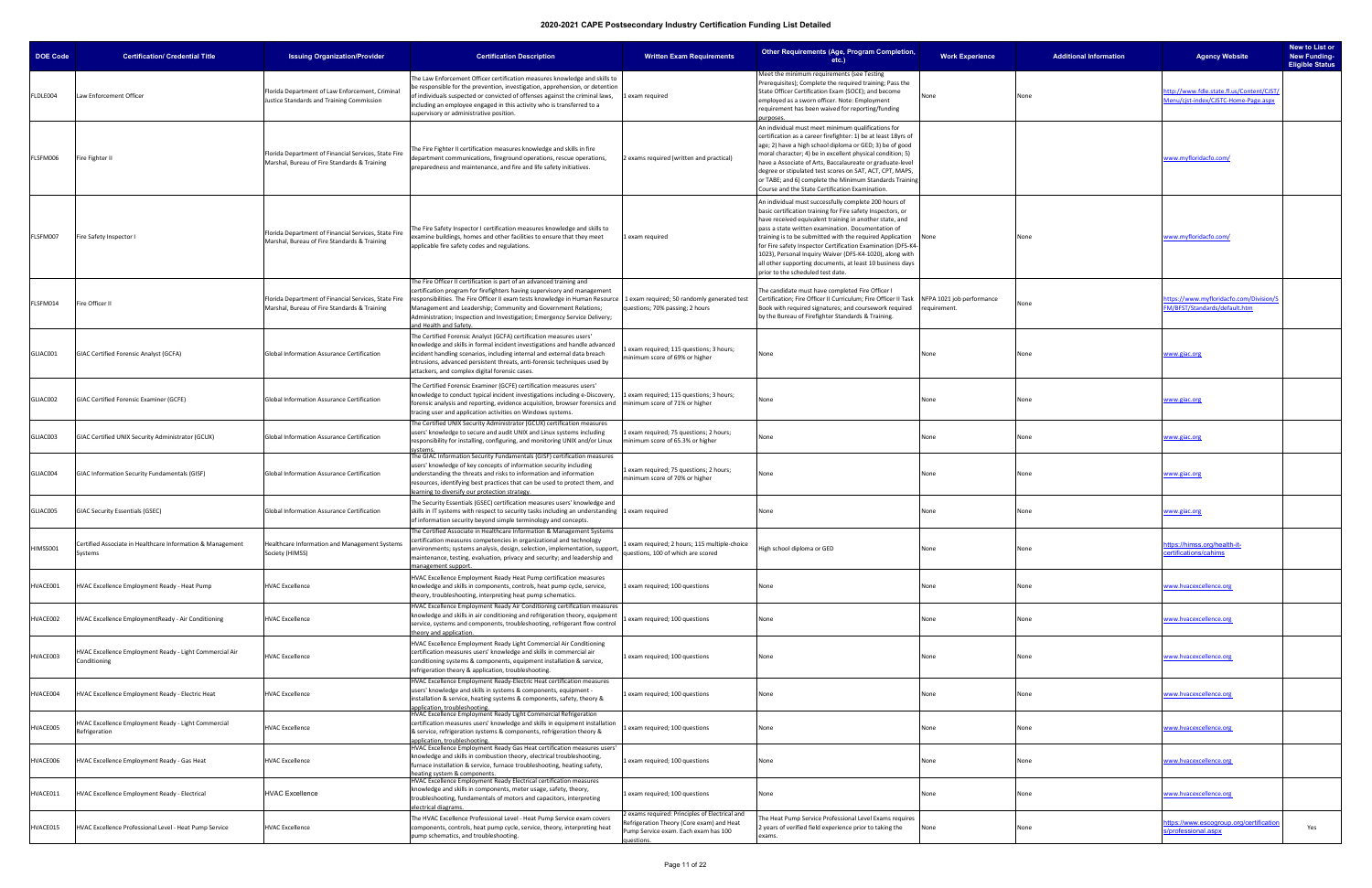| <b>DOE Code</b> | <b>Certification/ Credential Title</b>                                  | <b>Issuing Organization/Provider</b>                                                                 | <b>Certification Description</b>                                                                                                                                                                                                                                                                                                                                                                           | <b>Written Exam Requirements</b>                                                                                                                  | <b>Other Requirements (Age, Program Completion,</b><br>etc.)                                                                                                                                                                                                                                                                                                                                                                                                                                                                     | <b>Work Experience</b> | <b>Additional Information</b> | <b>Agency Website</b>                                                            | New to List or<br><b>New Funding-</b><br><b>Eligible Status</b> |
|-----------------|-------------------------------------------------------------------------|------------------------------------------------------------------------------------------------------|------------------------------------------------------------------------------------------------------------------------------------------------------------------------------------------------------------------------------------------------------------------------------------------------------------------------------------------------------------------------------------------------------------|---------------------------------------------------------------------------------------------------------------------------------------------------|----------------------------------------------------------------------------------------------------------------------------------------------------------------------------------------------------------------------------------------------------------------------------------------------------------------------------------------------------------------------------------------------------------------------------------------------------------------------------------------------------------------------------------|------------------------|-------------------------------|----------------------------------------------------------------------------------|-----------------------------------------------------------------|
| FLDLE004        | Law Enforcement Officer                                                 | Florida Department of Law Enforcement, Criminal<br>Justice Standards and Training Commission         | The Law Enforcement Officer certification measures knowledge and skills to<br>be responsible for the prevention, investigation, apprehension, or detention<br>of individuals suspected or convicted of offenses against the criminal laws,<br>including an employee engaged in this activity who is transferred to a<br>supervisory or administrative position.                                            | 1 exam required                                                                                                                                   | Meet the minimum requirements (see Testing<br>Prerequisites); Complete the required training; Pass the<br>State Officer Certification Exam (SOCE); and become<br>employed as a sworn officer. Note: Employment<br>equirement has been waived for reporting/funding                                                                                                                                                                                                                                                               | None                   | None                          | ttp://www.fdle.state.fl.us/Content/CJST/<br>Aenu/cist-index/CJSTC-Home-Page.aspx |                                                                 |
| FLSFM006        | Fire Fighter II                                                         | Florida Department of Financial Services. State Fire<br>Marshal, Bureau of Fire Standards & Training | The Fire Fighter II certification measures knowledge and skills in fire<br>department communications, fireground operations, rescue operations,<br>preparedness and maintenance, and fire and life safety initiatives.                                                                                                                                                                                     | 2 exams required (written and practical)                                                                                                          | An individual must meet minimum qualifications for<br>certification as a career firefighter: 1) be at least 18yrs of<br>age; 2) have a high school diploma or GED; 3) be of good<br>moral character; 4) be in excellent physical condition; 5)<br>have a Associate of Arts, Baccalaureate or graduate-level<br>degree or stipulated test scores on SAT, ACT, CPT, MAPS,<br>or TABE; and 6) complete the Minimum Standards Training<br>Course and the State Certification Examination.                                            |                        |                               | www.myfloridacfo.com/                                                            |                                                                 |
| FLSFM007        | Fire Safety Inspector I                                                 | Florida Department of Financial Services, State Fire<br>Marshal, Bureau of Fire Standards & Training | The Fire Safety Inspector I certification measures knowledge and skills to<br>examine buildings, homes and other facilities to ensure that they meet<br>applicable fire safety codes and regulations.                                                                                                                                                                                                      | 1 exam required                                                                                                                                   | An individual must successfully complete 200 hours of<br>basic certification training for Fire safety Inspectors, or<br>have received equivalent training in another state, and<br>pass a state written examination. Documentation of<br>training is to be submitted with the required Application<br>for Fire safety Inspector Certification Examination (DFS-K4-<br>1023), Personal Inquiry Waiver (DFS-K4-1020), along with<br>all other supporting documents, at least 10 business days<br>prior to the scheduled test date. | None                   | None                          | www.myfloridacfo.com/                                                            |                                                                 |
| FLSFM014        | Fire Officer II                                                         | Florida Department of Financial Services, State Fire<br>Marshal, Bureau of Fire Standards & Training | The Fire Officer II certification is part of an advanced training and<br>certification program for firefighters having supervisory and management<br>responsibilities. The Fire Officer II exam tests knowledge in Human Resource<br>Management and Leadership; Community and Government Relations;<br>Administration; Inspection and Investigation; Emergency Service Delivery;<br>and Health and Safety. | 1 exam required; 50 randomly generated test<br>questions; 70% passing; 2 hours                                                                    | The candidate must have completed Fire Officer I<br>Certification; Fire Officer II Curriculum; Fire Officer II Task NFPA 1021 job performance<br>Book with required signatures; and coursework required<br>by the Bureau of Firefighter Standards & Training.                                                                                                                                                                                                                                                                    | requirement.           | None                          | ttps://www.myfloridacfo.com/Division/S<br>M/BFST/Standards/default.htm           |                                                                 |
| GLIAC001        | GIAC Certified Forensic Analyst (GCFA)                                  | Global Information Assurance Certification                                                           | The Certified Forensic Analyst (GCFA) certification measures users'<br>knowledge and skills in formal incident investigations and handle advanced<br>incident handling scenarios, including internal and external data breach<br>intrusions, advanced persistent threats, anti-forensic techniques used by<br>attackers, and complex digital forensic cases.                                               | exam required; 115 questions; 3 hours;<br>minimum score of 69% or higher                                                                          | one                                                                                                                                                                                                                                                                                                                                                                                                                                                                                                                              | None                   | None                          | www.giac.org                                                                     |                                                                 |
| GLIAC002        | GIAC Certified Forensic Examiner (GCFE)                                 | Global Information Assurance Certification                                                           | The Certified Forensic Examiner (GCFE) certification measures users'<br>knowledge to conduct typical incident investigations including e-Discovery,<br>forensic analysis and reporting, evidence acquisition, browser forensics and Iminimum score of 71% or higher<br>tracing user and application activities on Windows systems                                                                          | 1 exam required; 115 questions; 3 hours;                                                                                                          | lone                                                                                                                                                                                                                                                                                                                                                                                                                                                                                                                             | None                   | None                          | www.giac.org                                                                     |                                                                 |
| GLIAC003        | GIAC Certified UNIX Security Administrator (GCUX)                       | Global Information Assurance Certification                                                           | The Certified UNIX Security Administrator (GCUX) certification measures<br>users' knowledge to secure and audit UNIX and Linux systems including<br>responsibility for installing, configuring, and monitoring UNIX and/or Linux                                                                                                                                                                           | 1 exam required; 75 questions; 2 hours;<br>minimum score of 65.3% or higher                                                                       | lone                                                                                                                                                                                                                                                                                                                                                                                                                                                                                                                             | None                   | None                          | www.giac.org                                                                     |                                                                 |
| GLIAC004        | GIAC Information Security Fundamentals (GISF)                           | Global Information Assurance Certification                                                           | The GIAC Information Security Fundamentals (GISF) certification measures<br>users' knowledge of key concepts of information security including<br>understanding the threats and risks to information and information<br>resources, identifying best practices that can be used to protect them, and<br>learning to diversify our protection strategy.                                                      | 1 exam required; 75 questions; 2 hours;<br>minimum score of 70% or higher                                                                         | lone                                                                                                                                                                                                                                                                                                                                                                                                                                                                                                                             | None                   | None                          | www.giac.org                                                                     |                                                                 |
| GLIAC005        | <b>GIAC Security Essentials (GSEC)</b>                                  | Global Information Assurance Certification                                                           | The Security Essentials (GSEC) certification measures users' knowledge and<br>skills in IT systems with respect to security tasks including an understanding 1 exam required<br>of information security beyond simple terminology and concepts.                                                                                                                                                            |                                                                                                                                                   | None                                                                                                                                                                                                                                                                                                                                                                                                                                                                                                                             | None                   | None                          | www.giac.org                                                                     |                                                                 |
| HIMSS001        | Certified Associate in Healthcare Information & Management<br>Systems   | Healthcare Information and Management Systems<br>Society (HIMSS)                                     | The Certified Associate in Healthcare Information & Management Systems<br>certification measures competencies in organizational and technology<br>environments; systems analysis, design, selection, implementation, support,<br>maintenance, testing, evaluation, privacy and security; and leadership and<br>management suppor                                                                           | 1 exam required; 2 hours; 115 multiple-choice<br>questions, 100 of which are scored                                                               | High school diploma or GED                                                                                                                                                                                                                                                                                                                                                                                                                                                                                                       | None                   | None                          | ps://himss.org/health-it-<br>ertifications/cahims                                |                                                                 |
| HVACE001        | HVAC Excellence Employment Ready - Heat Pump                            | <b>HVAC Excellence</b>                                                                               | HVAC Excellence Employment Ready Heat Pump certification measures<br>knowledge and skills in components, controls, heat pump cycle, service,<br>theory, troubleshooting, interpreting heat pump schematics.                                                                                                                                                                                                | 1 exam required; 100 questions                                                                                                                    | None                                                                                                                                                                                                                                                                                                                                                                                                                                                                                                                             | None                   | None                          | www.hvacexcellence.org                                                           |                                                                 |
| HVACE002        | HVAC Excellence EmploymentReady - Air Conditioning                      | <b>HVAC Excellence</b>                                                                               | HVAC Excellence Employment Ready Air Conditioning certification measures<br>knowledge and skills in air conditioning and refrigeration theory, equipment<br>service, systems and components, troubleshooting, refrigerant flow control<br>heory and application.                                                                                                                                           | exam required; 100 questions                                                                                                                      | None                                                                                                                                                                                                                                                                                                                                                                                                                                                                                                                             | None                   | None                          | www.hvacexcellence.org                                                           |                                                                 |
| HVACE003        | HVAC Excellence Employment Ready - Light Commercial Air<br>Conditioning | <b>HVAC Excellence</b>                                                                               | HVAC Excellence Employment Ready Light Commercial Air Conditioning<br>certification measures users' knowledge and skills in commercial air<br>conditioning systems & components, equipment installation & service,<br>refrigeration theory & application, troubleshooting.                                                                                                                                 | exam required; 100 questions                                                                                                                      | None                                                                                                                                                                                                                                                                                                                                                                                                                                                                                                                             | None                   | None                          | www.hvacexcellence.org                                                           |                                                                 |
| HVACE004        | HVAC Excellence Employment Ready - Electric Heat                        | <b>HVAC Excellence</b>                                                                               | HVAC Excellence Employment Ready-Electric Heat certification measures<br>users' knowledge and skills in systems & components, equipment -<br>installation & service, heating systems & components, safety, theory &<br>application, troubleshooting.                                                                                                                                                       | exam required; 100 questions                                                                                                                      | None                                                                                                                                                                                                                                                                                                                                                                                                                                                                                                                             | None                   | None                          | www.hvacexcellence.org                                                           |                                                                 |
| HVACE005        | HVAC Excellence Employment Ready - Light Commercial<br>Refrigeration    | <b>HVAC Excellence</b>                                                                               | HVAC Excellence Employment Ready Light Commercial Refrigeration<br>certification measures users' knowledge and skills in equipment installation<br>& service, refrigeration systems & components, refrigeration theory &<br>application, troubleshooting                                                                                                                                                   | exam required; 100 questions                                                                                                                      | Vone                                                                                                                                                                                                                                                                                                                                                                                                                                                                                                                             | None                   | None                          | www.hvacexcellence.org                                                           |                                                                 |
| HVACE006        | HVAC Excellence Employment Ready - Gas Heat                             | <b>HVAC Excellence</b>                                                                               | HVAC Excellence Employment Ready Gas Heat certification measures users'<br>knowledge and skills in combustion theory, electrical troubleshooting,<br>furnace installation & service, furnace troubleshooting, heating safety,<br>heating system & components                                                                                                                                               | exam required; 100 questions                                                                                                                      | None                                                                                                                                                                                                                                                                                                                                                                                                                                                                                                                             | None                   | None                          | www.hvacexcellence.org                                                           |                                                                 |
| HVACE011        | HVAC Excellence Employment Ready - Electrical                           | <b>HVAC Excellence</b>                                                                               | HVAC Excellence Employment Ready Electrical certification measures<br>knowledge and skills in components, meter usage, safety, theory,<br>troubleshooting, fundamentals of motors and capacitors, interpreting<br>electrical diagrams                                                                                                                                                                      | exam required; 100 questions                                                                                                                      | None                                                                                                                                                                                                                                                                                                                                                                                                                                                                                                                             | None                   | None                          | www.hvacexcellence.org                                                           |                                                                 |
| HVACE015        | HVAC Excellence Professional Level - Heat Pump Service                  | <b>HVAC Excellence</b>                                                                               | The HVAC Excellence Professional Level - Heat Pump Service exam covers<br>components, controls, heat pump cycle, service, theory, interpreting heat<br>pump schematics, and troubleshooting.                                                                                                                                                                                                               | 2 exams required: Principles of Electrical and<br>Refrigeration Theory (Core exam) and Heat<br>Pump Service exam. Each exam has 100<br>questions. | he Heat Pump Service Professional Level Exams requires<br>2 years of verified field experience prior to taking the<br>xams.                                                                                                                                                                                                                                                                                                                                                                                                      | None                   | None                          | ittps://www.escogroup.org/certification<br>/professional.aspx                    | Yes                                                             |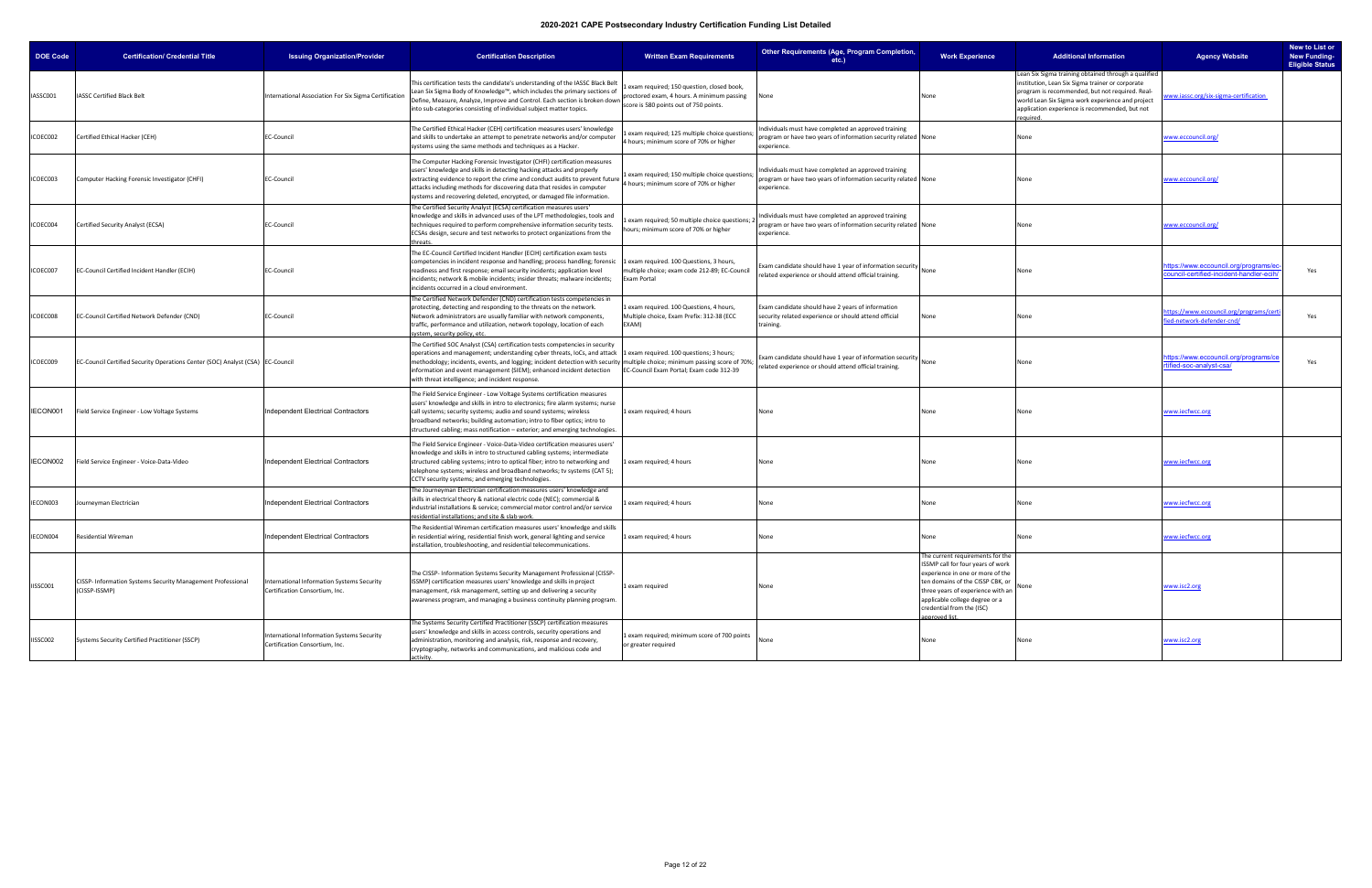| <b>DOE Code</b> | <b>Certification/ Credential Title</b>                                         | <b>Issuing Organization/Provider</b>                                         | <b>Certification Description</b>                                                                                                                                                                                                                                                                                                                                                                                     | <b>Written Exam Requirements</b>                                                                        | Other Requirements (Age, Program Completion,<br>etc.                                                                                        | <b>Work Experience</b>                                                                                                                                                                                                                                              | <b>Additional Information</b>                                                                                                                                                                                                                                               | <b>Agency Website</b>                                                         | New to List or<br><b>New Funding-</b><br><b>Eligible Status</b> |
|-----------------|--------------------------------------------------------------------------------|------------------------------------------------------------------------------|----------------------------------------------------------------------------------------------------------------------------------------------------------------------------------------------------------------------------------------------------------------------------------------------------------------------------------------------------------------------------------------------------------------------|---------------------------------------------------------------------------------------------------------|---------------------------------------------------------------------------------------------------------------------------------------------|---------------------------------------------------------------------------------------------------------------------------------------------------------------------------------------------------------------------------------------------------------------------|-----------------------------------------------------------------------------------------------------------------------------------------------------------------------------------------------------------------------------------------------------------------------------|-------------------------------------------------------------------------------|-----------------------------------------------------------------|
| IASSC001        | <b>IASSC Certified Black Belt</b>                                              | International Association For Six Sigma Certification                        | This certification tests the candidate's understanding of the IASSC Black Belt<br>Lean Six Sigma Body of Knowledge™, which includes the primary sections of<br>Define, Measure, Analyze, Improve and Control. Each section is broken down proctored exam, 4 hours. A minimum passing<br>into sub-categories consisting of individual subject matter topics.                                                          | Lexam required; 150 question, closed book,<br>score is 580 points out of 750 points.                    | None                                                                                                                                        | None                                                                                                                                                                                                                                                                | Lean Six Sigma training obtained through a qualified<br>institution, Lean Six Sigma trainer or corporate<br>program is recommended, but not required. Real-<br>world Lean Six Sigma work experience and project<br>application experience is recommended, but not<br>auired | www.iassc.org/six-sigma-certification                                         |                                                                 |
| ICOEC002        | Certified Ethical Hacker (CEH)                                                 | <b>EC-Council</b>                                                            | The Certified Ethical Hacker (CEH) certification measures users' knowledge<br>and skills to undertake an attempt to penetrate networks and/or computer<br>systems using the same methods and techniques as a Hacker.                                                                                                                                                                                                 | exam required; 125 multiple choice questions<br>4 hours; minimum score of 70% or higher                 | ndividuals must have completed an approved training<br>program or have two years of information security related None<br>experience.        |                                                                                                                                                                                                                                                                     | None                                                                                                                                                                                                                                                                        | www.eccouncil.org/                                                            |                                                                 |
| ICOEC003        | Computer Hacking Forensic Investigator (CHFI)                                  | <b>EC-Council</b>                                                            | The Computer Hacking Forensic Investigator (CHFI) certification measures<br>users' knowledge and skills in detecting hacking attacks and properly<br>extracting evidence to report the crime and conduct audits to prevent future<br>attacks including methods for discovering data that resides in computer<br>systems and recovering deleted, encrypted, or damaged file information.                              | Lexam required; 150 multiple choice question<br>1 hours; minimum score of 70% or higher                 | ndividuals must have completed an approved training<br>orogram or have two years of information security related None<br>experience.        |                                                                                                                                                                                                                                                                     | None                                                                                                                                                                                                                                                                        | www.eccouncil.org/                                                            |                                                                 |
| ICOEC004        | Certified Security Analyst (ECSA)                                              | <b>EC-Council</b>                                                            | The Certified Security Analyst (ECSA) certification measures users'<br>knowledge and skills in advanced uses of the LPT methodologies, tools and<br>techniques required to perform comprehensive information security tests.<br>ECSAs design, secure and test networks to protect organizations from the<br>hreats.                                                                                                  | exam required; 50 multiple choice questions;<br>hours; minimum score of 70% or higher                   | ndividuals must have completed an approved training<br>program or have two years of information security related None<br>experience.        |                                                                                                                                                                                                                                                                     | None                                                                                                                                                                                                                                                                        | www.eccouncil.org/                                                            |                                                                 |
| ICOEC007        | EC-Council Certified Incident Handler (ECIH)                                   | EC-Council                                                                   | The EC-Council Certified Incident Handler (ECIH) certification exam tests<br>competencies in incident response and handling; process handling; forensic<br>readiness and first response; email security incidents; application level<br>incidents; network & mobile incidents; insider threats; malware incidents;<br>incidents occurred in a cloud environment.                                                     | Lexam required. 100 Questions, 3 hours,<br>multiple choice; exam code 212-89; EC-Council<br>Exam Portal | Exam candidate should have 1 year of information security $\bigcap_{\text{None}}$<br>related experience or should attend official training. |                                                                                                                                                                                                                                                                     | None                                                                                                                                                                                                                                                                        | ttps://www.eccouncil.org/programs/e<br>ouncil-certified-incident-handler-ecil | Yes                                                             |
| ICOEC008        | EC-Council Certified Network Defender (CND)                                    | <b>EC-Council</b>                                                            | The Certified Network Defender (CND) certification tests competencies in<br>protecting, detecting and responding to the threats on the network.<br>Network administrators are usually familiar with network components,<br>traffic, performance and utilization, network topology, location of each<br>ystem, security policy, etc.                                                                                  | 1 exam required. 100 Questions, 4 hours,<br>Multiple choice, Exam Prefix: 312-38 (ECC<br>EXAM)          | Exam candidate should have 2 years of information<br>security related experience or should attend official<br>training.                     | None                                                                                                                                                                                                                                                                |                                                                                                                                                                                                                                                                             | <u>ttps://www.eccouncil.org/programs/ce</u><br>ed-network-defender-cnd/       | Yes                                                             |
| ICOEC009        | EC-Council Certified Security Operations Center (SOC) Analyst (CSA) EC-Council |                                                                              | The Certified SOC Analyst (CSA) certification tests competencies in security<br>operations and management; understanding cyber threats, IoCs, and attack<br>methodology; incidents, events, and logging; incident detection with security multiple choice; minimum passing score of 70%;<br>information and event management (SIEM); enhanced incident detection<br>with threat intelligence; and incident response. | Lexam required. 100 questions; 3 hours;<br>EC-Council Exam Portal; Exam code 312-39                     | Exam candidate should have 1 year of information security None<br>related experience or should attend official training.                    |                                                                                                                                                                                                                                                                     | None                                                                                                                                                                                                                                                                        | ttps://www.eccouncil.org/programs/ce<br>tified-soc-analyst-csa/               | Yes                                                             |
| IECON001        | Field Service Engineer - Low Voltage Systems                                   | Independent Electrical Contractors                                           | The Field Service Engineer - Low Voltage Systems certification measures<br>users' knowledge and skills in intro to electronics; fire alarm systems; nurse<br>call systems; security systems; audio and sound systems; wireless<br>broadband networks; building automation; intro to fiber optics; intro to<br>structured cabling; mass notification - exterior; and emerging technologies.                           | Lexam required; 4 hours                                                                                 | None                                                                                                                                        | None                                                                                                                                                                                                                                                                | None                                                                                                                                                                                                                                                                        | <u>www.iecfwcc.org</u>                                                        |                                                                 |
| IECON002        | Field Service Engineer - Voice-Data-Video                                      | Independent Electrical Contractors                                           | The Field Service Engineer - Voice-Data-Video certification measures users'<br>knowledge and skills in intro to structured cabling systems; intermediate<br>structured cabling systems; intro to optical fiber; intro to networking and<br>telephone systems; wireless and broadband networks; tv systems (CAT 5);<br>CCTV security systems; and emerging technologies.                                              | L exam required; 4 hours                                                                                | None                                                                                                                                        | None                                                                                                                                                                                                                                                                | None                                                                                                                                                                                                                                                                        | www.iecfwcc.org                                                               |                                                                 |
| IECON003        | Journeyman Electrician                                                         | Independent Electrical Contractors                                           | The Journeyman Electrician certification measures users' knowledge and<br>skills in electrical theory & national electric code (NEC); commercial &<br>industrial installations & service; commercial motor control and/or service<br>residential installations; and site & slab work.                                                                                                                                | exam required; 4 hours                                                                                  | None                                                                                                                                        | None                                                                                                                                                                                                                                                                | None                                                                                                                                                                                                                                                                        | <u>www.iecfwcc.org</u>                                                        |                                                                 |
| IECON004        | <b>Residential Wireman</b>                                                     | Independent Electrical Contractors                                           | The Residential Wireman certification measures users' knowledge and skills<br>in residential wiring, residential finish work, general lighting and service<br>nstallation, troubleshooting, and residential telecommunications.                                                                                                                                                                                      | 1 exam required; 4 hours                                                                                | None                                                                                                                                        | None                                                                                                                                                                                                                                                                | None                                                                                                                                                                                                                                                                        | www.iecfwcc.org                                                               |                                                                 |
| IISSC001        | CISSP- Information Systems Security Management Professional<br>(CISSP-ISSMP)   | International Information Systems Security<br>Certification Consortium, Inc. | The CISSP- Information Systems Security Management Professional (CISSP-<br>ISSMP) certification measures users' knowledge and skills in project<br>management, risk management, setting up and delivering a security<br>awareness program, and managing a business continuity planning program.                                                                                                                      | 1 exam required                                                                                         | None                                                                                                                                        | The current requirements for the<br>ISSMP call for four years of work<br>experience in one or more of the<br>ten domains of the CISSP CBK, or<br>three years of experience with an<br>applicable college degree or a<br>credential from the (ISC)<br>approved list. | None                                                                                                                                                                                                                                                                        | www.isc2.org                                                                  |                                                                 |
| IISSC002        | Systems Security Certified Practitioner (SSCP)                                 | International Information Systems Security<br>Certification Consortium, Inc. | The Systems Security Certified Practitioner (SSCP) certification measures<br>users' knowledge and skills in access controls, security operations and<br>administration, monitoring and analysis, risk, response and recovery,<br>cryptography, networks and communications, and malicious code and<br>activity.                                                                                                      | Lexam required; minimum score of 700 points<br>or greater required                                      | None                                                                                                                                        | None                                                                                                                                                                                                                                                                | None                                                                                                                                                                                                                                                                        | www.isc2.org                                                                  |                                                                 |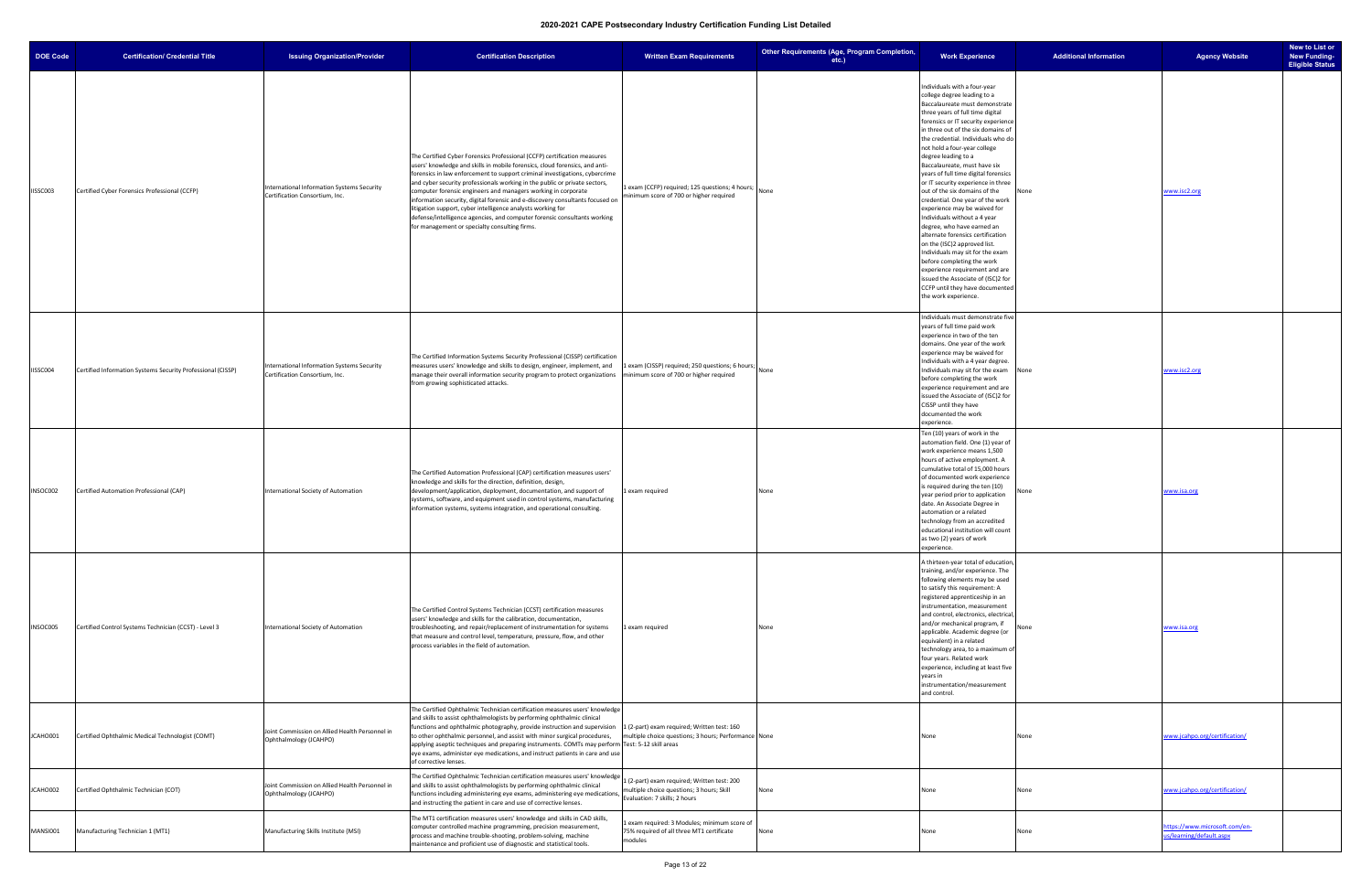| <b>DOE Code</b> | <b>Certification/ Credential Title</b>                      | <b>Issuing Organization/Provider</b>                                                | <b>Certification Description</b>                                                                                                                                                                                                                                                                                                                                                                                                                                                                                                                                                                                                                                   | <b>Written Exam Requirements</b>                                                                                          | Other Requirements (Age, Program Completion,<br>$etc.$ ) | <b>Work Experience</b>                                                                                                                                                                                                                                                                                                                                                                                                                                                                                                                                                                                                                                                                                                                                                                                                                                                 | <b>Additional Information</b> | <b>Agency Website</b>                                     | New to List or<br><b>New Funding-</b><br><b>Eligible Status</b> |
|-----------------|-------------------------------------------------------------|-------------------------------------------------------------------------------------|--------------------------------------------------------------------------------------------------------------------------------------------------------------------------------------------------------------------------------------------------------------------------------------------------------------------------------------------------------------------------------------------------------------------------------------------------------------------------------------------------------------------------------------------------------------------------------------------------------------------------------------------------------------------|---------------------------------------------------------------------------------------------------------------------------|----------------------------------------------------------|------------------------------------------------------------------------------------------------------------------------------------------------------------------------------------------------------------------------------------------------------------------------------------------------------------------------------------------------------------------------------------------------------------------------------------------------------------------------------------------------------------------------------------------------------------------------------------------------------------------------------------------------------------------------------------------------------------------------------------------------------------------------------------------------------------------------------------------------------------------------|-------------------------------|-----------------------------------------------------------|-----------------------------------------------------------------|
| IISSC003        | Certified Cyber Forensics Professional (CCFP)               | International Information Systems Security<br>Certification Consortium, Inc.        | The Certified Cyber Forensics Professional (CCFP) certification measures<br>users' knowledge and skills in mobile forensics, cloud forensics, and anti-<br>forensics in law enforcement to support criminal investigations, cybercrime<br>and cyber security professionals working in the public or private sectors,<br>computer forensic engineers and managers working in corporate<br>information security, digital forensic and e-discovery consultants focused on<br>litigation support, cyber intelligence analysts working for<br>defense/intelligence agencies, and computer forensic consultants working<br>for management or specialty consulting firms. | 1 exam (CCFP) required; 125 questions; 4 hours;<br>minimum score of 700 or higher required                                | None                                                     | Individuals with a four-year<br>college degree leading to a<br>Baccalaureate must demonstrate<br>three years of full time digital<br>forensics or IT security experience<br>in three out of the six domains of<br>the credential. Individuals who do<br>not hold a four-year college<br>degree leading to a<br>Baccalaureate, must have six<br>years of full time digital forensics<br>or IT security experience in three<br>out of the six domains of the<br>credential. One year of the work<br>experience may be waived for<br>Individuals without a 4 year<br>degree, who have earned an<br>alternate forensics certification<br>on the (ISC)2 approved list.<br>Individuals may sit for the exam<br>before completing the work<br>experience requirement and are<br>issued the Associate of (ISC)2 for<br>CCFP until they have documented<br>the work experience. |                               | www.isc2.org                                              |                                                                 |
| IISSC004        | Certified Information Systems Security Professional (CISSP) | <b>International Information Systems Security</b><br>Certification Consortium, Inc. | The Certified Information Systems Security Professional (CISSP) certification<br>measures users' knowledge and skills to design, engineer, implement, and<br>manage their overall information security program to protect organizations<br>from growing sophisticated attacks.                                                                                                                                                                                                                                                                                                                                                                                     | 1 exam (CISSP) required; 250 questions; 6 hours;<br>minimum score of 700 or higher required                               | None                                                     | Individuals must demonstrate five<br>years of full time paid work<br>experience in two of the ten<br>domains. One year of the work<br>experience may be waived for<br>Individuals with a 4 year degree.<br>Individuals may sit for the exam<br>None<br>before completing the work<br>experience requirement and are<br>issued the Associate of (ISC)2 for<br>CISSP until they have<br>documented the work<br>experience.                                                                                                                                                                                                                                                                                                                                                                                                                                               |                               | www.isc2.org                                              |                                                                 |
| INSOC002        | Certified Automation Professional (CAP)                     | International Society of Automation                                                 | The Certified Automation Professional (CAP) certification measures users'<br>knowledge and skills for the direction, definition, design,<br>development/application, deployment, documentation, and support of<br>systems, software, and equipment used in control systems, manufacturing<br>information systems, systems integration, and operational consulting.                                                                                                                                                                                                                                                                                                 | 1 exam required                                                                                                           | None                                                     | Ten (10) years of work in the<br>automation field. One (1) year of<br>work experience means 1,500<br>hours of active employment. A<br>cumulative total of 15,000 hours<br>of documented work experience<br>is required during the ten (10)<br>None<br>year period prior to application<br>date. An Associate Degree in<br>automation or a related<br>technology from an accredited<br>educational institution will count<br>as two (2) years of work<br>experience.                                                                                                                                                                                                                                                                                                                                                                                                    |                               | www.isa.org                                               |                                                                 |
| INSOC005        | Certified Control Systems Technician (CCST) - Level 3       | International Society of Automation                                                 | The Certified Control Systems Technician (CCST) certification measures<br>users' knowledge and skills for the calibration, documentation,<br>troubleshooting, and repair/replacement of instrumentation for systems<br>that measure and control level, temperature, pressure, flow, and other<br>process variables in the field of automation.                                                                                                                                                                                                                                                                                                                     | 1 exam required                                                                                                           | None                                                     | A thirteen-year total of education<br>training, and/or experience. The<br>following elements may be used<br>to satisfy this requirement: A<br>registered apprenticeship in an<br>instrumentation, measurement<br>and control, electronics, electrical<br>and/or mechanical program, if<br>None<br>applicable. Academic degree (or<br>equivalent) in a related<br>technology area, to a maximum o<br>four years. Related work<br>experience, including at least five<br>years in<br>instrumentation/measurement<br>and control.                                                                                                                                                                                                                                                                                                                                         |                               | www.isa.org                                               |                                                                 |
| JCAHO001        | Certified Ophthalmic Medical Technologist (COMT)            | Joint Commission on Allied Health Personnel in<br>Ophthalmology (JCAHPO)            | The Certified Ophthalmic Technician certification measures users' knowledge<br>and skills to assist ophthalmologists by performing ophthalmic clinical<br>functions and ophthalmic photography, provide instruction and supervision 1 (2-part) exam required; Written test: 160<br>to other ophthalmic personnel, and assist with minor surgical procedures,<br>applying aseptic techniques and preparing instruments. COMTs may perform Test: 5-12 skill areas<br>eye exams, administer eye medications, and instruct patients in care and use<br>of corrective lenses.                                                                                           | multiple choice questions; 3 hours; Performance None                                                                      |                                                          | None<br>None                                                                                                                                                                                                                                                                                                                                                                                                                                                                                                                                                                                                                                                                                                                                                                                                                                                           |                               | www.jcahpo.org/certification/                             |                                                                 |
| JCAHO002        | Certified Ophthalmic Technician (COT)                       | Joint Commission on Allied Health Personnel in<br>Ophthalmology (JCAHPO)            | The Certified Ophthalmic Technician certification measures users' knowledge<br>and skills to assist ophthalmologists by performing ophthalmic clinical<br>functions including administering eye exams, administering eye medications<br>and instructing the patient in care and use of corrective lenses.                                                                                                                                                                                                                                                                                                                                                          | 1 (2-part) exam required; Written test: 200<br>multiple choice questions; 3 hours; Skill<br>Evaluation: 7 skills; 2 hours | None                                                     | None<br>None                                                                                                                                                                                                                                                                                                                                                                                                                                                                                                                                                                                                                                                                                                                                                                                                                                                           |                               | www.jcahpo.org/certification/                             |                                                                 |
| MANSI001        | Manufacturing Technician 1 (MT1)                            | Manufacturing Skills Institute (MSI)                                                | The MT1 certification measures users' knowledge and skills in CAD skills,<br>computer controlled machine programming, precision measurement,<br>process and machine trouble-shooting, problem-solving, machine<br>maintenance and proficient use of diagnostic and statistical tools.                                                                                                                                                                                                                                                                                                                                                                              | 1 exam required: 3 Modules; minimum score of<br>75% required of all three MT1 certificate<br>modules                      | None                                                     | None<br>None                                                                                                                                                                                                                                                                                                                                                                                                                                                                                                                                                                                                                                                                                                                                                                                                                                                           |                               | https://www.microsoft.com/en-<br>us/learning/default.aspx |                                                                 |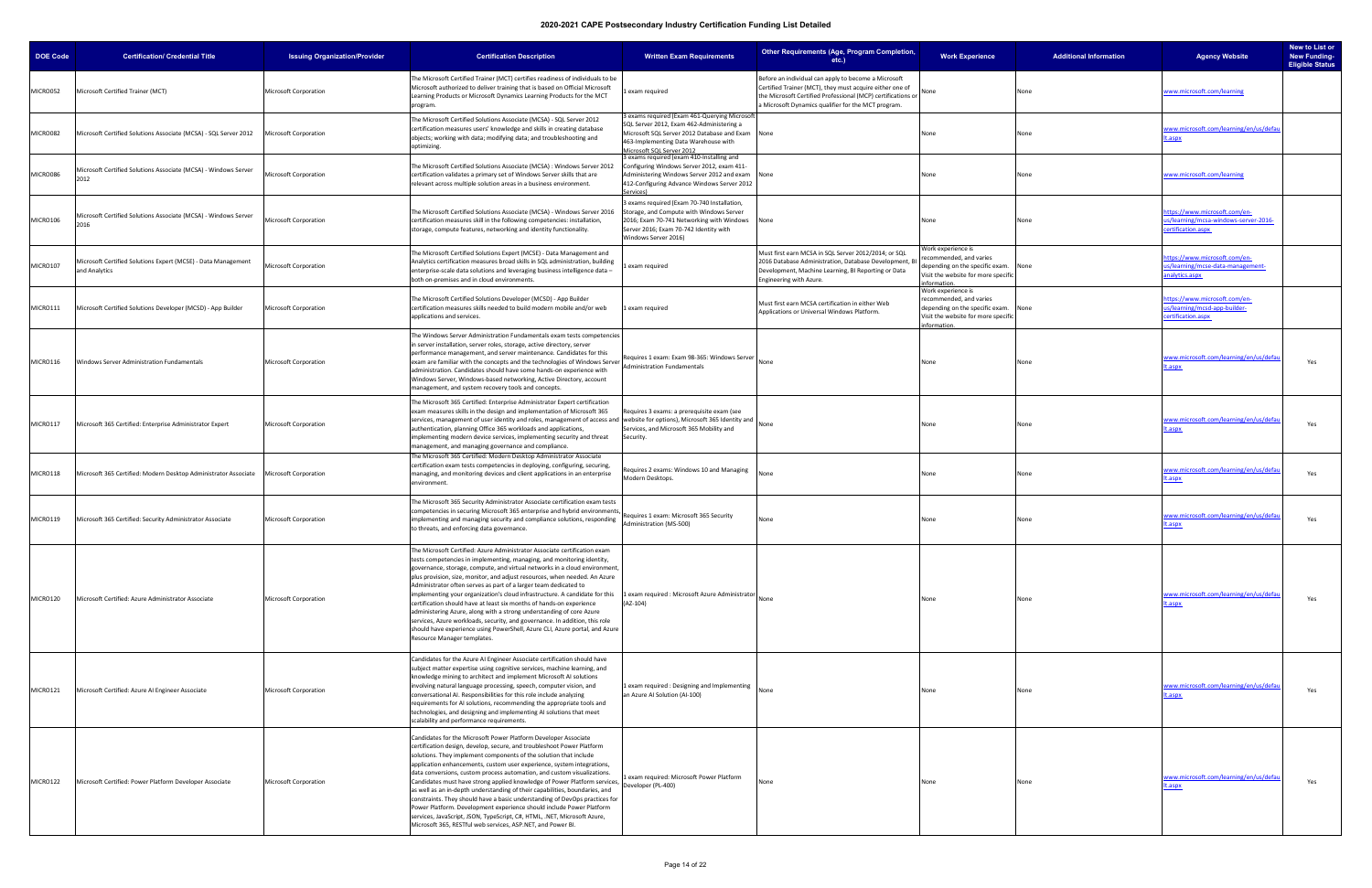| <b>DOE Code</b> | <b>Certification/ Credential Title</b>                                         | <b>Issuing Organization/Provider</b> | <b>Certification Description</b>                                                                                                                                                                                                                                                                                                                                                                                                                                                                                                                                                                                                                                                                                                                                                                                                                                | <b>Written Exam Requirements</b>                                                                                                                                                                             | Other Requirements (Age, Program Completion,<br>$etc.$ )                                                                                                                                                                                | <b>Work Experience</b>                                                                                                                         | <b>Additional Information</b> | <b>Agency Website</b>                                                                     | New to List or<br><b>New Funding-</b><br><b>Eligible Status</b> |
|-----------------|--------------------------------------------------------------------------------|--------------------------------------|-----------------------------------------------------------------------------------------------------------------------------------------------------------------------------------------------------------------------------------------------------------------------------------------------------------------------------------------------------------------------------------------------------------------------------------------------------------------------------------------------------------------------------------------------------------------------------------------------------------------------------------------------------------------------------------------------------------------------------------------------------------------------------------------------------------------------------------------------------------------|--------------------------------------------------------------------------------------------------------------------------------------------------------------------------------------------------------------|-----------------------------------------------------------------------------------------------------------------------------------------------------------------------------------------------------------------------------------------|------------------------------------------------------------------------------------------------------------------------------------------------|-------------------------------|-------------------------------------------------------------------------------------------|-----------------------------------------------------------------|
| MICRO052        | Microsoft Certified Trainer (MCT)                                              | Microsoft Corporation                | The Microsoft Certified Trainer (MCT) certifies readiness of individuals to be<br>Microsoft authorized to deliver training that is based on Official Microsoft<br>Learning Products or Microsoft Dynamics Learning Products for the MCT<br>program.                                                                                                                                                                                                                                                                                                                                                                                                                                                                                                                                                                                                             | exam required                                                                                                                                                                                                | Before an individual can apply to become a Microsoft<br>Certified Trainer (MCT), they must acquire either one of<br>the Microsoft Certified Professional (MCP) certifications or<br>a Microsoft Dynamics qualifier for the MCT program. | None<br>None                                                                                                                                   |                               | ww.microsoft.com/learning                                                                 |                                                                 |
| MICRO082        | Microsoft Certified Solutions Associate (MCSA) - SQL Server 2012               | <b>Microsoft Corporation</b>         | The Microsoft Certified Solutions Associate (MCSA) - SQL Server 2012<br>certification measures users' knowledge and skills in creating database<br>objects; working with data; modifying data; and troubleshooting and<br>optimizing.                                                                                                                                                                                                                                                                                                                                                                                                                                                                                                                                                                                                                           | exams required (Exam 461-Querying Microsoft<br>SQL Server 2012, Exam 462-Administering a<br>Microsoft SQL Server 2012 Database and Exam<br>463-Implementing Data Warehouse with<br>Microsoft SQL Server 2012 | None                                                                                                                                                                                                                                    | None<br>None                                                                                                                                   |                               | ww.microsoft.com/learning/en/us/defau<br>.aspx                                            |                                                                 |
| MICRO086        | Microsoft Certified Solutions Associate (MCSA) - Windows Server<br>2012        | Microsoft Corporation                | The Microsoft Certified Solutions Associate (MCSA) : Windows Server 2012<br>certification validates a primary set of Windows Server skills that are<br>relevant across multiple solution areas in a business environment.                                                                                                                                                                                                                                                                                                                                                                                                                                                                                                                                                                                                                                       | 3 exams required (exam 410-Installing and<br>Configuring Windows Server 2012, exam 411-<br>Administering Windows Server 2012 and exam<br>412-Configuring Advance Windows Server 2012<br>Services)            | None                                                                                                                                                                                                                                    | None<br>None                                                                                                                                   |                               | vww.microsoft.com/learning                                                                |                                                                 |
| MICRO106        | Microsoft Certified Solutions Associate (MCSA) - Windows Server<br>2016        | Microsoft Corporation                | The Microsoft Certified Solutions Associate (MCSA) - Windows Server 2016<br>certification measures skill in the following competencies: installation,<br>storage, compute features, networking and identity functionality.                                                                                                                                                                                                                                                                                                                                                                                                                                                                                                                                                                                                                                      | 3 exams required (Exam 70-740 Installation,<br>Storage, and Compute with Windows Server<br>2016; Exam 70-741 Networking with Windows<br>Server 2016; Exam 70-742 Identity with<br>Windows Server 2016)       | None                                                                                                                                                                                                                                    | None<br>None                                                                                                                                   |                               | ttps://www.microsoft.com/en-<br>s/learning/mcsa-windows-server-2016-<br>ertification.aspx |                                                                 |
| MICRO107        | Microsoft Certified Solutions Expert (MCSE) - Data Management<br>and Analytics | Microsoft Corporation                | The Microsoft Certified Solutions Expert (MCSE) - Data Management and<br>Analytics certification measures broad skills in SQL administration, building<br>enterprise-scale data solutions and leveraging business intelligence data -<br>both on-premises and in cloud environments.                                                                                                                                                                                                                                                                                                                                                                                                                                                                                                                                                                            | exam required                                                                                                                                                                                                | Must first earn MCSA in SQL Server 2012/2014; or SQL<br>2016 Database Administration, Database Development, B<br>Development, Machine Learning, BI Reporting or Data<br>Engineering with Azure.                                         | Work experience is<br>recommended, and varies<br>depending on the specific exam.<br>None<br>Visit the website for more specific<br>nformation. |                               | ttps://www.microsoft.com/en-<br>is/learning/mcse-data-management-<br>nalytics.aspx        |                                                                 |
| MICRO111        | Microsoft Certified Solutions Developer (MCSD) - App Builder                   | Microsoft Corporation                | The Microsoft Certified Solutions Developer (MCSD) - App Builder<br>certification measures skills needed to build modern mobile and/or web<br>applications and services.                                                                                                                                                                                                                                                                                                                                                                                                                                                                                                                                                                                                                                                                                        | exam required                                                                                                                                                                                                | Must first earn MCSA certification in either Web<br>Applications or Universal Windows Platform.                                                                                                                                         | Work experience is<br>recommended, and varies<br>depending on the specific exam.<br>Visit the website for more specific<br>information.        | None                          | ttps://www.microsoft.com/en-<br>s/learning/mcsd-app-builder-<br>ertification.aspx         |                                                                 |
| MICRO116        | Windows Server Administration Fundamentals                                     | Microsoft Corporation                | The Windows Server Administration Fundamentals exam tests competencies<br>in server installation, server roles, storage, active directory, server<br>performance management, and server maintenance. Candidates for this<br>exam are familiar with the concepts and the technologies of Windows Server   Administration Fundamentals<br>administration. Candidates should have some hands-on experience with<br>Windows Server, Windows-based networking, Active Directory, account<br>management, and system recovery tools and concepts.                                                                                                                                                                                                                                                                                                                      | Requires 1 exam: Exam 98-365: Windows Server                                                                                                                                                                 | None                                                                                                                                                                                                                                    | None                                                                                                                                           | None                          | ww.microsoft.com/learning/en/us/defau<br>.aspx                                            | Yes                                                             |
| MICRO117        | Microsoft 365 Certified: Enterprise Administrator Expert                       | Microsoft Corporation                | The Microsoft 365 Certified: Enterprise Administrator Expert certification<br>exam measures skills in the design and implementation of Microsoft 365<br>services, management of user identity and roles, management of access and website for options), Microsoft 365 Identity and<br>authentication, planning Office 365 workloads and applications,<br>implementing modern device services, implementing security and threat<br>management, and managing governance and compliance.                                                                                                                                                                                                                                                                                                                                                                           | Requires 3 exams: a prerequisite exam (see<br>Services, and Microsoft 365 Mobility and<br>Security.                                                                                                          | None                                                                                                                                                                                                                                    | None<br>None                                                                                                                                   |                               | ww.microsoft.com/learning/en/us/defau<br>.aspx                                            | Yes                                                             |
| MICRO118        | Microsoft 365 Certified: Modern Desktop Administrator Associate                | <b>Microsoft Corporation</b>         | The Microsoft 365 Certified: Modern Desktop Administrator Associate<br>certification exam tests competencies in deploying, configuring, securing,<br>managing, and monitoring devices and client applications in an enterprise<br>environment.                                                                                                                                                                                                                                                                                                                                                                                                                                                                                                                                                                                                                  | Requires 2 exams: Windows 10 and Managing<br>Modern Desktops.                                                                                                                                                | None                                                                                                                                                                                                                                    | None<br>None                                                                                                                                   |                               | ww.microsoft.com/learning/en/us/defar<br>aspx                                             | Yes                                                             |
| MICRO119        | Microsoft 365 Certified: Security Administrator Associate                      | Microsoft Corporation                | The Microsoft 365 Security Administrator Associate certification exam tests<br>competencies in securing Microsoft 365 enterprise and hybrid environments,<br>implementing and managing security and compliance solutions, responding<br>to threats, and enforcing data governance.                                                                                                                                                                                                                                                                                                                                                                                                                                                                                                                                                                              | Requires 1 exam: Microsoft 365 Security<br>Administration (MS-500)                                                                                                                                           | None                                                                                                                                                                                                                                    | None                                                                                                                                           | None                          | ww.microsoft.com/learning/en/us/defar<br>.aspx                                            | Yes                                                             |
| MICRO120        | Microsoft Certified: Azure Administrator Associate                             | Microsoft Corporation                | The Microsoft Certified: Azure Administrator Associate certification exam<br>tests competencies in implementing, managing, and monitoring identity,<br>governance, storage, compute, and virtual networks in a cloud environment,<br>plus provision, size, monitor, and adjust resources, when needed. An Azure<br>Administrator often serves as part of a larger team dedicated to<br>implementing your organization's cloud infrastructure. A candidate for this 1 exam required : Microsoft Azure Administrator<br>certification should have at least six months of hands-on experience<br>administering Azure, along with a strong understanding of core Azure<br>services, Azure workloads, security, and governance. In addition, this role<br>should have experience using PowerShell, Azure CLI, Azure portal, and Azure<br>Resource Manager templates. | $(AZ-104)$                                                                                                                                                                                                   | None                                                                                                                                                                                                                                    | None<br>None                                                                                                                                   |                               | vww.microsoft.com/learning/en/us/defau<br>.aspx                                           | Yes                                                             |
| MICRO121        | Microsoft Certified: Azure AI Engineer Associate                               | Microsoft Corporation                | Candidates for the Azure AI Engineer Associate certification should have<br>subject matter expertise using cognitive services, machine learning, and<br>knowledge mining to architect and implement Microsoft AI solutions<br>involving natural language processing, speech, computer vision, and<br>conversational AI. Responsibilities for this role include analyzing<br>requirements for AI solutions, recommending the appropriate tools and<br>technologies, and designing and implementing AI solutions that meet<br>scalability and performance requirements.                                                                                                                                                                                                                                                                                           | 1 exam required : Designing and Implementing<br>an Azure AI Solution (AI-100)                                                                                                                                | None                                                                                                                                                                                                                                    | None<br>None                                                                                                                                   |                               | vww.microsoft.com/learning/en/us/defau<br>.aspx                                           | Yes                                                             |
| MICRO122        | Microsoft Certified: Power Platform Developer Associate                        | Microsoft Corporation                | Candidates for the Microsoft Power Platform Developer Associate<br>certification design, develop, secure, and troubleshoot Power Platform<br>solutions. They implement components of the solution that include<br>application enhancements, custom user experience, system integrations,<br>data conversions, custom process automation, and custom visualizations.<br>Candidates must have strong applied knowledge of Power Platform services,<br>as well as an in-depth understanding of their capabilities, boundaries, and<br>constraints. They should have a basic understanding of DevOps practices for<br>Power Platform. Development experience should include Power Platform<br>services, JavaScript, JSON, TypeScript, C#, HTML, .NET, Microsoft Azure,<br>Microsoft 365, RESTful web services, ASP.NET, and Power BI.                               | 1 exam required: Microsoft Power Platform<br>Developer (PL-400)                                                                                                                                              | None                                                                                                                                                                                                                                    | None                                                                                                                                           | None                          | vww.microsoft.com/learning/en/us/defar<br>.aspx                                           | Yes                                                             |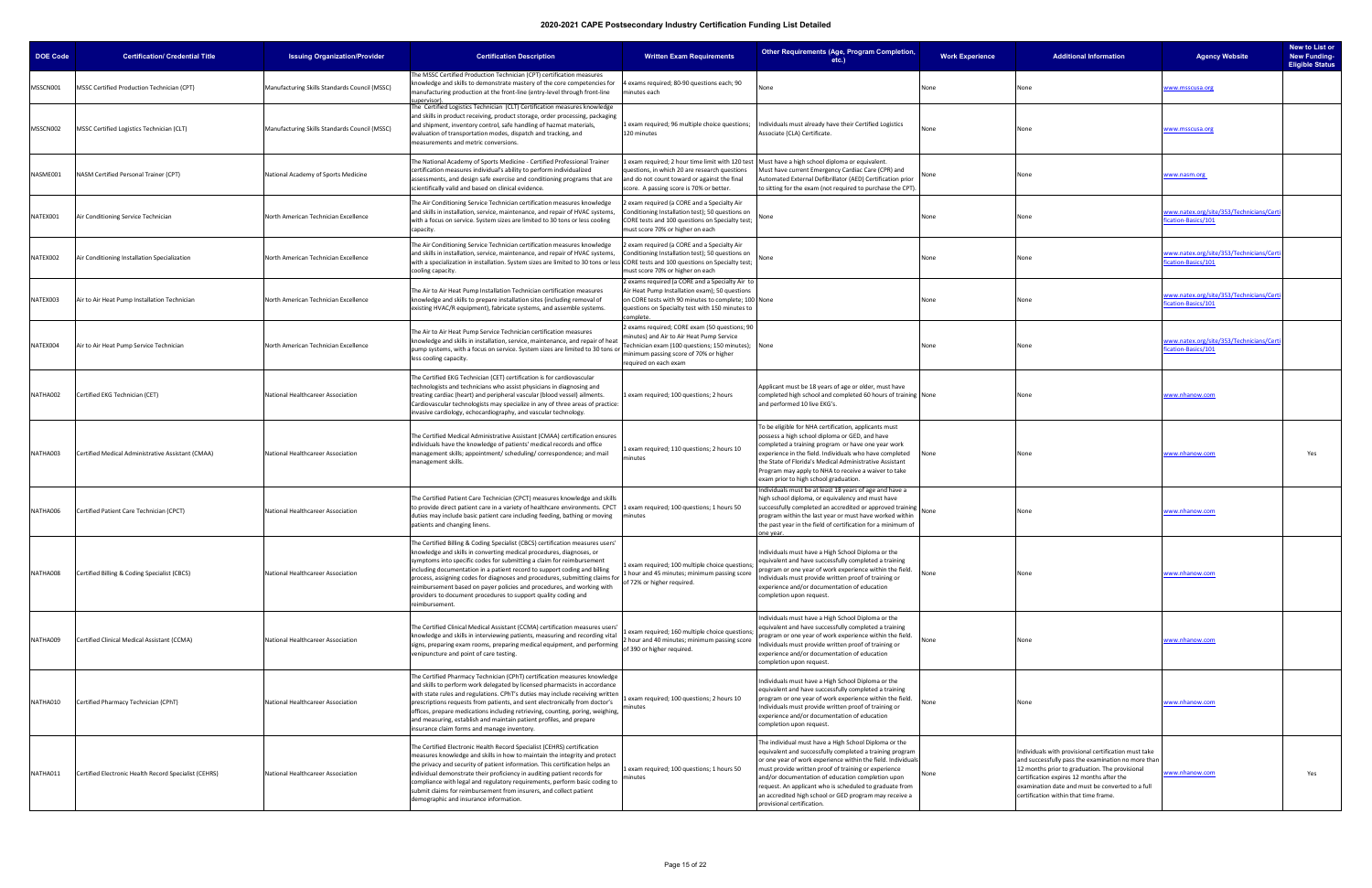| <b>DOE Code</b> | <b>Certification/ Credential Title</b>                | <b>Issuing Organization/Provider</b>          | <b>Certification Description</b>                                                                                                                                                                                                                                                                                                                                                                                                                                                                                                                                                                                                                                                                            | <b>Written Exam Requirements</b>                                                                                                                                                                                         | Other Requirements (Age, Program Completion,<br>etc.)                                                                                                                                                                                                                                                                                                                                                                                            | <b>Work Experience</b> | <b>Additional Information</b>                                                                                                                                                                                                                                                                          | <b>Agency Website</b>                                          | New to List or<br><b>New Funding-</b><br><b>Eligible Status</b> |
|-----------------|-------------------------------------------------------|-----------------------------------------------|-------------------------------------------------------------------------------------------------------------------------------------------------------------------------------------------------------------------------------------------------------------------------------------------------------------------------------------------------------------------------------------------------------------------------------------------------------------------------------------------------------------------------------------------------------------------------------------------------------------------------------------------------------------------------------------------------------------|--------------------------------------------------------------------------------------------------------------------------------------------------------------------------------------------------------------------------|--------------------------------------------------------------------------------------------------------------------------------------------------------------------------------------------------------------------------------------------------------------------------------------------------------------------------------------------------------------------------------------------------------------------------------------------------|------------------------|--------------------------------------------------------------------------------------------------------------------------------------------------------------------------------------------------------------------------------------------------------------------------------------------------------|----------------------------------------------------------------|-----------------------------------------------------------------|
| MSSCN001        | <b>MSSC Certified Production Technician (CPT)</b>     | Manufacturing Skills Standards Council (MSSC) | The MSSC Certified Production Technician (CPT) certification measures<br>knowledge and skills to demonstrate mastery of the core competencies for<br>manufacturing production at the front-line (entry-level through front-line<br>upervisor)                                                                                                                                                                                                                                                                                                                                                                                                                                                               | 4 exams required; 80-90 questions each; 90<br>minutes each                                                                                                                                                               | Jone                                                                                                                                                                                                                                                                                                                                                                                                                                             | None                   | None                                                                                                                                                                                                                                                                                                   | www.msscusa.org                                                |                                                                 |
| MSSCN002        | MSSC Certified Logistics Technician (CLT)             | Manufacturing Skills Standards Council (MSSC) | The Certified Logistics Technician (CLT) Certification measures knowledge<br>and skills in product receiving, product storage, order processing, packaging<br>and shipment, inventory control, safe handling of hazmat materials,<br>evaluation of transportation modes, dispatch and tracking, and<br>measurements and metric conversions.                                                                                                                                                                                                                                                                                                                                                                 | 1 exam required; 96 multiple choice questions;<br>120 minutes                                                                                                                                                            | Individuals must already have their Certified Logistics<br>Associate (CLA) Certificate.                                                                                                                                                                                                                                                                                                                                                          | None                   | None                                                                                                                                                                                                                                                                                                   | www.msscusa.org                                                |                                                                 |
| NASME001        | <b>NASM Certified Personal Trainer (CPT)</b>          | National Academy of Sports Medicine           | The National Academy of Sports Medicine - Certified Professional Trainer<br>certification measures individual's ability to perform individualized<br>assessments, and design safe exercise and conditioning programs that are<br>scientifically valid and based on clinical evidence.                                                                                                                                                                                                                                                                                                                                                                                                                       | Lexam required; 2 hour time limit with 120 test<br>questions, in which 20 are research questions<br>and do not count toward or against the final<br>score. A passing score is 70% or better.                             | Must have a high school diploma or equivalent.<br>Must have current Emergency Cardiac Care (CPR) and<br>Automated External Defibrillator (AED) Certification prior<br>to sitting for the exam (not required to purchase the CPT).                                                                                                                                                                                                                | None                   | None                                                                                                                                                                                                                                                                                                   | www.nasm.org                                                   |                                                                 |
| NATEX001        | Air Conditioning Service Technician                   | North American Technician Excellence          | The Air Conditioning Service Technician certification measures knowledge<br>and skills in installation, service, maintenance, and repair of HVAC systems,<br>with a focus on service. System sizes are limited to 30 tons or less cooling<br>capacity.                                                                                                                                                                                                                                                                                                                                                                                                                                                      | 2 exam required (a CORE and a Specialty Air<br>Conditioning Installation test); 50 questions on<br>CORE tests and 100 questions on Specialty test;<br>must score 70% or higher on each                                   |                                                                                                                                                                                                                                                                                                                                                                                                                                                  | None                   | None                                                                                                                                                                                                                                                                                                   | www.natex.org/site/353/Technicians/Cert<br>cation-Basics/101   |                                                                 |
| NATEX002        | Air Conditioning Installation Specialization          | North American Technician Excellence          | The Air Conditioning Service Technician certification measures knowledge<br>and skills in installation, service, maintenance, and repair of HVAC systems,<br>with a specialization in installation. System sizes are limited to 30 tons or less CORE tests and 100 questions on Specialty test;<br>cooling capacity.                                                                                                                                                                                                                                                                                                                                                                                        | 2 exam required (a CORE and a Specialty Air<br>Conditioning Installation test); 50 questions on<br>must score 70% or higher on each                                                                                      |                                                                                                                                                                                                                                                                                                                                                                                                                                                  | None                   | None                                                                                                                                                                                                                                                                                                   | www.natex.org/site/353/Technicians/Cert<br>ication-Basics/101  |                                                                 |
| NATEX003        | Air to Air Heat Pump Installation Technician          | North American Technician Excellence          | The Air to Air Heat Pump Installation Technician certification measures<br>knowledge and skills to prepare installation sites (including removal of<br>existing HVAC/R equipment), fabricate systems, and assemble systems.                                                                                                                                                                                                                                                                                                                                                                                                                                                                                 | 2 exams required (a CORE and a Specialty Air to<br>Air Heat Pump Installation exam); 50 questions<br>on CORE tests with 90 minutes to complete; 100 None<br>questions on Specialty test with 150 minutes to<br>complete. |                                                                                                                                                                                                                                                                                                                                                                                                                                                  | None                   | None                                                                                                                                                                                                                                                                                                   | www.natex.org/site/353/Technicians/Cer<br>ication-Basics/101   |                                                                 |
| NATEX004        | Air to Air Heat Pump Service Technician               | North American Technician Excellence          | The Air to Air Heat Pump Service Technician certification measures<br>knowledge and skills in installation, service, maintenance, and repair of heat<br>pump systems, with a focus on service. System sizes are limited to 30 tons or<br>less cooling capacity.                                                                                                                                                                                                                                                                                                                                                                                                                                             | 2 exams required; CORE exam (50 questions; 90<br>minutes) and Air to Air Heat Pump Service<br>Technician exam (100 questions; 150 minutes); None<br>minimum passing score of 70% or higher<br>required on each exam      |                                                                                                                                                                                                                                                                                                                                                                                                                                                  | None                   | None                                                                                                                                                                                                                                                                                                   | www.natex.org/site/353/Technicians/Cert<br>fication-Basics/101 |                                                                 |
| NATHA002        | Certified EKG Technician (CET)                        | National Healthcareer Association             | The Certified EKG Technician (CET) certification is for cardiovascular<br>technologists and technicians who assist physicians in diagnosing and<br>treating cardiac (heart) and peripheral vascular (blood vessel) ailments.<br>Cardiovascular technologists may specialize in any of three areas of practice:<br>nvasive cardiology, echocardiography, and vascular technology.                                                                                                                                                                                                                                                                                                                            | Lexam required; 100 questions; 2 hours                                                                                                                                                                                   | Applicant must be 18 years of age or older, must have<br>completed high school and completed 60 hours of training None<br>and performed 10 live EKG's.                                                                                                                                                                                                                                                                                           |                        |                                                                                                                                                                                                                                                                                                        | <u>www.nhanow.com</u>                                          |                                                                 |
| NATHA003        | Certified Medical Administrative Assistant (CMAA)     | National Healthcareer Association             | The Certified Medical Administrative Assistant (CMAA) certification ensures<br>ndividuals have the knowledge of patients' medical records and office<br>management skills; appointment/ scheduling/ correspondence; and mail<br>management skills.                                                                                                                                                                                                                                                                                                                                                                                                                                                          | exam required; 110 questions; 2 hours 10<br>minutes                                                                                                                                                                      | To be eligible for NHA certification, applicants must<br>possess a high school diploma or GED, and have<br>completed a training program or have one year work<br>experience in the field. Individuals who have completed<br>the State of Florida's Medical Administrative Assistant<br>Program may apply to NHA to receive a waiver to take<br>exam prior to high school graduation.                                                             | None                   | None                                                                                                                                                                                                                                                                                                   | <u>www.nhanow.com</u>                                          | Yes                                                             |
| NATHA006        | Certified Patient Care Technician (CPCT)              | National Healthcareer Association             | The Certified Patient Care Technician (CPCT) measures knowledge and skills<br>to provide direct patient care in a variety of healthcare environments. CPCT<br>duties may include basic patient care including feeding, bathing or moving<br>patients and changing linens.                                                                                                                                                                                                                                                                                                                                                                                                                                   | 1 exam required; 100 questions; 1 hours 50<br>minutes                                                                                                                                                                    | ndividuals must be at least 18 years of age and have a<br>high school diploma, or equivalency and must have<br>successfully completed an accredited or approved training<br>program within the last year or must have worked within<br>the past year in the field of certification for a minimum of<br>ne vear.                                                                                                                                  | None                   | None                                                                                                                                                                                                                                                                                                   | <u>www.nhanow.com</u>                                          |                                                                 |
| NATHA008        | Certified Billing & Coding Specialist (CBCS)          | National Healthcareer Association             | The Certified Billing & Coding Specialist (CBCS) certification measures users'<br>knowledge and skills in converting medical procedures, diagnoses, or<br>symptoms into specific codes for submitting a claim for reimbursement<br>including documentation in a patient record to support coding and billing<br>process, assigning codes for diagnoses and procedures, submitting claims for a literature of the contract of the procedure of the procedure of the procedure of the procedure of the procedure of the procedure of the procedu<br>reimbursement based on payer policies and procedures, and working with<br>providers to document procedures to support quality coding and<br>eimbursement. | L exam required; 100 multiple choice questions;<br>1 hour and 45 minutes; minimum passing score                                                                                                                          | Individuals must have a High School Diploma or the<br>equivalent and have successfully completed a training<br>program or one year of work experience within the field.<br>Individuals must provide written proof of training or<br>experience and/or documentation of education<br>completion upon request.                                                                                                                                     | None                   | None                                                                                                                                                                                                                                                                                                   | www.nhanow.com                                                 |                                                                 |
| NATHA009        | Certified Clinical Medical Assistant (CCMA)           | National Healthcareer Association             | The Certified Clinical Medical Assistant (CCMA) certification measures users<br>knowledge and skills in interviewing patients, measuring and recording vital<br>signs, preparing exam rooms, preparing medical equipment, and performing<br>venipuncture and point of care testing.                                                                                                                                                                                                                                                                                                                                                                                                                         | exam required; 160 multiple choice questions<br>2 hour and 40 minutes; minimum passing score<br>of 390 or higher required.                                                                                               | ndividuals must have a High School Diploma or the<br>equivalent and have successfully completed a training<br>rogram or one year of work experience within the field.<br>Individuals must provide written proof of training or<br>experience and/or documentation of education<br>completion upon request.                                                                                                                                       | None                   |                                                                                                                                                                                                                                                                                                        | <u>www.nhanow.com</u>                                          |                                                                 |
| NATHA010        | Certified Pharmacy Technician (CPhT)                  | National Healthcareer Association             | The Certified Pharmacy Technician (CPhT) certification measures knowledge<br>and skills to perform work delegated by licensed pharmacists in accordance<br>with state rules and regulations. CPhT's duties may include receiving written<br>prescriptions requests from patients, and sent electronically from doctor's<br>offices, prepare medications including retrieving, counting, poring, weighing,<br>and measuring, establish and maintain patient profiles, and prepare<br>nsurance claim forms and manage inventory.                                                                                                                                                                              | exam required; 100 questions; 2 hours 10<br>minutes                                                                                                                                                                      | Individuals must have a High School Diploma or the<br>equivalent and have successfully completed a training<br>program or one year of work experience within the field.<br>Individuals must provide written proof of training or<br>experience and/or documentation of education<br>completion upon request.                                                                                                                                     | None                   |                                                                                                                                                                                                                                                                                                        | <u>www.nhanow.com</u>                                          |                                                                 |
| NATHA011        | Certified Electronic Health Record Specialist (CEHRS) | National Healthcareer Association             | The Certified Electronic Health Record Specialist (CEHRS) certification<br>measures knowledge and skills in how to maintain the integrity and protect<br>the privacy and security of patient information. This certification helps an<br>individual demonstrate their proficiency in auditing patient records for<br>compliance with legal and regulatory requirements, perform basic coding to<br>submit claims for reimbursement from insurers, and collect patient<br>demographic and insurance information.                                                                                                                                                                                             | exam required; 100 questions; 1 hours 50<br>minutes                                                                                                                                                                      | he individual must have a High School Diploma or the<br>equivalent and successfully completed a training program<br>or one year of work experience within the field. Individuals<br>must provide written proof of training or experience<br>and/or documentation of education completion upon<br>request. An applicant who is scheduled to graduate from<br>an accredited high school or GED program may receive a<br>provisional certification. |                        | Individuals with provisional certification must take<br>and successfully pass the examination no more than<br>12 months prior to graduation. The provisional<br>certification expires 12 months after the<br>examination date and must be converted to a full<br>certification within that time frame. | <u>www.nhanow.com</u>                                          | Yes                                                             |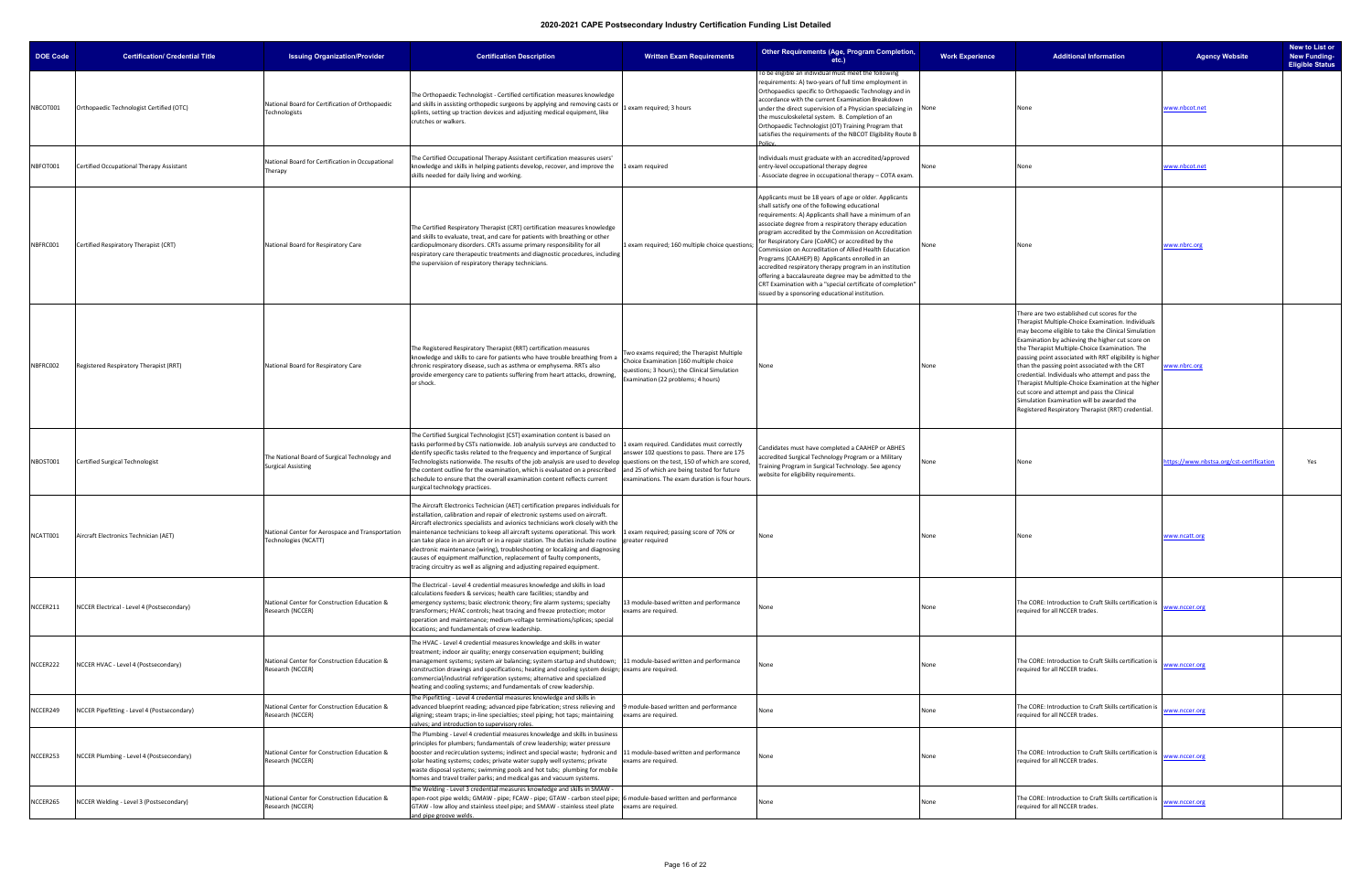| <b>DOE Code</b> | <b>Certification/ Credential Title</b>      | <b>Issuing Organization/Provider</b>                                       | <b>Certification Description</b>                                                                                                                                                                                                                                                                                                                                                                                                                                                                                                                                                                                                                                                                                  | <b>Written Exam Requirements</b>                                                                                                                                                           | Other Requirements (Age, Program Completion,<br>$etc.$ )                                                                                                                                                                                                                                                                                                                                                                                                                                                                                                                                                                                                                                     | <b>Work Experience</b> | <b>Additional Information</b>                                                                                                                                                                                                                                                                                                                                                                                                                                                                                                                                                                                                              | <b>Agency Website</b>                    | New to List or<br><b>New Funding-</b><br><b>Eligible Status</b> |
|-----------------|---------------------------------------------|----------------------------------------------------------------------------|-------------------------------------------------------------------------------------------------------------------------------------------------------------------------------------------------------------------------------------------------------------------------------------------------------------------------------------------------------------------------------------------------------------------------------------------------------------------------------------------------------------------------------------------------------------------------------------------------------------------------------------------------------------------------------------------------------------------|--------------------------------------------------------------------------------------------------------------------------------------------------------------------------------------------|----------------------------------------------------------------------------------------------------------------------------------------------------------------------------------------------------------------------------------------------------------------------------------------------------------------------------------------------------------------------------------------------------------------------------------------------------------------------------------------------------------------------------------------------------------------------------------------------------------------------------------------------------------------------------------------------|------------------------|--------------------------------------------------------------------------------------------------------------------------------------------------------------------------------------------------------------------------------------------------------------------------------------------------------------------------------------------------------------------------------------------------------------------------------------------------------------------------------------------------------------------------------------------------------------------------------------------------------------------------------------------|------------------------------------------|-----------------------------------------------------------------|
| NBCOT001        | Orthopaedic Technologist Certified (OTC)    | National Board for Certification of Orthopaedic<br>Technologists           | The Orthopaedic Technologist - Certified certification measures knowledge<br>and skills in assisting orthopedic surgeons by applying and removing casts or<br>splints, setting up traction devices and adjusting medical equipment, like<br>crutches or walkers.                                                                                                                                                                                                                                                                                                                                                                                                                                                  | Lexam required; 3 hours                                                                                                                                                                    | o be eligible an individual must meet the following<br>requirements: A) two-years of full time employment in<br>Orthopaedics specific to Orthopaedic Technology and in<br>accordance with the current Examination Breakdown<br>under the direct supervision of a Physician specializing in None<br>the musculoskeletal system. B. Completion of an<br>Orthopaedic Technologist (OT) Training Program that<br>satisfies the requirements of the NBCOT Eligibility Route B                                                                                                                                                                                                                     |                        | None                                                                                                                                                                                                                                                                                                                                                                                                                                                                                                                                                                                                                                       | <u>www.nbcot.net</u>                     |                                                                 |
| NBFOT001        | Certified Occupational Therapy Assistant    | National Board for Certification in Occupational<br>Therapy                | The Certified Occupational Therapy Assistant certification measures users'<br>knowledge and skills in helping patients develop, recover, and improve the<br>skills needed for daily living and working.                                                                                                                                                                                                                                                                                                                                                                                                                                                                                                           | 1 exam required                                                                                                                                                                            | ndividuals must graduate with an accredited/approved<br>entry-level occupational therapy degree<br>Associate degree in occupational therapy - COTA exam.                                                                                                                                                                                                                                                                                                                                                                                                                                                                                                                                     |                        |                                                                                                                                                                                                                                                                                                                                                                                                                                                                                                                                                                                                                                            | www.nbcot.net                            |                                                                 |
| NBFRC001        | Certified Respiratory Therapist (CRT)       | National Board for Respiratory Care                                        | The Certified Respiratory Therapist (CRT) certification measures knowledge<br>and skills to evaluate, treat, and care for patients with breathing or other<br>cardiopulmonary disorders. CRTs assume primary responsibility for all<br>respiratory care therapeutic treatments and diagnostic procedures, including<br>the supervision of respiratory therapy technicians.                                                                                                                                                                                                                                                                                                                                        | Lexam required; 160 multiple choice questions                                                                                                                                              | Applicants must be 18 years of age or older. Applicants<br>shall satisfy one of the following educational<br>requirements: A) Applicants shall have a minimum of an<br>associate degree from a respiratory therapy education<br>program accredited by the Commission on Accreditation<br>for Respiratory Care (CoARC) or accredited by the<br>Commission on Accreditation of Allied Health Education<br>Programs (CAAHEP) B) Applicants enrolled in an<br>accredited respiratory therapy program in an institution<br>offering a baccalaureate degree may be admitted to the<br>CRT Examination with a "special certificate of completion"<br>ssued by a sponsoring educational institution. |                        | None                                                                                                                                                                                                                                                                                                                                                                                                                                                                                                                                                                                                                                       | www.nbrc.org                             |                                                                 |
| NBFRC002        | Registered Respiratory Therapist (RRT)      | National Board for Respiratory Care                                        | The Registered Respiratory Therapist (RRT) certification measures<br>knowledge and skills to care for patients who have trouble breathing from a<br>chronic respiratory disease, such as asthma or emphysema. RRTs also<br>provide emergency care to patients suffering from heart attacks, drowning,<br>or shock.                                                                                                                                                                                                                                                                                                                                                                                                | Two exams required; the Therapist Multiple<br>Choice Examination (160 multiple choice<br>questions; 3 hours); the Clinical Simulation<br>Examination (22 problems; 4 hours)                | None                                                                                                                                                                                                                                                                                                                                                                                                                                                                                                                                                                                                                                                                                         | None                   | There are two established cut scores for the<br>Therapist Multiple-Choice Examination. Individuals<br>may become eligible to take the Clinical Simulation<br>Examination by achieving the higher cut score on<br>the Therapist Multiple-Choice Examination. The<br>passing point associated with RRT eligibility is higher<br>than the passing point associated with the CRT<br>credential. Individuals who attempt and pass the<br>Therapist Multiple-Choice Examination at the higher<br>cut score and attempt and pass the Clinical<br>Simulation Examination will be awarded the<br>Registered Respiratory Therapist (RRT) credential. | www.nbrc.org                             |                                                                 |
| NBOST001        | Certified Surgical Technologist             | The National Board of Surgical Technology and<br><b>Surgical Assisting</b> | The Certified Surgical Technologist (CST) examination content is based on<br>tasks performed by CSTs nationwide. Job analysis surveys are conducted to<br>identify specific tasks related to the frequency and importance of Surgical<br>Technologists nationwide. The results of the job analysis are used to develop  questions on the test, 150 of which are scored,<br>the content outline for the examination, which is evaluated on a prescribed<br>schedule to ensure that the overall examination content reflects current<br>surgical technology practices.                                                                                                                                              | 1 exam required. Candidates must correctly<br>answer 102 questions to pass. There are 175<br>and 25 of which are being tested for future<br>examinations. The exam duration is four hours. | andidates must have completed a CAAHEP or ABHES<br>accredited Surgical Technology Program or a Military<br>raining Program in Surgical Technology. See agency<br>vebsite for eligibility requirements.                                                                                                                                                                                                                                                                                                                                                                                                                                                                                       | None                   | None                                                                                                                                                                                                                                                                                                                                                                                                                                                                                                                                                                                                                                       | https://www.nbstsa.org/cst-certification | Yes                                                             |
| NCATT001        | Aircraft Electronics Technician (AET)       | National Center for Aerospace and Transportation<br>Technologies (NCATT)   | The Aircraft Electronics Technician (AET) certification prepares individuals for<br>nstallation, calibration and repair of electronic systems used on aircraft.<br>Aircraft electronics specialists and avionics technicians work closely with the<br>maintenance technicians to keep all aircraft systems operational. This work 1 exam required; passing score of 70% or<br>can take place in an aircraft or in a repair station. The duties include routine greater required<br>electronic maintenance (wiring), troubleshooting or localizing and diagnosing<br>causes of equipment malfunction, replacement of faulty components,<br>tracing circuitry as well as aligning and adjusting repaired equipment. |                                                                                                                                                                                            | None                                                                                                                                                                                                                                                                                                                                                                                                                                                                                                                                                                                                                                                                                         | None                   | None                                                                                                                                                                                                                                                                                                                                                                                                                                                                                                                                                                                                                                       | www.ncatt.org                            |                                                                 |
| NCCER211        | NCCER Electrical - Level 4 (Postsecondary)  | National Center for Construction Education &<br>Research (NCCER)           | The Electrical - Level 4 credential measures knowledge and skills in load<br>calculations feeders & services; health care facilities; standby and<br>emergency systems; basic electronic theory; fire alarm systems; specialty<br>transformers; HVAC controls; heat tracing and freeze protection; motor<br>operation and maintenance; medium-voltage terminations/splices; special<br>locations; and fundamentals of crew leadership.                                                                                                                                                                                                                                                                            | 13 module-based written and performance<br>exams are required.                                                                                                                             | Jone                                                                                                                                                                                                                                                                                                                                                                                                                                                                                                                                                                                                                                                                                         | None                   | The CORE: Introduction to Craft Skills certification is<br>equired for all NCCER trades.                                                                                                                                                                                                                                                                                                                                                                                                                                                                                                                                                   | www.nccer.org                            |                                                                 |
| NCCER222        | NCCER HVAC - Level 4 (Postsecondary)        | National Center for Construction Education &<br>Research (NCCER)           | The HVAC - Level 4 credential measures knowledge and skills in water<br>treatment; indoor air quality; energy conservation equipment; building<br>management systems; system air balancing; system startup and shutdown; 11 module-based written and performance<br>construction drawings and specifications; heating and cooling system design; exams are required.<br>commercial/industrial refrigeration systems; alternative and specialized<br>heating and cooling systems; and fundamentals of crew leadership.                                                                                                                                                                                             |                                                                                                                                                                                            | None                                                                                                                                                                                                                                                                                                                                                                                                                                                                                                                                                                                                                                                                                         | None                   | The CORE: Introduction to Craft Skills certification is<br>required for all NCCER trades.                                                                                                                                                                                                                                                                                                                                                                                                                                                                                                                                                  | www.nccer.org                            |                                                                 |
| NCCER249        | NCCER Pipefitting - Level 4 (Postsecondary) | National Center for Construction Education &<br>Research (NCCER)           | The Pipefitting - Level 4 credential measures knowledge and skills in<br>advanced blueprint reading; advanced pipe fabrication; stress relieving and<br>aligning; steam traps; in-line specialties; steel piping; hot taps; maintaining<br>alves; and introduction to supervisory roles.                                                                                                                                                                                                                                                                                                                                                                                                                          | 9 module-based written and performance<br>exams are required.                                                                                                                              | lone                                                                                                                                                                                                                                                                                                                                                                                                                                                                                                                                                                                                                                                                                         | None                   | The CORE: Introduction to Craft Skills certification is<br>required for all NCCER trades.                                                                                                                                                                                                                                                                                                                                                                                                                                                                                                                                                  | www.nccer.org                            |                                                                 |
| NCCER253        | NCCER Plumbing - Level 4 (Postsecondary)    | National Center for Construction Education &<br>Research (NCCER)           | The Plumbing - Level 4 credential measures knowledge and skills in business<br>principles for plumbers; fundamentals of crew leadership; water pressure<br>booster and recirculation systems; indirect and special waste; hydronic and 11 module-based written and performance<br>solar heating systems; codes; private water supply well systems; private<br>waste disposal systems; swimming pools and hot tubs; plumbing for mobile<br>homes and travel trailer parks; and medical gas and vacuum systems.                                                                                                                                                                                                     | exams are required.                                                                                                                                                                        | None                                                                                                                                                                                                                                                                                                                                                                                                                                                                                                                                                                                                                                                                                         | None                   | The CORE: Introduction to Craft Skills certification is<br>required for all NCCER trades.                                                                                                                                                                                                                                                                                                                                                                                                                                                                                                                                                  | www.nccer.org                            |                                                                 |
| NCCER265        | NCCER Welding - Level 3 (Postsecondary)     | National Center for Construction Education &<br>Research (NCCER)           | The Welding - Level 3 credential measures knowledge and skills in SMAW -<br>open-root pipe welds; GMAW - pipe; FCAW - pipe; GTAW - carbon steel pipe; 6 module-based written and performance<br>GTAW - low alloy and stainless steel pipe; and SMAW - stainless steel plate exams are required.<br>and pipe groove welds.                                                                                                                                                                                                                                                                                                                                                                                         |                                                                                                                                                                                            |                                                                                                                                                                                                                                                                                                                                                                                                                                                                                                                                                                                                                                                                                              | None                   | The CORE: Introduction to Craft Skills certification is<br>required for all NCCER trades.                                                                                                                                                                                                                                                                                                                                                                                                                                                                                                                                                  | www.nccer.org                            |                                                                 |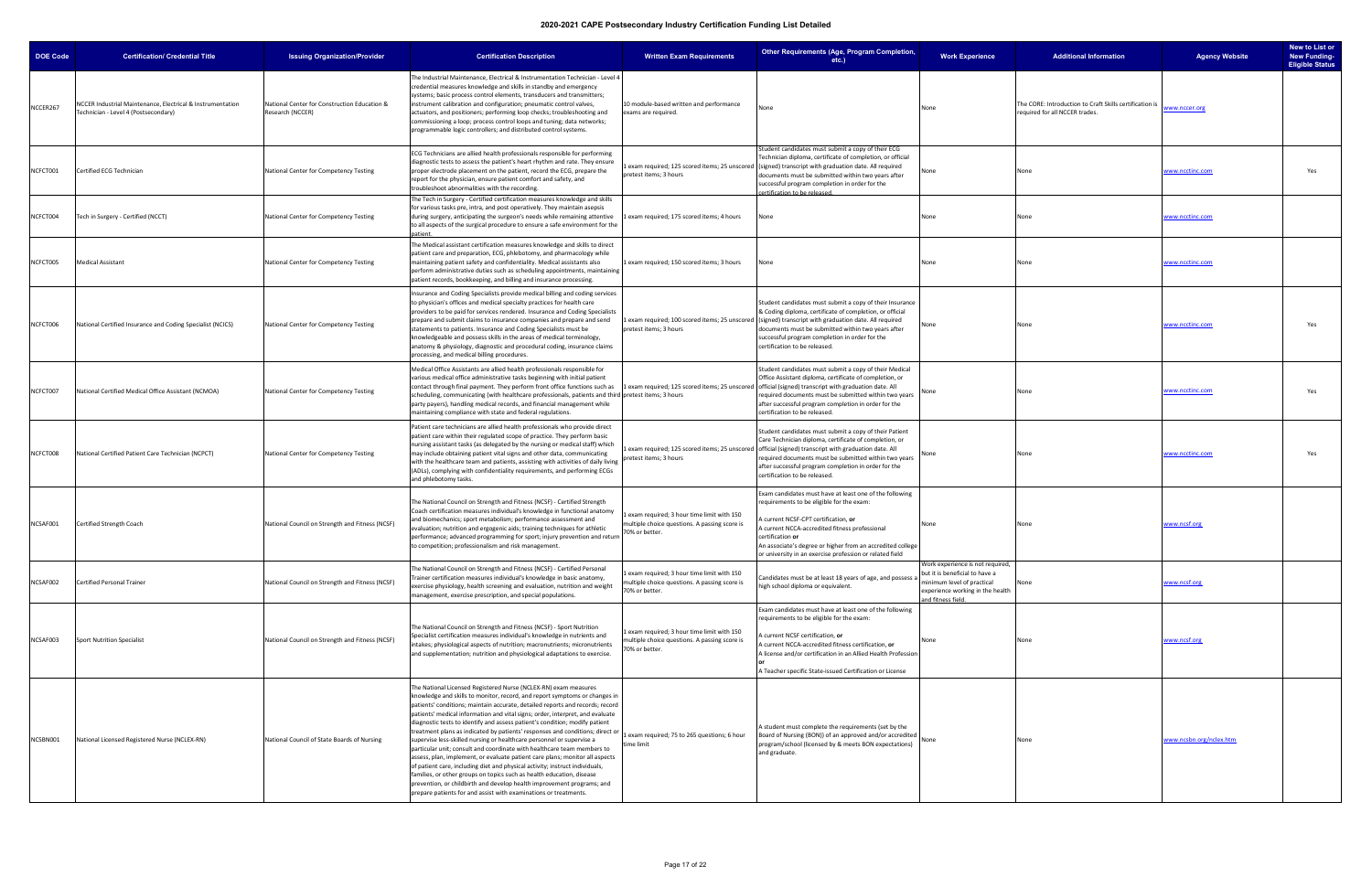| <b>DOE Code</b> | <b>Certification/ Credential Title</b>                                                             | <b>Issuing Organization/Provider</b>                             | <b>Certification Description</b>                                                                                                                                                                                                                                                                                                                                                                                                                                                                                                                                                                                                                                                                                                                                                                                                                                                                                                                                                                                           | <b>Written Exam Requirements</b>                                                                              | Other Requirements (Age, Program Completion,<br>etc.)                                                                                                                                                                                                                                                                                                                      | <b>Work Experience</b>                                                                                                                                     | <b>Additional Information</b>                                                            | <b>Agency Website</b>   | New to List or<br><b>New Funding-</b><br><b>Eligible Status</b> |
|-----------------|----------------------------------------------------------------------------------------------------|------------------------------------------------------------------|----------------------------------------------------------------------------------------------------------------------------------------------------------------------------------------------------------------------------------------------------------------------------------------------------------------------------------------------------------------------------------------------------------------------------------------------------------------------------------------------------------------------------------------------------------------------------------------------------------------------------------------------------------------------------------------------------------------------------------------------------------------------------------------------------------------------------------------------------------------------------------------------------------------------------------------------------------------------------------------------------------------------------|---------------------------------------------------------------------------------------------------------------|----------------------------------------------------------------------------------------------------------------------------------------------------------------------------------------------------------------------------------------------------------------------------------------------------------------------------------------------------------------------------|------------------------------------------------------------------------------------------------------------------------------------------------------------|------------------------------------------------------------------------------------------|-------------------------|-----------------------------------------------------------------|
| NCCER267        | ICCER Industrial Maintenance, Electrical & Instrumentation<br>Technician - Level 4 (Postsecondary) | National Center for Construction Education &<br>Research (NCCER) | The Industrial Maintenance, Electrical & Instrumentation Technician - Level 4<br>credential measures knowledge and skills in standby and emergency<br>systems; basic process control elements, transducers and transmitters;<br>instrument calibration and configuration; pneumatic control valves,<br>actuators, and positioners; performing loop checks; troubleshooting and<br>commissioning a loop; process control loops and tuning; data networks;<br>programmable logic controllers; and distributed control systems.                                                                                                                                                                                                                                                                                                                                                                                                                                                                                               | 10 module-based written and performance<br>exams are required.                                                | None                                                                                                                                                                                                                                                                                                                                                                       | None                                                                                                                                                       | The CORE: Introduction to Craft Skills certification is<br>equired for all NCCER trades. | www.nccer.org           |                                                                 |
| NCFCT001        | Certified ECG Technician                                                                           | National Center for Competency Testing                           | ECG Technicians are allied health professionals responsible for performing<br>diagnostic tests to assess the patient's heart rhythm and rate. They ensure<br>proper electrode placement on the patient, record the ECG, prepare the<br>report for the physician, ensure patient comfort and safety, and<br>troubleshoot abnormalities with the recording.                                                                                                                                                                                                                                                                                                                                                                                                                                                                                                                                                                                                                                                                  | pretest items; 3 hours                                                                                        | tudent candidates must submit a copy of their ECG<br>Technician diploma, certificate of completion, or official<br>exam required; 125 scored items; 25 unscored (signed) transcript with graduation date. All required<br>documents must be submitted within two years after<br>successful program completion in order for the<br>ertification to be released.             | None                                                                                                                                                       | None                                                                                     | www.ncctinc.com         | Yes                                                             |
| NCFCT004        | Tech in Surgery - Certified (NCCT)                                                                 | National Center for Competency Testing                           | The Tech in Surgery - Certified certification measures knowledge and skills<br>for various tasks pre, intra, and post operatively. They maintain asepsis<br>during surgery, anticipating the surgeon's needs while remaining attentive<br>to all aspects of the surgical procedure to ensure a safe environment for the                                                                                                                                                                                                                                                                                                                                                                                                                                                                                                                                                                                                                                                                                                    | Lexam required; 175 scored items; 4 hours                                                                     | lone                                                                                                                                                                                                                                                                                                                                                                       | None                                                                                                                                                       | None                                                                                     | www.ncctinc.com         |                                                                 |
| NCFCT005        | <b>Medical Assistant</b>                                                                           | National Center for Competency Testing                           | The Medical assistant certification measures knowledge and skills to direct<br>patient care and preparation, ECG, phlebotomy, and pharmacology while<br>maintaining patient safety and confidentiality. Medical assistants also<br>perform administrative duties such as scheduling appointments, maintaining<br>patient records, bookkeeping, and billing and insurance processing.                                                                                                                                                                                                                                                                                                                                                                                                                                                                                                                                                                                                                                       | 1 exam required; 150 scored items; 3 hours                                                                    | None                                                                                                                                                                                                                                                                                                                                                                       | None                                                                                                                                                       | None                                                                                     | www.ncctinc.com         |                                                                 |
| NCFCT006        | National Certified Insurance and Coding Specialist (NCICS)                                         | National Center for Competency Testing                           | nsurance and Coding Specialists provide medical billing and coding services<br>to physician's offices and medical specialty practices for health care<br>providers to be paid for services rendered. Insurance and Coding Specialists<br>prepare and submit claims to insurance companies and prepare and send<br>statements to patients. Insurance and Coding Specialists must be<br>knowledgeable and possess skills in the areas of medical terminology,<br>anatomy & physiology, diagnostic and procedural coding, insurance claims<br>processing, and medical billing procedures.                                                                                                                                                                                                                                                                                                                                                                                                                                     | pretest items; 3 hours                                                                                        | Student candidates must submit a copy of their Insurance<br>& Coding diploma, certificate of completion, or official<br>L exam required; 100 scored items; 25 unscored ((signed) transcript with graduation date. All required<br>documents must be submitted within two years after<br>successful program completion in order for the<br>certification to be released.    | None                                                                                                                                                       | None                                                                                     | www.ncctinc.com         | Yes                                                             |
| NCFCT007        | National Certified Medical Office Assistant (NCMOA)                                                | National Center for Competency Testing                           | Medical Office Assistants are allied health professionals responsible for<br>various medical office administrative tasks beginning with initial patient<br>contact through final payment. They perform front office functions such as [1 exam required; 125 scored items; 25 unscored   official (signed) transcript with graduation date. All<br>scheduling, communicating (with healthcare professionals, patients and third pretest items; 3 hours<br>party payers), handling medical records, and financial management while<br>maintaining compliance with state and federal regulations.                                                                                                                                                                                                                                                                                                                                                                                                                             |                                                                                                               | Student candidates must submit a copy of their Medical<br>Office Assistant diploma, certificate of completion, or<br>required documents must be submitted within two years<br>after successful program completion in order for the<br>certification to be released.                                                                                                        |                                                                                                                                                            | None                                                                                     | www.ncctinc.com         | Yes                                                             |
| NCFCT008        | National Certified Patient Care Technician (NCPCT)                                                 | National Center for Competency Testing                           | Patient care technicians are allied health professionals who provide direct<br>patient care within their regulated scope of practice. They perform basic<br>nursing assistant tasks (as delegated by the nursing or medical staff) which<br>may include obtaining patient vital signs and other data, communicating<br>with the healthcare team and patients, assisting with activities of daily living<br>(ADLs), complying with confidentiality requirements, and performing ECGs<br>and phlebotomy tasks.                                                                                                                                                                                                                                                                                                                                                                                                                                                                                                               | pretest items; 3 hours                                                                                        | Student candidates must submit a copy of their Patient<br>Care Technician diploma, certificate of completion, or<br>Lexam required; 125 scored items; 25 unscored official (signed) transcript with graduation date. All<br>required documents must be submitted within two years<br>after successful program completion in order for the<br>certification to be released. |                                                                                                                                                            | None                                                                                     | www.ncctinc.com         | Yes                                                             |
| NCSAF001        | <b>Certified Strength Coach</b>                                                                    | National Council on Strength and Fitness (NCSF)                  | The National Council on Strength and Fitness (NCSF) - Certified Strength<br>Coach certification measures individual's knowledge in functional anatomy<br>and biomechanics; sport metabolism; performance assessment and<br>evaluation; nutrition and ergogenic aids; training techniques for athletic<br>performance; advanced programming for sport; injury prevention and return<br>to competition; professionalism and risk management.                                                                                                                                                                                                                                                                                                                                                                                                                                                                                                                                                                                 | exam required; 3 hour time limit with 150<br>multiple choice questions. A passing score is<br>70% or better.  | Exam candidates must have at least one of the following<br>requirements to be eligible for the exam:<br>current NCSF-CPT certification, or<br>A current NCCA-accredited fitness professional<br>certification or<br>An associate's degree or higher from an accredited college<br>or university in an exercise profession or related field                                 | None                                                                                                                                                       | None                                                                                     | www.ncsf.org            |                                                                 |
| NCSAF002        | <b>Certified Personal Trainer</b>                                                                  | National Council on Strength and Fitness (NCSF)                  | The National Council on Strength and Fitness (NCSF) - Certified Personal<br>Trainer certification measures individual's knowledge in basic anatomy,<br>exercise physiology, health screening and evaluation, nutrition and weight<br>management, exercise prescription, and special populations.                                                                                                                                                                                                                                                                                                                                                                                                                                                                                                                                                                                                                                                                                                                           | Lexam required; 3 hour time limit with 150<br>multiple choice questions. A passing score is<br>70% or better. | andidates must be at least 18 years of age, and possess a<br>high school diploma or equivalent.                                                                                                                                                                                                                                                                            | Work experience is not required,<br>but it is beneficial to have a<br>minimum level of practical<br>experience working in the health<br>and fitness field. |                                                                                          | www.ncsf.org            |                                                                 |
| NCSAF003        | <b>Sport Nutrition Specialist</b>                                                                  | National Council on Strength and Fitness (NCSF)                  | The National Council on Strength and Fitness (NCSF) - Sport Nutrition<br>Specialist certification measures individual's knowledge in nutrients and<br>intakes; physiological aspects of nutrition; macronutrients; micronutrients<br>and supplementation; nutrition and physiological adaptations to exercise.                                                                                                                                                                                                                                                                                                                                                                                                                                                                                                                                                                                                                                                                                                             | Lexam required; 3 hour time limit with 150<br>multiple choice questions. A passing score is<br>70% or better. | Exam candidates must have at least one of the following<br>requirements to be eligible for the exam:<br>current NCSF certification, or<br>A current NCCA-accredited fitness certification, or<br>A license and/or certification in an Allied Health Profession<br>A Teacher specific State-issued Certification or License                                                 | None                                                                                                                                                       | None                                                                                     | www.ncsf.org            |                                                                 |
| NCSBN001        | National Licensed Registered Nurse (NCLEX-RN)                                                      | National Council of State Boards of Nursing                      | The National Licensed Registered Nurse (NCLEX-RN) exam measures<br>knowledge and skills to monitor, record, and report symptoms or changes in<br>patients' conditions; maintain accurate, detailed reports and records; record<br>patients' medical information and vital signs; order, interpret, and evaluate<br>diagnostic tests to identify and assess patient's condition; modify patient<br>treatment plans as indicated by patients' responses and conditions; direct or<br>supervise less-skilled nursing or healthcare personnel or supervise a<br>particular unit; consult and coordinate with healthcare team members to<br>assess, plan, implement, or evaluate patient care plans; monitor all aspects<br>of patient care, including diet and physical activity; instruct individuals,<br>families, or other groups on topics such as health education, disease<br>prevention, or childbirth and develop health improvement programs; and<br>prepare patients for and assist with examinations or treatments. | 1 exam required; 75 to 265 questions; 6 hour<br>time limit                                                    | A student must complete the requirements (set by the<br>Board of Nursing (BON)) of an approved and/or accredited<br>program/school (licensed by & meets BON expectations)<br>and graduate.                                                                                                                                                                                 | None                                                                                                                                                       | None                                                                                     | www.ncsbn.org/nclex.htm |                                                                 |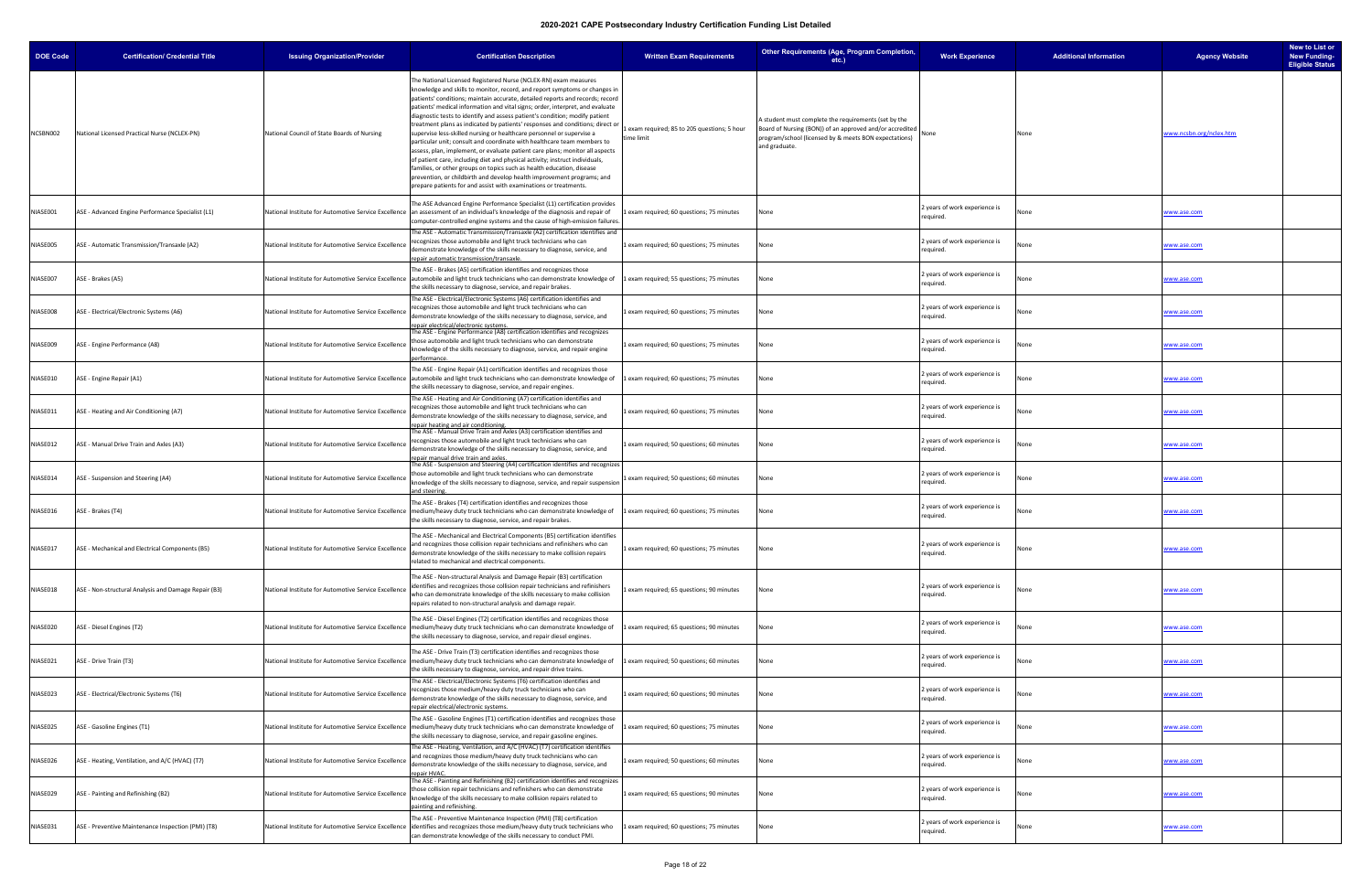| <b>DOE Code</b> | <b>Certification/ Credential Title</b>               | <b>Issuing Organization/Provider</b>                 | <b>Certification Description</b>                                                                                                                                                                                                                                                                                                                                                                                                                                                                                                                                                                                                                                                                                                                                                                                                                                                                                                                                                                                           | <b>Written Exam Requirements</b>                         | Other Requirements (Age, Program Completion,<br>etc.)                                                                                                                                      | <b>Work Experience</b>                     | <b>Additional Information</b> | <b>Agency Website</b>   | New to List or<br><b>New Funding-</b><br><b>Eligible Status</b> |
|-----------------|------------------------------------------------------|------------------------------------------------------|----------------------------------------------------------------------------------------------------------------------------------------------------------------------------------------------------------------------------------------------------------------------------------------------------------------------------------------------------------------------------------------------------------------------------------------------------------------------------------------------------------------------------------------------------------------------------------------------------------------------------------------------------------------------------------------------------------------------------------------------------------------------------------------------------------------------------------------------------------------------------------------------------------------------------------------------------------------------------------------------------------------------------|----------------------------------------------------------|--------------------------------------------------------------------------------------------------------------------------------------------------------------------------------------------|--------------------------------------------|-------------------------------|-------------------------|-----------------------------------------------------------------|
| NCSBN002        | National Licensed Practical Nurse (NCLEX-PN)         | National Council of State Boards of Nursing          | The National Licensed Registered Nurse (NCLEX-RN) exam measures<br>knowledge and skills to monitor, record, and report symptoms or changes in<br>patients' conditions; maintain accurate, detailed reports and records; record<br>patients' medical information and vital signs; order, interpret, and evaluate<br>diagnostic tests to identify and assess patient's condition; modify patient<br>treatment plans as indicated by patients' responses and conditions; direct or<br>supervise less-skilled nursing or healthcare personnel or supervise a<br>particular unit; consult and coordinate with healthcare team members to<br>assess, plan, implement, or evaluate patient care plans; monitor all aspects<br>of patient care, including diet and physical activity; instruct individuals,<br>families, or other groups on topics such as health education, disease<br>prevention, or childbirth and develop health improvement programs; and<br>prepare patients for and assist with examinations or treatments. | exam required; 85 to 205 questions; 5 hour<br>time limit | A student must complete the requirements (set by the<br>Board of Nursing (BON)) of an approved and/or accredited<br>program/school (licensed by & meets BON expectations)<br>and graduate. |                                            | None                          | www.ncsbn.org/nclex.htm |                                                                 |
| VIASE001        | ASE - Advanced Engine Performance Specialist (L1)    |                                                      | The ASE Advanced Engine Performance Specialist (L1) certification provides<br>National Institute for Automotive Service Excellence   an assessment of an individual's knowledge of the diagnosis and repair of<br>computer-controlled engine systems and the cause of high-emission failures.                                                                                                                                                                                                                                                                                                                                                                                                                                                                                                                                                                                                                                                                                                                              | exam required; 60 questions; 75 minutes                  | None                                                                                                                                                                                       | 2 years of work experience is<br>required. |                               | www.ase.com             |                                                                 |
| NIASE005        | ASE - Automatic Transmission/Transaxle (A2)          | National Institute for Automotive Service Excellence | The ASE - Automatic Transmission/Transaxle (A2) certification identifies and<br>recognizes those automobile and light truck technicians who can<br>demonstrate knowledge of the skills necessary to diagnose, service, and<br>epair automatic transmission/transaxle                                                                                                                                                                                                                                                                                                                                                                                                                                                                                                                                                                                                                                                                                                                                                       | exam required; 60 questions; 75 minutes                  | None                                                                                                                                                                                       | 2 years of work experience is<br>required. |                               | www.ase.com             |                                                                 |
| NIASE007        | ASE - Brakes (A5)                                    |                                                      | The ASE - Brakes (A5) certification identifies and recognizes those<br>National Institute for Automotive Service Excellence automobile and light truck technicians who can demonstrate knowledge of 1 exam required; 55 questions; 75 minutes<br>the skills necessary to diagnose, service, and repair brakes.                                                                                                                                                                                                                                                                                                                                                                                                                                                                                                                                                                                                                                                                                                             |                                                          | None                                                                                                                                                                                       | 2 years of work experience is<br>required. |                               | www.ase.com             |                                                                 |
| NIASE008        | ASE - Electrical/Electronic Systems (A6)             | National Institute for Automotive Service Excellence | The ASE - Electrical/Electronic Systems (A6) certification identifies and<br>ecognizes those automobile and light truck technicians who can<br>demonstrate knowledge of the skills necessary to diagnose, service, and<br>epair electrical/electronic systems                                                                                                                                                                                                                                                                                                                                                                                                                                                                                                                                                                                                                                                                                                                                                              | exam required; 60 questions; 75 minutes                  | None                                                                                                                                                                                       | 2 years of work experience is<br>required. |                               | www.ase.com             |                                                                 |
| NIASE009        | ASE - Engine Performance (A8)                        | National Institute for Automotive Service Excellence | The ASE - Engine Performance (A8) certification identifies and recognizes<br>those automobile and light truck technicians who can demonstrate<br>knowledge of the skills necessary to diagnose, service, and repair engine<br>erformance.                                                                                                                                                                                                                                                                                                                                                                                                                                                                                                                                                                                                                                                                                                                                                                                  | 1 exam required; 60 questions; 75 minutes                | None                                                                                                                                                                                       | 2 years of work experience is<br>required. | lone                          | www.ase.com             |                                                                 |
| VIASE010        | ASE - Engine Repair (A1)                             |                                                      | The ASE - Engine Repair (A1) certification identifies and recognizes those<br>National Institute for Automotive Service Excellence   automobile and light truck technicians who can demonstrate knowledge of<br>the skills necessary to diagnose, service, and repair engines.                                                                                                                                                                                                                                                                                                                                                                                                                                                                                                                                                                                                                                                                                                                                             | 1 exam required; 60 questions; 75 minutes                | None                                                                                                                                                                                       | 2 years of work experience is<br>required. |                               | www.ase.com             |                                                                 |
| NIASE011        | ASE - Heating and Air Conditioning (A7)              | National Institute for Automotive Service Excellence | The ASE - Heating and Air Conditioning (A7) certification identifies and<br>recognizes those automobile and light truck technicians who can<br>demonstrate knowledge of the skills necessary to diagnose, service, and<br>epair heating and air conditioning                                                                                                                                                                                                                                                                                                                                                                                                                                                                                                                                                                                                                                                                                                                                                               | exam required; 60 questions; 75 minutes                  | None                                                                                                                                                                                       | 2 years of work experience is<br>required. |                               | www.ase.com             |                                                                 |
| NIASE012        | ASE - Manual Drive Train and Axles (A3)              | National Institute for Automotive Service Excellence | The ASE - Manual Drive Train and Axles (A3) certification identifies and<br>ecognizes those automobile and light truck technicians who can<br>demonstrate knowledge of the skills necessary to diagnose, service, and<br>epair manual drive train and axles.                                                                                                                                                                                                                                                                                                                                                                                                                                                                                                                                                                                                                                                                                                                                                               | exam required; 50 questions; 60 minutes                  | None                                                                                                                                                                                       | 2 years of work experience is<br>required. |                               | www.ase.com             |                                                                 |
| NIASE014        | ASE - Suspension and Steering (A4)                   | National Institute for Automotive Service Excellence | The ASE - Suspension and Steering (A4) certification identifies and recognizes<br>those automobile and light truck technicians who can demonstrate<br>knowledge of the skills necessary to diagnose, service, and repair suspensior<br>and steering                                                                                                                                                                                                                                                                                                                                                                                                                                                                                                                                                                                                                                                                                                                                                                        | exam required; 50 questions; 60 minutes                  | None                                                                                                                                                                                       | 2 years of work experience is<br>required. |                               | www.ase.com             |                                                                 |
| NIASE016        | ASE - Brakes (T4)                                    | National Institute for Automotive Service Excellence | The ASE - Brakes (T4) certification identifies and recognizes those<br>medium/heavy duty truck technicians who can demonstrate knowledge of<br>the skills necessary to diagnose, service, and repair brakes.                                                                                                                                                                                                                                                                                                                                                                                                                                                                                                                                                                                                                                                                                                                                                                                                               | exam required; 60 questions; 75 minutes                  | None                                                                                                                                                                                       | 2 years of work experience is<br>required. | lone                          | www.ase.com             |                                                                 |
| NIASE017        | ASE - Mechanical and Electrical Components (B5)      | National Institute for Automotive Service Excellence | The ASE - Mechanical and Electrical Components (B5) certification identifies<br>and recognizes those collision repair technicians and refinishers who can<br>demonstrate knowledge of the skills necessary to make collision repairs<br>related to mechanical and electrical components.                                                                                                                                                                                                                                                                                                                                                                                                                                                                                                                                                                                                                                                                                                                                   | 1 exam required; 60 questions; 75 minutes                | None                                                                                                                                                                                       | 2 years of work experience is<br>required. |                               | www.ase.com             |                                                                 |
| NIASE018        | ASE - Non-structural Analysis and Damage Repair (B3) | National Institute for Automotive Service Excellence | The ASE - Non-structural Analysis and Damage Repair (B3) certification<br>identifies and recognizes those collision repair technicians and refinishers<br>who can demonstrate knowledge of the skills necessary to make collision<br>repairs related to non-structural analysis and damage repair.                                                                                                                                                                                                                                                                                                                                                                                                                                                                                                                                                                                                                                                                                                                         | 1 exam required; 65 questions; 90 minutes                | None                                                                                                                                                                                       | 2 years of work experience is<br>required. |                               | www.ase.com             |                                                                 |
| VIASE020        | ASE - Diesel Engines (T2)                            |                                                      | The ASE - Diesel Engines (T2) certification identifies and recognizes those<br>National Institute for Automotive Service Excellence   medium/heavy duty truck technicians who can demonstrate knowledge of<br>the skills necessary to diagnose, service, and repair diesel engines.                                                                                                                                                                                                                                                                                                                                                                                                                                                                                                                                                                                                                                                                                                                                        | 1 exam required; 65 questions; 90 minutes                | None                                                                                                                                                                                       | 2 years of work experience is<br>required. |                               | www.ase.com             |                                                                 |
| NIASE021        | ASE - Drive Train (T3)                               |                                                      | The ASE - Drive Train (T3) certification identifies and recognizes those<br>National Institute for Automotive Service Excellence   medium/heavy duty truck technicians who can demonstrate knowledge of<br>the skills necessary to diagnose, service, and repair drive trains.                                                                                                                                                                                                                                                                                                                                                                                                                                                                                                                                                                                                                                                                                                                                             | exam required; 50 questions; 60 minutes                  | None                                                                                                                                                                                       | 2 years of work experience is<br>required. |                               | www.ase.com             |                                                                 |
| NIASE023        | ASE - Electrical/Electronic Systems (T6)             | National Institute for Automotive Service Excellence | The ASE - Electrical/Electronic Systems (T6) certification identifies and<br>recognizes those medium/heavy duty truck technicians who can<br>demonstrate knowledge of the skills necessary to diagnose, service, and<br>repair electrical/electronic systems.                                                                                                                                                                                                                                                                                                                                                                                                                                                                                                                                                                                                                                                                                                                                                              | 1 exam required; 60 questions; 90 minutes                | None                                                                                                                                                                                       | 2 years of work experience is<br>required. |                               | www.ase.com             |                                                                 |
| NIASE025        | ASE - Gasoline Engines (T1)                          |                                                      | The ASE - Gasoline Engines (T1) certification identifies and recognizes those<br>National Institute for Automotive Service Excellence   medium/heavy duty truck technicians who can demonstrate knowledge of<br>the skills necessary to diagnose, service, and repair gasoline engines.                                                                                                                                                                                                                                                                                                                                                                                                                                                                                                                                                                                                                                                                                                                                    | 1 exam required; 60 questions; 75 minutes                | None                                                                                                                                                                                       | 2 years of work experience is<br>required. |                               | www.ase.com             |                                                                 |
| NIASE026        | ASE - Heating, Ventilation, and A/C (HVAC) (T7)      | National Institute for Automotive Service Excellence | The ASE - Heating, Ventilation, and A/C (HVAC) (T7) certification identifies<br>and recognizes those medium/heavy duty truck technicians who can<br>demonstrate knowledge of the skills necessary to diagnose, service, and<br>epair HVAC.                                                                                                                                                                                                                                                                                                                                                                                                                                                                                                                                                                                                                                                                                                                                                                                 | exam required; 50 questions; 60 minutes                  | None                                                                                                                                                                                       | 2 years of work experience is<br>required. |                               | www.ase.com             |                                                                 |
| NIASE029        | ASE - Painting and Refinishing (B2)                  | National Institute for Automotive Service Excellence | The ASE - Painting and Refinishing (B2) certification identifies and recognizes<br>those collision repair technicians and refinishers who can demonstrate<br>knowledge of the skills necessary to make collision repairs related to<br>painting and refinishing.                                                                                                                                                                                                                                                                                                                                                                                                                                                                                                                                                                                                                                                                                                                                                           | exam required; 65 questions; 90 minutes                  | None                                                                                                                                                                                       | 2 years of work experience is<br>required. |                               | www.ase.com             |                                                                 |
| NIASE031        | ASE - Preventive Maintenance Inspection (PMI) (T8)   |                                                      | The ASE - Preventive Maintenance Inspection (PMI) (T8) certification<br>National Institute for Automotive Service Excellence identifies and recognizes those medium/heavy duty truck technicians who<br>can demonstrate knowledge of the skills necessary to conduct PMI.                                                                                                                                                                                                                                                                                                                                                                                                                                                                                                                                                                                                                                                                                                                                                  | exam required; 60 questions; 75 minutes                  | None                                                                                                                                                                                       | 2 years of work experience is<br>required. |                               | www.ase.com             |                                                                 |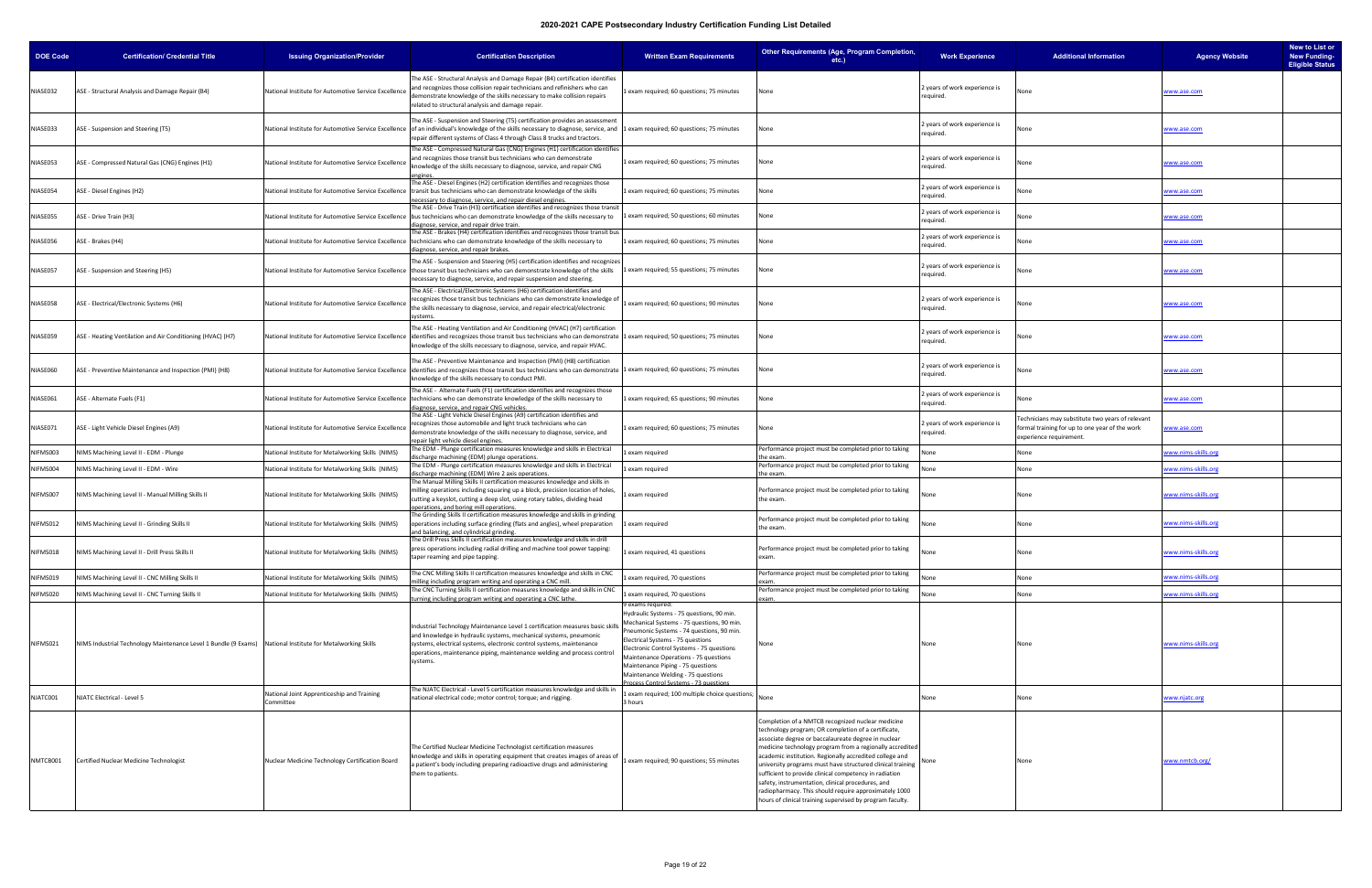| <b>DOE Code</b> | <b>Certification/ Credential Title</b>                                                                     | <b>Issuing Organization/Provider</b>                    | <b>Certification Description</b>                                                                                                                                                                                                                                                                                                         | <b>Written Exam Requirements</b>                                                                                                                                                                                                                                                                                                                                                                        | Other Requirements (Age, Program Completion,<br>etc.                                                                                                                                                                                                                                                                                                                                                                                                                                                                                                                                      | <b>Work Experience</b>                     | <b>Additional Information</b>                                                                                                | New to List or<br><b>Agency Website</b><br><b>New Funding-</b><br><b>Eligible Status</b> |
|-----------------|------------------------------------------------------------------------------------------------------------|---------------------------------------------------------|------------------------------------------------------------------------------------------------------------------------------------------------------------------------------------------------------------------------------------------------------------------------------------------------------------------------------------------|---------------------------------------------------------------------------------------------------------------------------------------------------------------------------------------------------------------------------------------------------------------------------------------------------------------------------------------------------------------------------------------------------------|-------------------------------------------------------------------------------------------------------------------------------------------------------------------------------------------------------------------------------------------------------------------------------------------------------------------------------------------------------------------------------------------------------------------------------------------------------------------------------------------------------------------------------------------------------------------------------------------|--------------------------------------------|------------------------------------------------------------------------------------------------------------------------------|------------------------------------------------------------------------------------------|
| NIASE032        | ASE - Structural Analysis and Damage Repair (B4)                                                           | National Institute for Automotive Service Excellence    | The ASE - Structural Analysis and Damage Repair (B4) certification identifies<br>and recognizes those collision repair technicians and refinishers who can<br>demonstrate knowledge of the skills necessary to make collision repairs<br>related to structural analysis and damage repair.                                               | exam required; 60 questions; 75 minutes                                                                                                                                                                                                                                                                                                                                                                 | None                                                                                                                                                                                                                                                                                                                                                                                                                                                                                                                                                                                      | 2 years of work experience is<br>required. |                                                                                                                              | www.ase.com                                                                              |
| NIASE033        | ASE - Suspension and Steering (T5)                                                                         |                                                         | The ASE - Suspension and Steering (T5) certification provides an assessment<br>National Institute for Automotive Service Excellence of an individual's knowledge of the skills necessary to diagnose, service, and 1 exam required; 60 questions; 75 minutes<br>repair different systems of Class 4 through Class 8 trucks and tractors. |                                                                                                                                                                                                                                                                                                                                                                                                         | None                                                                                                                                                                                                                                                                                                                                                                                                                                                                                                                                                                                      | 2 years of work experience is<br>required. |                                                                                                                              | www.ase.com                                                                              |
| NIASE053        | ASE - Compressed Natural Gas (CNG) Engines (H1)                                                            | National Institute for Automotive Service Excellence    | The ASE - Compressed Natural Gas (CNG) Engines (H1) certification identifies<br>and recognizes those transit bus technicians who can demonstrate<br>knowledge of the skills necessary to diagnose, service, and repair CNG<br>engines                                                                                                    | Lexam required; 60 questions; 75 minutes                                                                                                                                                                                                                                                                                                                                                                | None                                                                                                                                                                                                                                                                                                                                                                                                                                                                                                                                                                                      | 2 years of work experience is<br>required. | vone                                                                                                                         | www.ase.com                                                                              |
| NIASE054        | ASE - Diesel Engines (H2)                                                                                  |                                                         | The ASE - Diesel Engines (H2) certification identifies and recognizes those<br>National Institute for Automotive Service Excellence transit bus technicians who can demonstrate knowledge of the skills<br>ecessary to diagnose, service, and repair diesel engines                                                                      | 1 exam required; 60 questions; 75 minutes                                                                                                                                                                                                                                                                                                                                                               | None                                                                                                                                                                                                                                                                                                                                                                                                                                                                                                                                                                                      | 2 years of work experience is<br>required. |                                                                                                                              | www.ase.com                                                                              |
| <b>VIASE055</b> | ASE - Drive Train (H3)                                                                                     |                                                         | The ASE - Drive Train (H3) certification identifies and recognizes those transit<br>National Institute for Automotive Service Excellence   bus technicians who can demonstrate knowledge of the skills necessary to<br>liagnose, service, and repair drive train                                                                         | L exam required; 50 questions; 60 minutes                                                                                                                                                                                                                                                                                                                                                               | None                                                                                                                                                                                                                                                                                                                                                                                                                                                                                                                                                                                      | 2 years of work experience is<br>required. | vone                                                                                                                         | www.ase.com                                                                              |
| NIASE056        | ASE - Brakes (H4)                                                                                          |                                                         | The ASE - Brakes (H4) certification identifies and recognizes those transit bus<br>National Institute for Automotive Service Excellence   technicians who can demonstrate knowledge of the skills necessary to<br>liagnose, service, and repair brakes.                                                                                  | Lexam required; 60 questions; 75 minutes                                                                                                                                                                                                                                                                                                                                                                | None                                                                                                                                                                                                                                                                                                                                                                                                                                                                                                                                                                                      | 2 years of work experience is<br>required. |                                                                                                                              | www.ase.com                                                                              |
| <b>VIASE057</b> | ASE - Suspension and Steering (H5)                                                                         | National Institute for Automotive Service Excellence    | The ASE - Suspension and Steering (H5) certification identifies and recognize<br>those transit bus technicians who can demonstrate knowledge of the skills<br>necessary to diagnose, service, and repair suspension and steering.                                                                                                        | exam required; 55 questions; 75 minutes                                                                                                                                                                                                                                                                                                                                                                 | None                                                                                                                                                                                                                                                                                                                                                                                                                                                                                                                                                                                      | 2 years of work experience is<br>required. |                                                                                                                              | www.ase.com                                                                              |
| NIASE058        | ASE - Electrical/Electronic Systems (H6)                                                                   | National Institute for Automotive Service Excellence    | he ASE - Electrical/Electronic Systems (H6) certification identifies and<br>ecognizes those transit bus technicians who can demonstrate knowledge o<br>the skills necessary to diagnose, service, and repair electrical/electronic                                                                                                       | exam required; 60 questions; 90 minutes                                                                                                                                                                                                                                                                                                                                                                 | None                                                                                                                                                                                                                                                                                                                                                                                                                                                                                                                                                                                      | 2 years of work experience is<br>required. | vone                                                                                                                         | www.ase.com                                                                              |
| VIASE059        | ASE - Heating Ventilation and Air Conditioning (HVAC) (H7)                                                 | National Institute for Automotive Service Excellence    | The ASE - Heating Ventilation and Air Conditioning (HVAC) (H7) certification<br>identifies and recognizes those transit bus technicians who can demonstrate 1 exam required; 50 questions; 75 minutes<br>knowledge of the skills necessary to diagnose, service, and repair HVAC.                                                        |                                                                                                                                                                                                                                                                                                                                                                                                         | None                                                                                                                                                                                                                                                                                                                                                                                                                                                                                                                                                                                      | 2 years of work experience is<br>required. | vone                                                                                                                         | www.ase.com                                                                              |
| NIASE060        | ASE - Preventive Maintenance and Inspection (PMI) (H8)                                                     |                                                         | he ASE - Preventive Maintenance and Inspection (PMI) (H8) certification<br>National Institute for Automotive Service Excellence lidentifies and recognizes those transit bus technicians who can demonstrate 1 exam required; 60 questions; 75 minutes<br>knowledge of the skills necessary to conduct PMI.                              |                                                                                                                                                                                                                                                                                                                                                                                                         | None                                                                                                                                                                                                                                                                                                                                                                                                                                                                                                                                                                                      | 2 years of work experience is<br>required. | None                                                                                                                         | www.ase.com                                                                              |
| NIASE061        | ASE - Alternate Fuels (F1)                                                                                 |                                                         | The ASE - Alternate Fuels (F1) certification identifies and recognizes those<br>National Institute for Automotive Service Excellence   technicians who can demonstrate knowledge of the skills necessary to<br>liagnose, service, and repair CNG vehicles                                                                                | 1 exam required; 65 questions; 90 minutes                                                                                                                                                                                                                                                                                                                                                               | None                                                                                                                                                                                                                                                                                                                                                                                                                                                                                                                                                                                      | 2 years of work experience is<br>required. |                                                                                                                              | www.ase.com                                                                              |
| NIASE071        | ASE - Light Vehicle Diesel Engines (A9)                                                                    | National Institute for Automotive Service Excellence    | The ASE - Light Vehicle Diesel Engines (A9) certification identifies and<br>recognizes those automobile and light truck technicians who can<br>demonstrate knowledge of the skills necessary to diagnose, service, and<br>epair light vehicle diesel engines.                                                                            | exam required; 60 questions; 75 minutes                                                                                                                                                                                                                                                                                                                                                                 | None                                                                                                                                                                                                                                                                                                                                                                                                                                                                                                                                                                                      | 2 years of work experience is<br>required. | echnicians may substitute two years of relevant<br>formal training for up to one year of the work<br>experience requirement. | www.ase.com                                                                              |
| NIFMS003        | NIMS Machining Level II - EDM - Plunge                                                                     | National Institute for Metalworking Skills (NIMS)       | he EDM - Plunge certification measures knowledge and skills in Electrical<br>lischarge machining (EDM) plunge operations                                                                                                                                                                                                                 | exam required                                                                                                                                                                                                                                                                                                                                                                                           | erformance project must be completed prior to taking^<br>he exam                                                                                                                                                                                                                                                                                                                                                                                                                                                                                                                          | None                                       | None                                                                                                                         | ww.nims-skills.org                                                                       |
| NIFMS004        | NIMS Machining Level II - EDM - Wire                                                                       | National Institute for Metalworking Skills (NIMS)       | he EDM - Plunge certification measures knowledge and skills in Electrical<br>lischarge machining (EDM) Wire 2 axis operations                                                                                                                                                                                                            | 1 exam required                                                                                                                                                                                                                                                                                                                                                                                         | Performance project must be completed prior to taking<br>he exam.                                                                                                                                                                                                                                                                                                                                                                                                                                                                                                                         | None                                       | None                                                                                                                         | ww.nims-skills.org                                                                       |
| NIFMS007        | NIMS Machining Level II - Manual Milling Skills II                                                         | National Institute for Metalworking Skills (NIMS)       | he Manual Milling Skills II certification measures knowledge and skills in<br>milling operations including squaring up a block, precision location of holes,<br>cutting a keyslot, cutting a deep slot, using rotary tables, dividing head<br>perations, and boring mill operations                                                      | . exam required                                                                                                                                                                                                                                                                                                                                                                                         | Performance project must be completed prior to taking<br>the exam.                                                                                                                                                                                                                                                                                                                                                                                                                                                                                                                        | None                                       | None                                                                                                                         | www.nims-skills.org                                                                      |
| NIFMS012        | NIMS Machining Level II - Grinding Skills II                                                               | National Institute for Metalworking Skills (NIMS)       | The Grinding Skills II certification measures knowledge and skills in grinding<br>pperations including surface grinding (flats and angles), wheel preparation<br>and balancing, and cylindrical grinding.                                                                                                                                | 1 exam required                                                                                                                                                                                                                                                                                                                                                                                         | Performance project must be completed prior to taking<br>the exam.                                                                                                                                                                                                                                                                                                                                                                                                                                                                                                                        |                                            | None                                                                                                                         | www.nims-skills.org                                                                      |
| NIFMS018        | NIMS Machining Level II - Drill Press Skills II                                                            | National Institute for Metalworking Skills (NIMS)       | The Drill Press Skills II certification measures knowledge and skills in drill<br>press operations including radial drilling and machine tool power tapping:<br>taper reaming and pipe tapping.                                                                                                                                          | 1 exam required, 41 questions                                                                                                                                                                                                                                                                                                                                                                           | Performance project must be completed prior to taking<br>exam.                                                                                                                                                                                                                                                                                                                                                                                                                                                                                                                            |                                            | None                                                                                                                         | vww.nims-skills.org                                                                      |
| <b>NIFMS019</b> | NIMS Machining Level II - CNC Milling Skills II                                                            | National Institute for Metalworking Skills (NIMS)       | he CNC Milling Skills II certification measures knowledge and skills in CNC<br>nilling including program writing and operating a CNC mill.                                                                                                                                                                                               | 1 exam required, 70 questions                                                                                                                                                                                                                                                                                                                                                                           | erformance project must be completed prior to taking <sup>,</sup><br>xam                                                                                                                                                                                                                                                                                                                                                                                                                                                                                                                  | None                                       | None                                                                                                                         | vww.nims-skills.org                                                                      |
| <b>NIFMS020</b> | NIMS Machining Level II - CNC Turning Skills II                                                            | National Institute for Metalworking Skills (NIMS)       | he CNC Turning Skills II certification measures knowledge and skills in CNC<br>urning including program writing and operating a CNC lathe.                                                                                                                                                                                               | Lexam required, 70 questions                                                                                                                                                                                                                                                                                                                                                                            | Performance project must be completed prior to taking<br>xam                                                                                                                                                                                                                                                                                                                                                                                                                                                                                                                              | None                                       | None                                                                                                                         | vww.nims-skills.org                                                                      |
| NIFMS021        | NIMS Industrial Technology Maintenance Level 1 Bundle (9 Exams) National Institute for Metalworking Skills |                                                         | ndustrial Technology Maintenance Level 1 certification measures basic skill<br>and knowledge in hydraulic systems, mechanical systems, pneumonic<br>systems, electrical systems, electronic control systems, maintenance<br>operations, maintenance piping, maintenance welding and process control<br>systems.                          | 9 exams required:<br>Hydraulic Systems - 75 questions, 90 min.<br>Mechanical Systems - 75 questions, 90 min.<br>Pneumonic Systems - 74 questions, 90 min.<br>Electrical Systems - 75 questions<br>Electronic Control Systems - 75 questions<br>Maintenance Operations - 75 questions<br>Maintenance Piping - 75 questions<br>Maintenance Welding - 75 questions<br>acess Control Systems - 73 questions | None                                                                                                                                                                                                                                                                                                                                                                                                                                                                                                                                                                                      | None                                       | None                                                                                                                         | www.nims-skills.org                                                                      |
| NJATC001        | NJATC Electrical - Level 5                                                                                 | National Joint Apprenticeship and Training<br>Committee | The NJATC Electrical - Level 5 certification measures knowledge and skills in<br>national electrical code; motor control; torque; and rigging.                                                                                                                                                                                           | Lexam required; 100 multiple choice questions;<br>3 hours                                                                                                                                                                                                                                                                                                                                               |                                                                                                                                                                                                                                                                                                                                                                                                                                                                                                                                                                                           | None                                       | None                                                                                                                         | www.njatc.org                                                                            |
| NMTCB001        | Certified Nuclear Medicine Technologist                                                                    | Nuclear Medicine Technology Certification Board         | The Certified Nuclear Medicine Technologist certification measures<br>nowledge and skills in operating equipment that creates images of areas o.<br>a patient's body including preparing radioactive drugs and administering<br>them to patients.                                                                                        | exam required; 90 questions; 55 minutes                                                                                                                                                                                                                                                                                                                                                                 | Completion of a NMTCB recognized nuclear medicine<br>technology program; OR completion of a certificate,<br>associate degree or baccalaureate degree in nuclear<br>medicine technology program from a regionally accredited<br>academic institution. Regionally accredited college and<br>university programs must have structured clinical training<br>sufficient to provide clinical competency in radiation<br>safety, instrumentation, clinical procedures, and<br>radiopharmacy. This should require approximately 1000<br>hours of clinical training supervised by program faculty. | None                                       | None                                                                                                                         | www.nmtcb.org/                                                                           |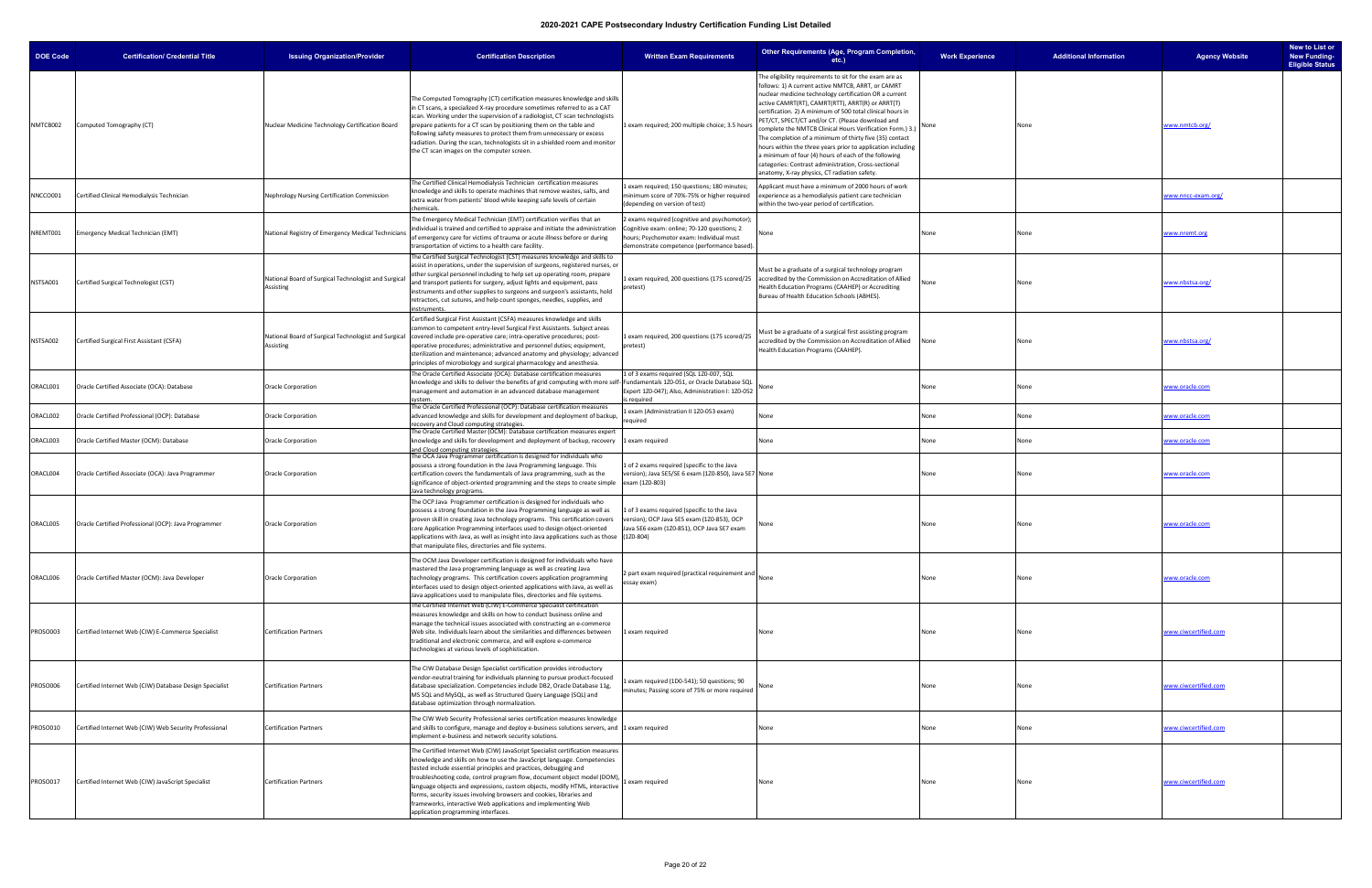| <b>DOE Code</b> | <b>Certification/ Credential Title</b>                  | <b>Issuing Organization/Provider</b>                              | <b>Certification Description</b>                                                                                                                                                                                                                                                                                                                                                                                                                                                                                                                                        | <b>Written Exam Requirements</b>                                                                                                                                                    | Other Requirements (Age, Program Completion,<br>$etc.$ )                                                                                                                                                                                                                                                                                                                                                                                                                                                                                                                                                                                                                                            | <b>Work Experience</b> | <b>Additional Information</b> | <b>Agency Website</b> | New to List or<br><b>New Funding-</b><br><b>Eligible Status</b> |
|-----------------|---------------------------------------------------------|-------------------------------------------------------------------|-------------------------------------------------------------------------------------------------------------------------------------------------------------------------------------------------------------------------------------------------------------------------------------------------------------------------------------------------------------------------------------------------------------------------------------------------------------------------------------------------------------------------------------------------------------------------|-------------------------------------------------------------------------------------------------------------------------------------------------------------------------------------|-----------------------------------------------------------------------------------------------------------------------------------------------------------------------------------------------------------------------------------------------------------------------------------------------------------------------------------------------------------------------------------------------------------------------------------------------------------------------------------------------------------------------------------------------------------------------------------------------------------------------------------------------------------------------------------------------------|------------------------|-------------------------------|-----------------------|-----------------------------------------------------------------|
| NMTCB002        | Computed Tomography (CT)                                | Nuclear Medicine Technology Certification Board                   | The Computed Tomography (CT) certification measures knowledge and skills<br>n CT scans, a specialized X-ray procedure sometimes referred to as a CAT<br>scan. Working under the supervision of a radiologist, CT scan technologists<br>prepare patients for a CT scan by positioning them on the table and<br>following safety measures to protect them from unnecessary or excess<br>radiation. During the scan, technologists sit in a shielded room and monitor<br>the CT scan images on the computer screen.                                                        | 1 exam required; 200 multiple choice; 3.5 hours                                                                                                                                     | The eligibility requirements to sit for the exam are as<br>follows: 1) A current active NMTCB, ARRT, or CAMRT<br>nuclear medicine technology certification OR a current<br>active CAMRT(RT), CAMRT(RTT), ARRT(R) or ARRT(T)<br>certification. 2) A minimum of 500 total clinical hours in<br>PET/CT, SPECT/CT and/or CT. (Please download and<br>omplete the NMTCB Clinical Hours Verification Form.) 3.)<br>The completion of a minimum of thirty five (35) contact<br>hours within the three years prior to application including<br>a minimum of four (4) hours of each of the following<br>categories: Contrast administration, Cross-sectional<br>anatomy, X-ray physics, CT radiation safety. |                        | None                          | www.nmtcb.org/        |                                                                 |
| NNCCO001        | Certified Clinical Hemodialysis Technician              | Nephrology Nursing Certification Commission                       | The Certified Clinical Hemodialysis Technician  certification measures<br>knowledge and skills to operate machines that remove wastes, salts, and<br>extra water from patients' blood while keeping safe levels of certain<br>hemicals:                                                                                                                                                                                                                                                                                                                                 | exam required; 150 questions; 180 minutes;<br>minimum score of 70%-75% or higher required<br>(depending on version of test)                                                         | Applicant must have a minimum of 2000 hours of work<br>experience as a hemodialysis patient care technician<br>within the two-year period of certification.                                                                                                                                                                                                                                                                                                                                                                                                                                                                                                                                         |                        |                               | www.nncc-exam.org/    |                                                                 |
| NREMT001        | Emergency Medical Technician (EMT)                      | National Registry of Emergency Medical Technician                 | The Emergency Medical Technician (EMT) certification verifies that an<br>ndividual is trained and certified to appraise and initiate the administration<br>of emergency care for victims of trauma or acute illness before or during<br>transportation of victims to a health care facility.                                                                                                                                                                                                                                                                            | exams required (cognitive and psychomotor);<br>Cognitive exam: online; 70-120 questions; 2<br>hours; Psychomotor exam: Individual must<br>demonstrate competence (performance based | lone                                                                                                                                                                                                                                                                                                                                                                                                                                                                                                                                                                                                                                                                                                | None                   | None                          | www.nremt.org         |                                                                 |
| NSTSA001        | Certified Surgical Technologist (CST)                   | National Board of Surgical Technologist and Surgica<br>Assisting  | The Certified Surgical Technologist (CST) measures knowledge and skills to<br>assist in operations, under the supervision of surgeons, registered nurses, or<br>other surgical personnel including to help set up operating room, prepare<br>and transport patients for surgery, adjust lights and equipment, pass<br>instruments and other supplies to surgeons and surgeon's assistants, hold<br>retractors, cut sutures, and help count sponges, needles, supplies, and<br><b>struments</b>                                                                          | pretest)                                                                                                                                                                            | Must be a graduate of a surgical technology program<br>Lexam required, 200 questions (175 scored/25 accredited by the Commission on Accreditation of Allied<br>Health Education Programs (CAAHEP) or Accrediting<br>Bureau of Health Education Schools (ABHES).                                                                                                                                                                                                                                                                                                                                                                                                                                     | None                   | None                          | www.nbstsa.org/       |                                                                 |
| NSTSA002        | Certified Surgical First Assistant (CSFA)               | National Board of Surgical Technologist and Surgical<br>Assisting | Certified Surgical First Assistant (CSFA) measures knowledge and skills<br>ommon to competent entry-level Surgical First Assistants. Subject areas<br>covered include pre-operative care; intra-operative procedures; post-<br>operative procedures; administrative and personnel duties; equipment,<br>sterilization and maintenance; advanced anatomy and physiology; advanced<br>principles of microbiology and surgical pharmacology and anesthesia.                                                                                                                | 1 exam required, 200 questions (175 scored/25<br>pretest)                                                                                                                           | Must be a graduate of a surgical first assisting program<br>accredited by the Commission on Accreditation of Allied<br>Health Education Programs (CAAHEP).                                                                                                                                                                                                                                                                                                                                                                                                                                                                                                                                          | None                   | None                          | www.nbstsa.org/       |                                                                 |
| ORACL001        | Oracle Certified Associate (OCA): Database              | <b>Oracle Corporation</b>                                         | The Oracle Certified Associate (OCA): Database certification measures<br>knowledge and skills to deliver the benefits of grid computing with more self<br>management and automation in an advanced database management<br>vstem.                                                                                                                                                                                                                                                                                                                                        | 1 of 3 exams required (SQL 1Z0-007, SQL<br>Fundamentals 1Z0-051, or Oracle Database SQL<br>Expert 1Z0-047); Also, Administration I: 1Z0-052<br>is required                          |                                                                                                                                                                                                                                                                                                                                                                                                                                                                                                                                                                                                                                                                                                     | None                   | None                          | www.oracle.com        |                                                                 |
| ORACL002        | Oracle Certified Professional (OCP): Database           | Oracle Corporation                                                | The Oracle Certified Professional (OCP): Database certification measures<br>advanced knowledge and skills for development and deployment of backup,<br>recovery and Cloud computing strategies                                                                                                                                                                                                                                                                                                                                                                          | Lexam (Administration II 1Z0-053 exam)<br>required                                                                                                                                  | None                                                                                                                                                                                                                                                                                                                                                                                                                                                                                                                                                                                                                                                                                                | None                   | None                          | www.oracle.com        |                                                                 |
| ORACL003        | Oracle Certified Master (OCM): Database                 | <b>Oracle Corporation</b>                                         | The Oracle Certified Master (OCM): Database certification measures expert<br>knowledge and skills for development and deployment of backup, recovery<br>and Cloud computing strategies.                                                                                                                                                                                                                                                                                                                                                                                 | 1 exam required                                                                                                                                                                     | None                                                                                                                                                                                                                                                                                                                                                                                                                                                                                                                                                                                                                                                                                                | None                   | None                          | www.oracle.com        |                                                                 |
| ORACL004        | Oracle Certified Associate (OCA): Java Programmer       | <b>Oracle Corporation</b>                                         | The OCA Java Programmer certification is designed for individuals who<br>possess a strong foundation in the Java Programming language. This<br>certification covers the fundamentals of Java programming, such as the<br>significance of object-oriented programming and the steps to create simple<br>ava technology programs                                                                                                                                                                                                                                          | 1 of 2 exams required (specific to the Java<br>version); Java SE5/SE 6 exam (1Z0-850), Java SE7 None<br>exam (1Z0-803)                                                              |                                                                                                                                                                                                                                                                                                                                                                                                                                                                                                                                                                                                                                                                                                     | None                   | None                          | <u>vww.oracle.com</u> |                                                                 |
| ORACL005        | Oracle Certified Professional (OCP): Java Programmer    | <b>Oracle Corporation</b>                                         | The OCP Java Programmer certification is designed for individuals who<br>possess a strong foundation in the Java Programming language as well as<br>proven skill in creating Java technology programs. This certification covers<br>core Application Programming interfaces used to design object-oriented<br>applications with Java, as well as insight into Java applications such as those (120-804)<br>that manipulate files, directories and file systems.                                                                                                         | L of 3 exams required (specific to the Java<br>version); OCP Java SE5 exam (1Z0-853), OCP<br>Java SE6 exam (1Z0-851), OCP Java SE7 exam                                             | Vone                                                                                                                                                                                                                                                                                                                                                                                                                                                                                                                                                                                                                                                                                                | None                   | None                          | <u>vww.oracle.com</u> |                                                                 |
| ORACL006        | Oracle Certified Master (OCM): Java Developer           | <b>Oracle Corporation</b>                                         | The OCM Java Developer certification is designed for individuals who have<br>mastered the Java programming language as well as creating Java<br>technology programs. This certification covers application programming<br>interfaces used to design object-oriented applications with Java, as well as<br>Java applications used to manipulate files, directories and file systems.                                                                                                                                                                                     | 2 part exam required (practical requirement and<br>essay exam)                                                                                                                      |                                                                                                                                                                                                                                                                                                                                                                                                                                                                                                                                                                                                                                                                                                     | None                   | None                          | www.oracle.com        |                                                                 |
| PROSO003        | Certified Internet Web (CIW) E-Commerce Specialist      | <b>Certification Partners</b>                                     | The Certified Internet Web (CIW) E-Commerce Specialist certification<br>measures knowledge and skills on how to conduct business online and<br>manage the technical issues associated with constructing an e-commerce<br>Web site. Individuals learn about the similarities and differences between<br>traditional and electronic commerce, and will explore e-commerce<br>technologies at various levels of sophistication.                                                                                                                                            | 1 exam required                                                                                                                                                                     | None                                                                                                                                                                                                                                                                                                                                                                                                                                                                                                                                                                                                                                                                                                | None                   | None                          | www.ciwcertified.com  |                                                                 |
| PROSO006        | Certified Internet Web (CIW) Database Design Specialist | <b>Certification Partners</b>                                     | The CIW Database Design Specialist certification provides introductory<br>vendor-neutral training for individuals planning to pursue product-focused<br>database specialization. Competencies include DB2, Oracle Database 11g,<br>MS SQL and MySQL, as well as Structured Query Language (SQL) and<br>database optimization through normalization.                                                                                                                                                                                                                     | exam required (1D0-541); 50 questions; 90<br>minutes; Passing score of 75% or more required                                                                                         |                                                                                                                                                                                                                                                                                                                                                                                                                                                                                                                                                                                                                                                                                                     | None                   | None                          | www.ciwcertified.com  |                                                                 |
| PROSO010        | Certified Internet Web (CIW) Web Security Professional  | <b>Certification Partners</b>                                     | The CIW Web Security Professional series certification measures knowledge<br>and skills to configure, manage and deploy e-business solutions servers, and 1 exam required<br>implement e-business and network security solutions.                                                                                                                                                                                                                                                                                                                                       |                                                                                                                                                                                     | None                                                                                                                                                                                                                                                                                                                                                                                                                                                                                                                                                                                                                                                                                                | None                   | None                          | www.ciwcertified.com  |                                                                 |
| PROSO017        | Certified Internet Web (CIW) JavaScript Specialist      | <b>Certification Partners</b>                                     | The Certified Internet Web (CIW) JavaScript Specialist certification measures<br>knowledge and skills on how to use the JavaScript language. Competencies<br>tested include essential principles and practices, debugging and<br>troubleshooting code, control program flow, document object model (DOM),<br>language objects and expressions, custom objects, modify HTML, interactive<br>forms, security issues involving browsers and cookies, libraries and<br>frameworks, interactive Web applications and implementing Web<br>application programming interfaces. | 1 exam required                                                                                                                                                                     | None                                                                                                                                                                                                                                                                                                                                                                                                                                                                                                                                                                                                                                                                                                | None                   | None                          | www.ciwcertified.com  |                                                                 |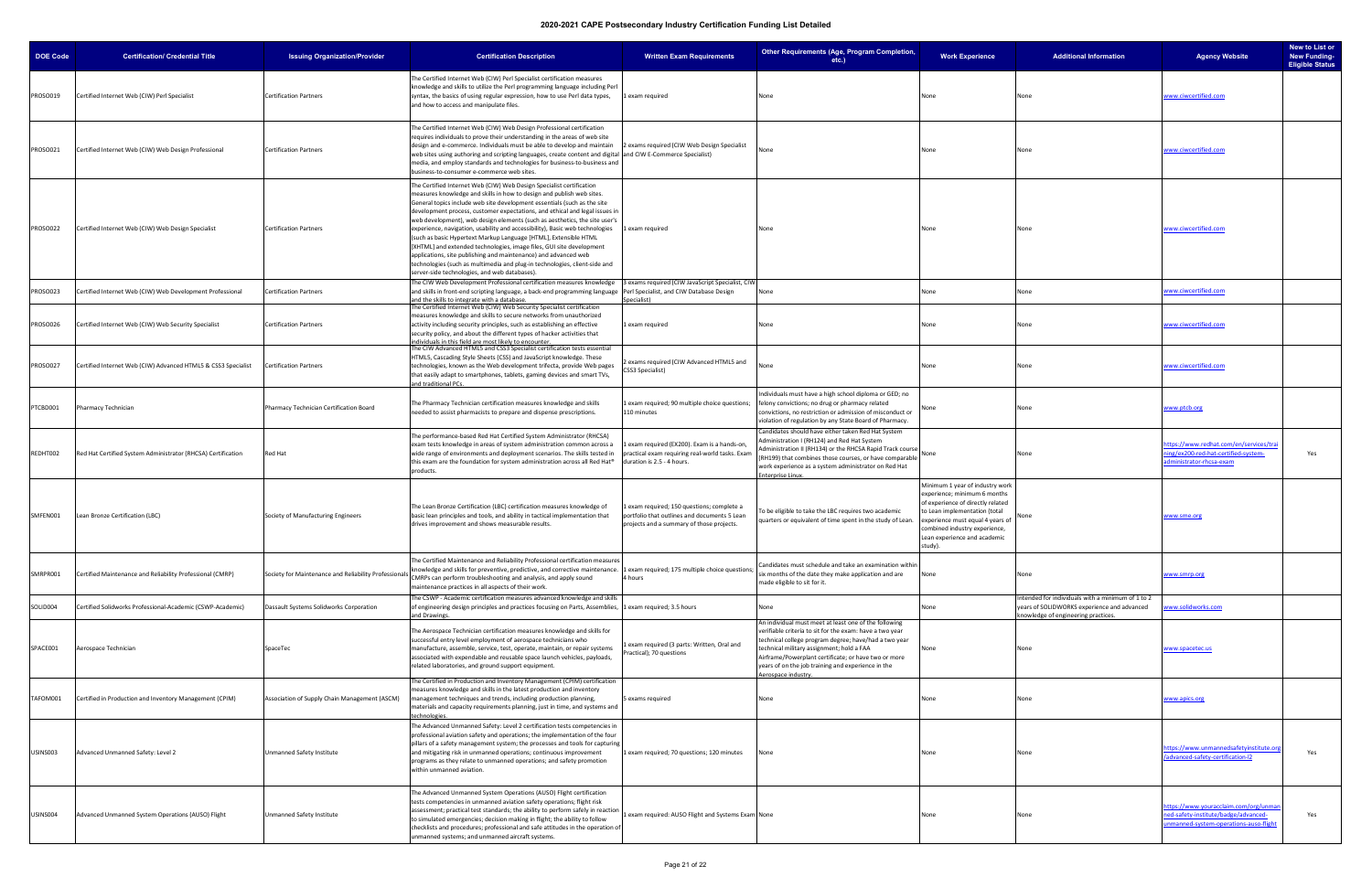| <b>DOE Code</b> | <b>Certification/ Credential Title</b>                        | <b>Issuing Organization/Provider</b>                | <b>Certification Description</b>                                                                                                                                                                                                                                                                                                                                                                                                                                                                                                                                                                                                                                                                                                                                                                                     | <b>Written Exam Requirements</b>                                                                                                        | Other Requirements (Age, Program Completion,<br>etc.)                                                                                                                                                                                                                                                                                                        | <b>Work Experience</b>                                                                                                                                                                                                                                | <b>Additional Information</b>                                                                                                          | <b>Agency Website</b>                                                                                                 | New to List or<br><b>New Funding-</b><br><b>Eligible Status</b> |
|-----------------|---------------------------------------------------------------|-----------------------------------------------------|----------------------------------------------------------------------------------------------------------------------------------------------------------------------------------------------------------------------------------------------------------------------------------------------------------------------------------------------------------------------------------------------------------------------------------------------------------------------------------------------------------------------------------------------------------------------------------------------------------------------------------------------------------------------------------------------------------------------------------------------------------------------------------------------------------------------|-----------------------------------------------------------------------------------------------------------------------------------------|--------------------------------------------------------------------------------------------------------------------------------------------------------------------------------------------------------------------------------------------------------------------------------------------------------------------------------------------------------------|-------------------------------------------------------------------------------------------------------------------------------------------------------------------------------------------------------------------------------------------------------|----------------------------------------------------------------------------------------------------------------------------------------|-----------------------------------------------------------------------------------------------------------------------|-----------------------------------------------------------------|
| PROSO019        | Certified Internet Web (CIW) Perl Specialist                  | <b>Certification Partners</b>                       | The Certified Internet Web (CIW) Perl Specialist certification measures<br>knowledge and skills to utilize the Perl programming language including Perl<br>syntax, the basics of using regular expression, how to use Perl data types,<br>and how to access and manipulate files.                                                                                                                                                                                                                                                                                                                                                                                                                                                                                                                                    | 1 exam required                                                                                                                         | None                                                                                                                                                                                                                                                                                                                                                         | None                                                                                                                                                                                                                                                  | None                                                                                                                                   | www.ciwcertified.com                                                                                                  |                                                                 |
| PROSO021        | Certified Internet Web (CIW) Web Design Professional          | <b>Certification Partners</b>                       | The Certified Internet Web (CIW) Web Design Professional certification<br>requires individuals to prove their understanding in the areas of web site<br>design and e-commerce. Individuals must be able to develop and maintain<br>web sites using authoring and scripting languages, create content and digital and CIW E-Commerce Specialist)<br>media, and employ standards and technologies for business-to-business and<br>business-to-consumer e-commerce web sites.                                                                                                                                                                                                                                                                                                                                           | 2 exams required (CIW Web Design Specialist                                                                                             | None                                                                                                                                                                                                                                                                                                                                                         | None                                                                                                                                                                                                                                                  | None                                                                                                                                   | www.ciwcertified.com                                                                                                  |                                                                 |
| PROSO022        | Certified Internet Web (CIW) Web Design Specialist            | <b>Certification Partners</b>                       | The Certified Internet Web (CIW) Web Design Specialist certification<br>measures knowledge and skills in how to design and publish web sites.<br>General topics include web site development essentials (such as the site<br>development process, customer expectations, and ethical and legal issues in<br>web development), web design elements (such as aesthetics, the site user's<br>experience, navigation, usability and accessibility), Basic web technologies<br>(such as basic Hypertext Markup Language [HTML], Extensible HTML<br>[XHTML] and extended technologies, image files, GUI site development<br>applications, site publishing and maintenance) and advanced web<br>technologies (such as multimedia and plug-in technologies, client-side and<br>server-side technologies, and web databases). | 1 exam required                                                                                                                         | None                                                                                                                                                                                                                                                                                                                                                         | None                                                                                                                                                                                                                                                  | None                                                                                                                                   | www.ciwcertified.com                                                                                                  |                                                                 |
| PROSO023        | Certified Internet Web (CIW) Web Development Professional     | <b>Certification Partners</b>                       | The CIW Web Development Professional certification measures knowledge<br>and skills in front-end scripting language, a back-end programming language Perl Specialist, and CIW Database Design<br>and the skills to integrate with a database.                                                                                                                                                                                                                                                                                                                                                                                                                                                                                                                                                                        | 3 exams required (CIW JavaScript Specialist, CIW<br>pecialist)                                                                          | None                                                                                                                                                                                                                                                                                                                                                         | None                                                                                                                                                                                                                                                  | None                                                                                                                                   | www.ciwcertified.com                                                                                                  |                                                                 |
| PROSO026        | Certified Internet Web (CIW) Web Security Specialist          | <b>Certification Partners</b>                       | The Certified Internet Web (CIW) Web Security Specialist certification<br>measures knowledge and skills to secure networks from unauthorized<br>activity including security principles, such as establishing an effective<br>security policy, and about the different types of hacker activities that<br>ndividuals in this field are most likely to encounter                                                                                                                                                                                                                                                                                                                                                                                                                                                       | 1 exam required                                                                                                                         | None                                                                                                                                                                                                                                                                                                                                                         | None                                                                                                                                                                                                                                                  |                                                                                                                                        | www.ciwcertified.com                                                                                                  |                                                                 |
| PROSO027        | Certified Internet Web (CIW) Advanced HTML5 & CSS3 Specialist | <b>Certification Partners</b>                       | The CIW Advanced HTML5 and CSS3 Specialist certification tests essential<br>HTML5, Cascading Style Sheets (CSS) and JavaScript knowledge. These<br>technologies, known as the Web development trifecta, provide Web pages<br>that easily adapt to smartphones, tablets, gaming devices and smart TVs,<br>and traditional PCs.                                                                                                                                                                                                                                                                                                                                                                                                                                                                                        | 2 exams required (CIW Advanced HTML5 and<br>CSS3 Specialist)                                                                            |                                                                                                                                                                                                                                                                                                                                                              | None                                                                                                                                                                                                                                                  |                                                                                                                                        | www.ciwcertified.com                                                                                                  |                                                                 |
| PTCBD001        | Pharmacy Technician                                           | Pharmacy Technician Certification Board             | The Pharmacy Technician certification measures knowledge and skills<br>needed to assist pharmacists to prepare and dispense prescriptions.                                                                                                                                                                                                                                                                                                                                                                                                                                                                                                                                                                                                                                                                           | 1 exam required; 90 multiple choice questions;<br>110 minutes                                                                           | Individuals must have a high school diploma or GED; no<br>felony convictions; no drug or pharmacy related<br>convictions, no restriction or admission of misconduct or<br>violation of regulation by any State Board of Pharmacy.                                                                                                                            |                                                                                                                                                                                                                                                       |                                                                                                                                        | vww.ptcb.org                                                                                                          |                                                                 |
| REDHT002        | Red Hat Certified System Administrator (RHCSA) Certification  | <b>Red Hat</b>                                      | The performance-based Red Hat Certified System Administrator (RHCSA)<br>exam tests knowledge in areas of system administration common across a<br>wide range of environments and deployment scenarios. The skills tested in<br>this exam are the foundation for system administration across all Red Hat®<br>products.                                                                                                                                                                                                                                                                                                                                                                                                                                                                                               | 1 exam required (EX200). Exam is a hands-on,<br>practical exam requiring real-world tasks. Exam<br>duration is 2.5 - 4 hours.           | Candidates should have either taken Red Hat System<br>Administration I (RH124) and Red Hat System<br>Administration II (RH134) or the RHCSA Rapid Track course<br>(RH199) that combines those courses, or have comparable<br>work experience as a system administrator on Red Hat<br>nterprise Linux.                                                        | None                                                                                                                                                                                                                                                  | None                                                                                                                                   | nttps://www.redhat.com/en/services/trai<br>ing/ex200-red-hat-certified-system-<br>Iministrator-rhcsa-exam             | Yes                                                             |
| SMFEN001        | Lean Bronze Certification (LBC)                               | Society of Manufacturing Engineers                  | The Lean Bronze Certification (LBC) certification measures knowledge of<br>basic lean principles and tools, and ability in tactical implementation that<br>drives improvement and shows measurable results.                                                                                                                                                                                                                                                                                                                                                                                                                                                                                                                                                                                                          | 1 exam required; 150 questions; complete a<br>portfolio that outlines and documents 5 Lean<br>projects and a summary of those projects. | o be eligible to take the LBC requires two academic<br>quarters or equivalent of time spent in the study of Lean.                                                                                                                                                                                                                                            | Minimum 1 year of industry work<br>experience; minimum 6 months<br>of experience of directly related<br>to Lean implementation (total<br>experience must equal 4 years of<br>combined industry experience,<br>Lean experience and academic<br>study). |                                                                                                                                        | www.sme.org                                                                                                           |                                                                 |
| SMRPR001        | Certified Maintenance and Reliability Professional (CMRP)     | Society for Maintenance and Reliability Professiona | The Certified Maintenance and Reliability Professional certification measures<br>knowledge and skills for preventive, predictive, and corrective maintenance. 1 exam required; 175 multiple choice questions<br>CMRPs can perform troubleshooting and analysis, and apply sound<br>maintenance practices in all aspects of their work.                                                                                                                                                                                                                                                                                                                                                                                                                                                                               | 4 hours                                                                                                                                 | Candidates must schedule and take an examination within<br>six months of the date they make application and are<br>made eligible to sit for it.                                                                                                                                                                                                              | None                                                                                                                                                                                                                                                  | None                                                                                                                                   | www.smrp.org                                                                                                          |                                                                 |
| SOLID004        | Certified Solidworks Professional-Academic (CSWP-Academic)    | Dassault Systems Solidworks Corporation             | The CSWP - Academic certification measures advanced knowledge and skills<br>of engineering design principles and practices focusing on Parts, Assemblies, 1 exam required; 3.5 hours<br>and Drawings.                                                                                                                                                                                                                                                                                                                                                                                                                                                                                                                                                                                                                |                                                                                                                                         | None                                                                                                                                                                                                                                                                                                                                                         | None                                                                                                                                                                                                                                                  | ntended for individuals with a minimum of 1 to 2<br>years of SOLIDWORKS experience and advanced<br>snowledge of engineering practices. | www.solidworks.com                                                                                                    |                                                                 |
| SPACE001        | Aerospace Technician                                          | SpaceTec                                            | The Aerospace Technician certification measures knowledge and skills for<br>successful entry level employment of aerospace technicians who<br>manufacture, assemble, service, test, operate, maintain, or repair systems<br>associated with expendable and reusable space launch vehicles, payloads,<br>related laboratories, and ground support equipment.                                                                                                                                                                                                                                                                                                                                                                                                                                                          | 1 exam required (3 parts: Written, Oral and<br>Practical); 70 questions                                                                 | An individual must meet at least one of the following<br>verifiable criteria to sit for the exam: have a two year<br>technical college program degree; have/had a two year<br>technical military assignment; hold a FAA<br>Airframe/Powerplant certificate; or have two or more<br>years of on the job training and experience in the<br>Aerospace industry. | None                                                                                                                                                                                                                                                  |                                                                                                                                        | www.spacetec.us                                                                                                       |                                                                 |
| TAFOM001        | Certified in Production and Inventory Management (CPIM)       | Association of Supply Chain Management (ASCM)       | The Certified in Production and Inventory Management (CPIM) certification<br>measures knowledge and skills in the latest production and inventory<br>management techniques and trends, including production planning,<br>materials and capacity requirements planning, just in time, and systems and<br>echnologies.                                                                                                                                                                                                                                                                                                                                                                                                                                                                                                 | 5 exams required                                                                                                                        | None                                                                                                                                                                                                                                                                                                                                                         | None                                                                                                                                                                                                                                                  |                                                                                                                                        | www.apics.org                                                                                                         |                                                                 |
| USINS003        | Advanced Unmanned Safety: Level 2                             | Unmanned Safety Institute                           | The Advanced Unmanned Safety: Level 2 certification tests competencies in<br>professional aviation safety and operations; the implementation of the four<br>pillars of a safety management system; the processes and tools for capturing<br>and mitigating risk in unmanned operations; continuous improvement<br>programs as they relate to unmanned operations; and safety promotion<br>within unmanned aviation.                                                                                                                                                                                                                                                                                                                                                                                                  | 1 exam required; 70 questions; 120 minutes                                                                                              | None                                                                                                                                                                                                                                                                                                                                                         | None                                                                                                                                                                                                                                                  | None                                                                                                                                   | https://www.unmannedsafetyinstitute.org<br>advanced-safety-certification-I2                                           | Yes                                                             |
| USINS004        | Advanced Unmanned System Operations (AUSO) Flight             | Unmanned Safety Institute                           | The Advanced Unmanned System Operations (AUSO) Flight certification<br>tests competencies in unmanned aviation safety operations; flight risk<br>assessment; practical test standards; the ability to perform safely in reaction<br>to simulated emergencies; decision making in flight; the ability to follow<br>checklists and procedures; professional and safe attitudes in the operation of<br>unmanned systems; and unmanned aircraft systems.                                                                                                                                                                                                                                                                                                                                                                 | 1 exam required: AUSO Flight and Systems Exam None                                                                                      |                                                                                                                                                                                                                                                                                                                                                              | None                                                                                                                                                                                                                                                  | None                                                                                                                                   | nttps://www.youracclaim.com/org/unman<br>ed-safety-institute/badge/advanced-<br>nmanned-system-operations-auso-flight | Yes                                                             |